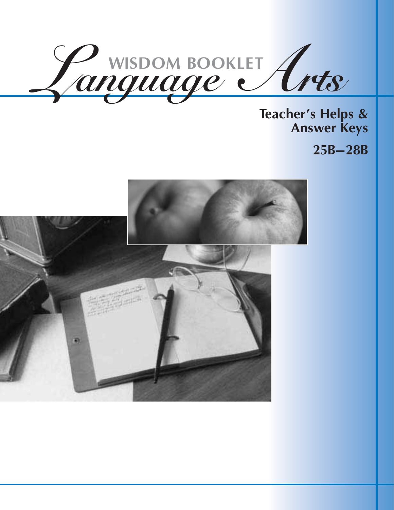

## **Teacher's Helps & Answer Keys**

## **25B–28B**

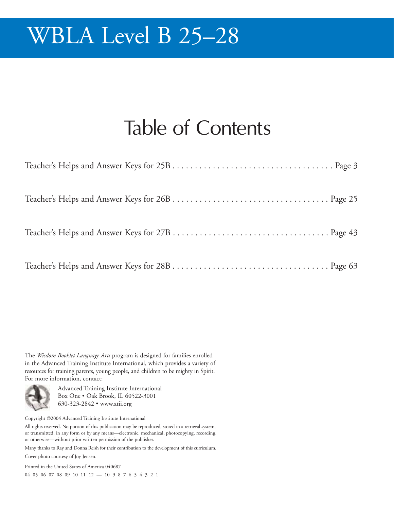## WBLA Level B 25–28

## Table of Contents

The *Wisdom Booklet Language Arts* program is designed for families enrolled in the Advanced Training Institute International, which provides a variety of resources for training parents, young people, and children to be mighty in Spirit. For more information, contact:



Advanced Training Institute International Box One • Oak Brook, IL 60522-3001 630-323-2842 • www.atii.org

Copyright ©2004 Advanced Training Institute International

All rights reserved. No portion of this publication may be reproduced, stored in a retrieval system, or transmitted, in any form or by any means—electronic, mechanical, photocopying, recording, or otherwise—without prior written permission of the publisher.

Many thanks to Ray and Donna Reish for their contribution to the development of this curriculum. Cover photo courtesy of Joy Jensen.

Printed in the United States of America 040687 04 05 06 07 08 09 10 11 12 — 10 9 8 7 6 5 4 3 2 1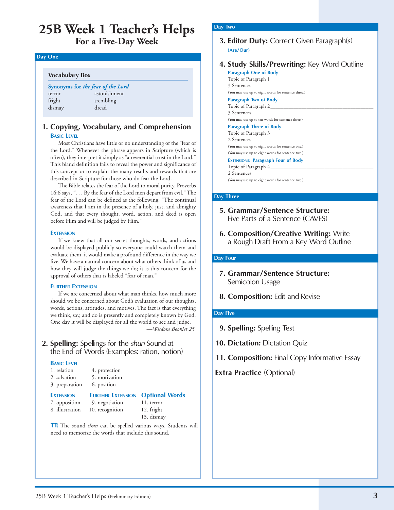## **25B Week 1 Teacher's Helps For a Five-Day Week**

## **Day One**

## **Vocabulary Box**

|        | <b>Synonyms for the fear of the Lord</b> |
|--------|------------------------------------------|
| terror | astonishment                             |
| fright | trembling                                |
| dismay | dread                                    |

## **1. Copying, Vocabulary, and Comprehension BASIC LEVEL**

Most Christians have little or no understanding of the "fear of the Lord." Whenever the phrase appears in Scripture (which is often), they interpret it simply as "a reverential trust in the Lord." This bland definition fails to reveal the power and significance of this concept or to explain the many results and rewards that are described in Scripture for those who do fear the Lord.

The Bible relates the fear of the Lord to moral purity. Proverbs 16:6 says, ". . . By the fear of the Lord men depart from evil." The fear of the Lord can be defined as the following: "The continual awareness that I am in the presence of a holy, just, and almighty God, and that every thought, word, action, and deed is open before Him and will be judged by Him."

#### **EXTENSION**

If we knew that all our secret thoughts, words, and actions would be displayed publicly so everyone could watch them and evaluate them, it would make a profound difference in the way we live. We have a natural concern about what others think of us and how they will judge the things we do; it is this concern for the approval of others that is labeled "fear of man."

#### **FURTHER EXTENSION**

If we are concerned about what man thinks, how much more should we be concerned about God's evaluation of our thoughts, words, actions, attitudes, and motives. The fact is that everything we think, say, and do is presently and completely known by God. One day it will be displayed for all the world to see and judge. —*Wisdom Booklet 25*

## **2. Spelling:** Spellings for the *shun* Sound at the End of Words (Examples: ration, notion)

#### **BASIC LEVEL**

| 1. relation      | 4. protection                                                         |                       |  |
|------------------|-----------------------------------------------------------------------|-----------------------|--|
| 2. salvation     | 5. motivation                                                         |                       |  |
| 3. preparation   | 6. position                                                           |                       |  |
| <b>EXTENSION</b> | <b>FURTHER EXTENSION</b>                                              | <b>Optional Words</b> |  |
| 7. opposition    | 9. negotiation                                                        | 11. terror            |  |
| 8. illustration  | 10. recognition                                                       | 12. fright            |  |
|                  |                                                                       | 13. dismay            |  |
|                  | <b>TI:</b> The sound <i>shun</i> can be spelled various ways. Student |                       |  |

**TT:** The sound *shun* can be spelled various ways. Students will need to memorize the words that include this sound.

## **Day Two**

- **3. Editor Duty:** Correct Given Paragraph(s) **(Are/Our)**
- **4. Study Skills/Prewriting:** Key Word Outline

| Paragraph One of Body                               |
|-----------------------------------------------------|
| Topic of Paragraph 1________                        |
| 3 Sentences                                         |
| (You may use up to eight words for sentence three.) |
| Paragraph Two of Body                               |
| Topic of Paragraph 2                                |
| 3 Sentences                                         |
| (You may use up to ten words for sentence three.)   |
| <b>Paragraph Three of Body</b>                      |
| Topic of Paragraph 3                                |
| 2 Sentences                                         |
| (You may use up to eight words for sentence one.)   |
| (You may use up to eight words for sentence two.)   |
| <b>EXTENSIONS: Paragraph Four of Body</b>           |
| Topic of Paragraph 4                                |
| 2 Sentences                                         |
| (You may use up to eight words for sentence two.)   |
|                                                     |

## **Day Three**

- **5. Grammar/Sentence Structure:**  Five Parts of a Sentence (CAVES)
- **6. Composition/Creative Writing:** Write a Rough Draft From a Key Word Outline

## **Day Four**

- **7. Grammar/Sentence Structure:**  Semicolon Usage
- **8. Composition:** Edit and Revise

## **Day Five**

- **9. Spelling:** Spelling Test
- **10. Dictation:** Dictation Quiz
- **11. Composition:** Final Copy Informative Essay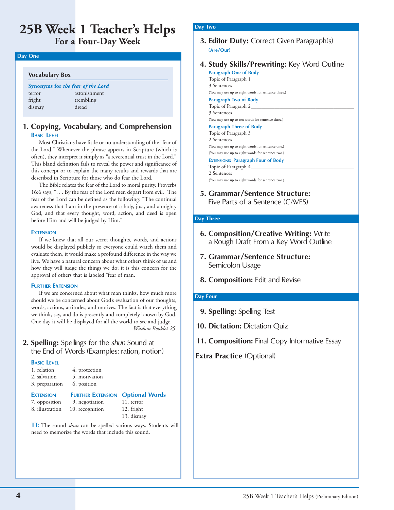## **25B Week 1 Teacher's Helps**

**For a Four-Day Week**

## **Day One**

## **Vocabulary Box**

|        | Synonyms for <i>the fear of the Lord</i> |
|--------|------------------------------------------|
| terror | astonishment                             |
| fright | trembling                                |
| dismay | dread                                    |

## **1. Copying, Vocabulary, and Comprehension BASIC LEVEL**

Most Christians have little or no understanding of the "fear of the Lord." Whenever the phrase appears in Scripture (which is often), they interpret it simply as "a reverential trust in the Lord." This bland definition fails to reveal the power and significance of this concept or to explain the many results and rewards that are described in Scripture for those who do fear the Lord.

The Bible relates the fear of the Lord to moral purity. Proverbs 16:6 says, ". . . By the fear of the Lord men depart from evil." The fear of the Lord can be defined as the following: "The continual awareness that I am in the presence of a holy, just, and almighty God, and that every thought, word, action, and deed is open before Him and will be judged by Him."

## **EXTENSION**

If we knew that all our secret thoughts, words, and actions would be displayed publicly so everyone could watch them and evaluate them, it would make a profound difference in the way we live. We have a natural concern about what others think of us and how they will judge the things we do; it is this concern for the approval of others that is labeled "fear of man."

## **FURTHER EXTENSION**

If we are concerned about what man thinks, how much more should we be concerned about God's evaluation of our thoughts, words, actions, attitudes, and motives. The fact is that everything we think, say, and do is presently and completely known by God. One day it will be displayed for all the world to see and judge. —*Wisdom Booklet 25*

## **2. Spelling:** Spellings for the *shun* Sound at the End of Words (Examples: ration, notion)

## **BASIC LEVEL**

| 1. relation                       | 4. protection            |                       |
|-----------------------------------|--------------------------|-----------------------|
| 2. salvation                      | 5. motivation            |                       |
| 3. preparation                    | 6. position              |                       |
|                                   |                          |                       |
|                                   | <b>FURTHER EXTENSION</b> | <b>Optional Words</b> |
| <b>EXTENSION</b><br>7. opposition | 9. negotiation           | 11. terror            |
| 8. illustration                   | 10. recognition          | 12. fright            |

**TT:** The sound *shun* can be spelled various ways. Students will need to memorize the words that include this sound.

## **Day Two**

- **3. Editor Duty:** Correct Given Paragraph(s) **(Are/Our)**
- **4. Study Skills/Prewriting:** Key Word Outline

| <b>Study Skills/Prewriting:</b> Key Word Outline    |
|-----------------------------------------------------|
| <b>Paragraph One of Body</b>                        |
| Topic of Paragraph 1                                |
| 3 Sentences                                         |
| (You may use up to eight words for sentence three.) |
| Paragraph Two of Body                               |
| Topic of Paragraph 2                                |
| 3 Sentences                                         |
| (You may use up to ten words for sentence three.)   |
| <b>Paragraph Three of Body</b>                      |
| Topic of Paragraph 3                                |
| 2 Sentences                                         |
| (You may use up to eight words for sentence one.)   |
| (You may use up to eight words for sentence two.)   |
| <b>EXTENSIONS: Paragraph Four of Body</b>           |
| Topic of Paragraph 4                                |
| 2 Sentences                                         |
| (You may use up to eight words for sentence two.)   |
|                                                     |

**5. Grammar/Sentence Structure:**  Five Parts of a Sentence (CAVES)

## **Day Three**

- **6. Composition/Creative Writing:** Write a Rough Draft From a Key Word Outline
- **7. Grammar/Sentence Structure:**  Semicolon Usage
- **8. Composition:** Edit and Revise

## **Day Four**

- **9. Spelling:** Spelling Test
- **10. Dictation:** Dictation Quiz
- **11. Composition:** Final Copy Informative Essay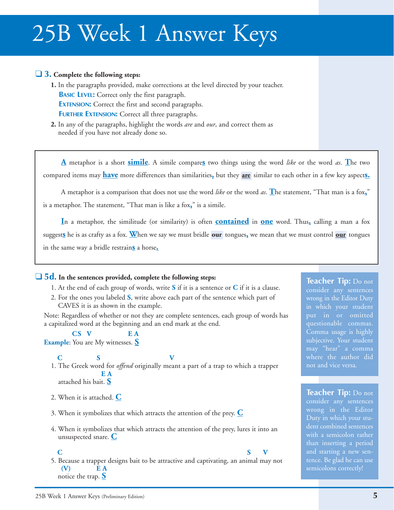# 25B Week 1 Answer Keys

## ❑ **3. Complete the following steps:**

- **1.** In the paragraphs provided, make corrections at the level directed by your teacher. **BASIC LEVEL:** Correct only the first paragraph. **EXTENSION:** Correct the first and second paragraphs. **FURTHER EXTENSION:** Correct all three paragraphs.
- **2.** In any of the paragraphs, highlight the words *are* and *our*, and correct them as needed if you have not already done so.

**A** metaphor is a short **simile**. A simile compare**s** two things using the word *like* or the word *as*. **T**he two compared items may <mark>have</mark> more differences than similarities<u>,</u> but they <mark>are</mark> similar to each other in a few key aspect<u>s.</u>

A metaphor is a comparison that does not use the word *like* or the word *as*. **T**he statement, "That man is a fox**,**" is a metaphor. The statement, "That man is like a fox**,**" is a simile.

**I**n a metaphor, the similitude (or similarity) is often **contained** in **one** word. Thus**,** calling a man a fox suggest**s** he is as crafty as a fox. **W**hen we say we must bridle tongues**,** we mean that we must control tongues **our our** in the same way a bridle restrain**s** a horse**.**

## ❑ **5d. In the sentences provided, complete the following steps:**

- 1. At the end of each group of words, write **S** if it is a sentence or **C** if it is a clause.
- 2. For the ones you labeled **S**, write above each part of the sentence which part of CAVES it is as shown in the example.

Note: Regardless of whether or not they are complete sentences, each group of words has a capitalized word at the beginning and an end mark at the end.

**CS V E A Example**: You are My witnesses. **S**

**C S V** 1. The Greek word for *offend* originally meant a part of a trap to which a trapper **E A** attached his bait. **S**

- 2. When it is attached. **C**
- 3. When it symbolizes that which attracts the attention of the prey. **C**
- 4. When it symbolizes that which attracts the attention of the prey, lures it into an unsuspected snare. **C**

**C S V**

5. Because a trapper designs bait to be attractive and captivating, an animal may not **(V) E A** notice the trap. **S**

**Teacher Tip:** Do not wrong in the Editor Duty in which your student questionable commas. Comma usage is highly subjective. Your student may "hear" a comma where the author did not and vice versa.

**Teacher Tip:** Do not consider any sentences wrong in the Editor Duty in which your student combined sentences with a semicolon rather than inserting a period and starting a new sentence. Be glad he can use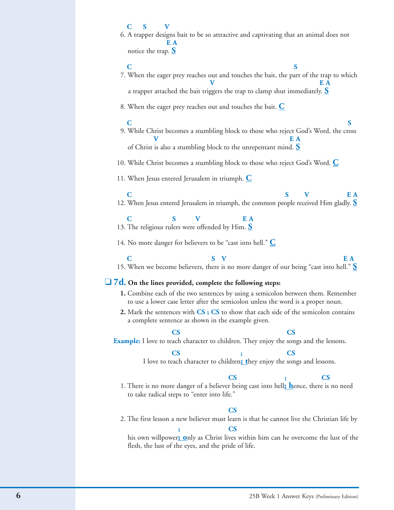**C S V** 6. A trapper designs bait to be so attractive and captivating that an animal does not **E A** notice the trap. **S**

**C S** 7. When the eager prey reaches out and touches the bait, the part of the trap to which **V** E A a trapper attached the bait triggers the trap to clamp shut immediately. **S**

8. When the eager prey reaches out and touches the bait. **C**

**C** S 9. While Christ becomes a stumbling block to those who reject God's Word, the cross  $V$  **E** A of Christ is also a stumbling block to the unrepentant mind. **S**

10. While Christ becomes a stumbling block to those who reject God's Word. **C**

- 11. When Jesus entered Jerusalem in triumph. **C**
- **C S V E A** 12. When Jesus entered Jerusalem in triumph, the common people received Him gladly. **S**
- **C S V E A** 13. The religious rulers were offended by Him. **S**

14. No more danger for believers to be "cast into hell." **C**

**C S V E A** 15. When we become believers, there is no more danger of our being "cast into hell." **S**

## ❑ **7d. On the lines provided, complete the following steps:**

- **1.** Combine each of the two sentences by using a semicolon between them. Remember to use a lower case letter after the semicolon unless the word is a proper noun.
- **2.** Mark the sentences with **CS ; CS** to show that each side of the semicolon contains a complete sentence as shown in the example given.

## **CS CS**

**Example:** I love to teach character to children. They enjoy the songs and the lessons.

## **CS ; CS**

I love to teach character to children**; t**hey enjoy the songs and lessons.

## **CS ; CS**

1. There is no more danger of a believer being cast into hell**; h**ence, there is no need to take radical steps to "enter into life."

## **CS**

2. The first lesson a new believer must learn is that he cannot live the Christian life by **; CS**

his own willpower**; o**nly as Christ lives within him can he overcome the lust of the flesh, the lust of the eyes, and the pride of life.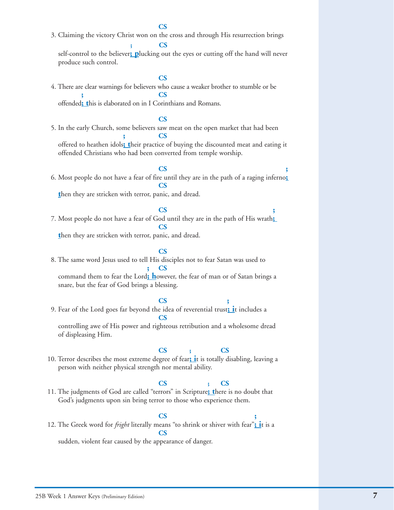## **CS**

3. Claiming the victory Christ won on the cross and through His resurrection brings

## **; CS**

self-control to the believer**; p**lucking out the eyes or cutting off the hand will never produce such control.

## **CS**

4. There are clear warnings for believers who cause a weaker brother to stumble or be **; CS** offended**; t**his is elaborated on in I Corinthians and Romans.

## **CS**

5. In the early Church, some believers saw meat on the open market that had been **; CS**

offered to heathen idols**; t**heir practice of buying the discounted meat and eating it offended Christians who had been converted from temple worship.

## **CS ;**

6. Most people do not have a fear of fire until they are in the path of a raging inferno**; CS**

**t**hen they are stricken with terror, panic, and dread.

## **CS ;**

7. Most people do not have a fear of God until they are in the path of His wrath**; CS**

**t**hen they are stricken with terror, panic, and dread.

## **CS**

8. The same word Jesus used to tell His disciples not to fear Satan was used to **; CS**

command them to fear the Lord**; h**owever, the fear of man or of Satan brings a snare, but the fear of God brings a blessing.

## **CS ;**

9. Fear of the Lord goes far beyond the idea of reverential trust**; i**t includes a **CS**

controlling awe of His power and righteous retribution and a wholesome dread of displeasing Him.

## **CS ; CS**

10. Terror describes the most extreme degree of fear**; i**t is totally disabling, leaving a person with neither physical strength nor mental ability.

## **CS ; CS**

11. The judgments of God are called "terrors" in Scripture**; t**here is no doubt that God's judgments upon sin bring terror to those who experience them.

## **CS ;**

12. The Greek word for *fright* literally means "to shrink or shiver with fear"**; i**t is a **CS**

sudden, violent fear caused by the appearance of danger.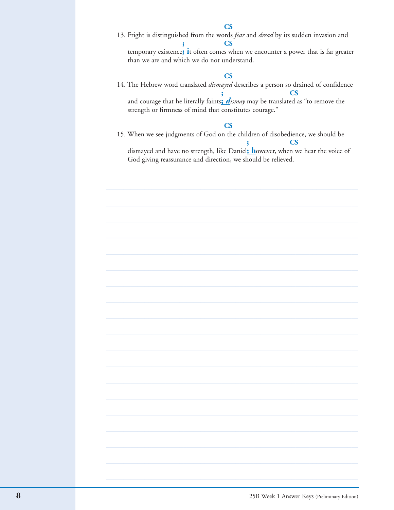## $\overline{\text{CS}}$

13. Fright is distinguished from the words fear and dread by its sudden invasion and  $\mathbf{CS}$ ;

temporary existences it often comes when we encounter a power that is far greater than we are and which we do not understand.

## $\mathbf{CS}$

14. The Hebrew word translated *dismayed* describes a person so drained of confidence  $\mathbf{C}\mathbf{S}$  $\ddot{\phantom{1}}$ 

and courage that he literally faints;  $d$ ismay may be translated as "to remove the strength or firmness of mind that constitutes courage."

## $\overline{\text{CS}}$

15. When we see judgments of God on the children of disobedience, we should be

dismayed and have no strength, like Daniel; however, when we hear the voice of God giving reassurance and direction, we should be relieved.

 $\overline{\text{CS}}$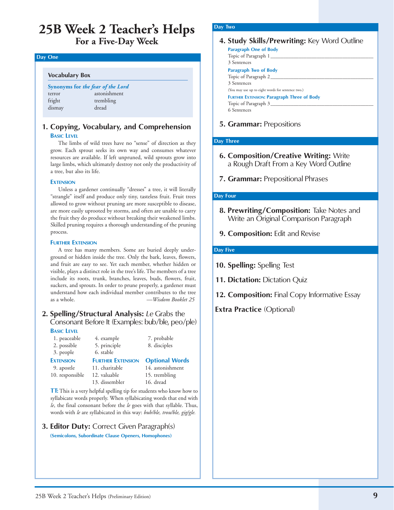## **25B Week 2 Teacher's Helps For a Five-Day Week**

## **Day One**

## **Vocabulary Box**

| Synonyms for <i>the fear of the Lord</i> |
|------------------------------------------|
| astonishment                             |
| trembling                                |
| dread                                    |
|                                          |

## **1. Copying, Vocabulary, and Comprehension BASIC LEVEL**

The limbs of wild trees have no "sense" of direction as they grow. Each sprout seeks its own way and consumes whatever resources are available. If left unpruned, wild sprouts grow into large limbs, which ultimately destroy not only the productivity of a tree, but also its life.

## **EXTENSION**

Unless a gardener continually "dresses" a tree, it will literally "strangle" itself and produce only tiny, tasteless fruit. Fruit trees allowed to grow without pruning are more susceptible to disease, are more easily uprooted by storms, and often are unable to carry the fruit they do produce without breaking their weakened limbs. Skilled pruning requires a thorough understanding of the pruning process.

## **FURTHER EXTENSION**

A tree has many members. Some are buried deeply underground or hidden inside the tree. Only the bark, leaves, flowers, and fruit are easy to see. Yet each member, whether hidden or visible, plays a distinct role in the tree's life. The members of a tree include its roots, trunk, branches, leaves, buds, flowers, fruit, suckers, and sprouts. In order to prune properly, a gardener must understand how each individual member contributes to the tree as a whole. *—Wisdom Booklet 25*

## **2. Spelling/Structural Analysis:** *Le* Grabs the Consonant Before It (Examples: bub/ble, peo/ple)

| <b>BASIC LEVEL</b> |                          |                       |
|--------------------|--------------------------|-----------------------|
| 1. peaceable       | 4. example               | 7. probable           |
| 2. possible        | 5. principle             | 8. disciples          |
| 3. people          | 6. stable                |                       |
|                    |                          |                       |
| <b>EXTENSION</b>   | <b>FURTHER EXTENSION</b> | <b>Optional Words</b> |
| 9. apostle         | 11. charitable           | 14. astonishment      |
| 10. responsible    | 12. valuable             | 15. trembling         |

**TT:** This is a very helpful spelling tip for students who know how to syllabicate words properly. When syllabicating words that end with *le*, the final consonant before the *le* goes with that syllable. Thus, words with *le* are syllabicated in this way: *bub/ble, trou/ble, gig/gle.*

## **3. Editor Duty:** Correct Given Paragraph(s)

**(Semicolons, Subordinate Clause Openers, Homophones)**

## **Day Two**

## **4. Study Skills/Prewriting:** Key Word Outline

```
Paragraph One of Body
Topic of Paragraph 1
3 Sentences
Paragraph Two of Body
Topic of Paragraph 2
3 Sentences
(You may use up to eight words for sentence two.)
FURTHER EXTENSION: Paragraph Three of Body
Topic of Paragraph 3_
6 Sentences
```
## **5. Grammar:** Prepositions

## **Day Three**

- **6. Composition/Creative Writing:** Write a Rough Draft From a Key Word Outline
- **7. Grammar:** Prepositional Phrases

## **Day Four**

- **8. Prewriting/Composition:** Take Notes and Write an Original Comparison Paragraph
- **9. Composition:** Edit and Revise

## **Day Five**

- **10. Spelling:** Spelling Test
- **11. Dictation:** Dictation Quiz
- **12. Composition:** Final Copy Informative Essay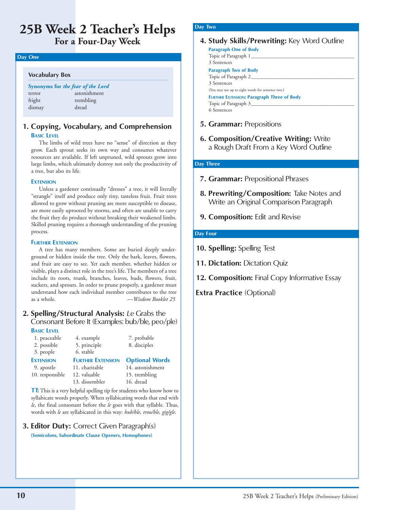## **25B Week 2 Teacher's Helps For a Four-Day Week**

## **Day One**

## **Vocabulary Box**

|        | <b>Synonyms for the fear of the Lord</b> |
|--------|------------------------------------------|
| terror | astonishment                             |
| fright | trembling                                |
| dismay | dread                                    |

## **1. Copying, Vocabulary, and Comprehension BASIC LEVEL**

The limbs of wild trees have no "sense" of direction as they grow. Each sprout seeks its own way and consumes whatever resources are available. If left unpruned, wild sprouts grow into large limbs, which ultimately destroy not only the productivity of a tree, but also its life.

#### **EXTENSION**

Unless a gardener continually "dresses" a tree, it will literally "strangle" itself and produce only tiny, tasteless fruit. Fruit trees allowed to grow without pruning are more susceptible to disease, are more easily uprooted by storms, and often are unable to carry the fruit they do produce without breaking their weakened limbs. Skilled pruning requires a thorough understanding of the pruning process.

#### **FURTHER EXTENSION**

A tree has many members. Some are buried deeply underground or hidden inside the tree. Only the bark, leaves, flowers, and fruit are easy to see. Yet each member, whether hidden or visible, plays a distinct role in the tree's life. The members of a tree include its roots, trunk, branches, leaves, buds, flowers, fruit, suckers, and sprouts. In order to prune properly, a gardener must understand how each individual member contributes to the tree as a whole. *—Wisdom Booklet 25*

## **2. Spelling/Structural Analysis:** *Le* Grabs the Consonant Before It (Examples: bub/ble, peo/ple) **BASIC LEVEL**

| 1. peaceable     | 4. example               | 7. probable           |
|------------------|--------------------------|-----------------------|
| 2. possible      | 5. principle             | 8. disciples          |
| 3. people        | 6. stable                |                       |
| <b>EXTENSION</b> | <b>FURTHER EXTENSION</b> | <b>Optional Words</b> |
| 9. apostle       | 11. charitable           | 14. astonishment      |
| 10. responsible  | 12. valuable             | 15. trembling         |
|                  | 13. dissembler           | 16. dread             |

**TT:** This is a very helpful spelling tip for students who know how to syllabicate words properly. When syllabicating words that end with *le*, the final consonant before the *le* goes with that syllable. Thus, words with *le* are syllabicated in this way: *bub/ble, trou/ble, gig/gle.*

## **3. Editor Duty:** Correct Given Paragraph(s)

**(Semicolons, Subordinate Clause Openers, Homophones)**

## **Day Two**

- **4. Study Skills/Prewriting:** Key Word Outline **Paragraph One of Body** Topic of Paragraph 1 3 Sentences **Paragraph Two of Body** Topic of Paragraph 2 3 Sentences (You may use up to eight words for sentence two.) **FURTHER EXTENSION: Paragraph Three of Body** Topic of Paragraph 3\_ 6 Sentences
- **5. Grammar:** Prepositions
- **6. Composition/Creative Writing:** Write a Rough Draft From a Key Word Outline

## **Day Three**

- **7. Grammar:** Prepositional Phrases
- **8. Prewriting/Composition:** Take Notes and Write an Original Comparison Paragraph
- **9. Composition:** Edit and Revise

## **Day Four**

**10. Spelling:** Spelling Test

**11. Dictation:** Dictation Quiz

**12. Composition:** Final Copy Informative Essay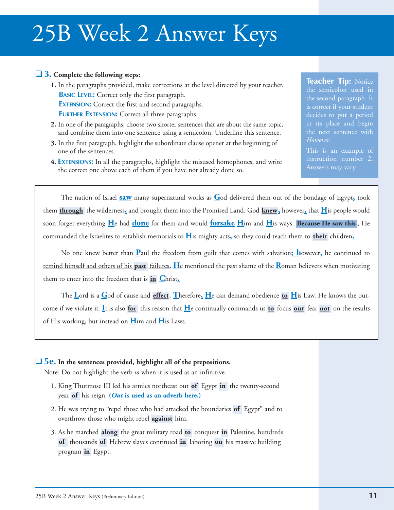# 25B Week 2 Answer Keys

## ❑ **3. Complete the following steps:**

- **1.** In the paragraphs provided, make corrections at the level directed by your teacher. **BASIC LEVEL:** Correct only the first paragraph. **EXTENSION:** Correct the first and second paragraphs. **FURTHER EXTENSION:** Correct all three paragraphs.
- **2.** In one of the paragraphs, choose two shorter sentences that are about the same topic, and combine them into one sentence using a semicolon. Underline this sentence.
- **3.** In the first paragraph, highlight the subordinate clause opener at the beginning of one of the sentences.
- **4. EXTENSIONS:** In all the paragraphs, highlight the misused homophones, and write the correct one above each of them if you have not already done so.

**Teacher Tip:** Notice the semicolon used in the second paragraph. It is correct if your student in its place and begin the next sentence with *However*.

This is an example of

The nation of Israel **saw** many supernatural works as **G**od delivered them out of the bondage of Egypt**,** took them through the wilderness, and brought them into the Promised Land. God  $\overline{\rm{\textbf{knew}}}_{\rm{\textbf{1}}}$  however, that  $\overline{\rm{\textbf{H}}}$ is people would soon forget everything  $\underline{\bf H}$ e had  $\underline{\bf done}$  for them and would  $\underline{\bf for sake}\,\,{\bf H}$ im and  $\underline{\bf H}$ is ways.  $\overline{\bf Because}\,\,{\bf He\,\,saw\,\,this}$  ,  $\overline{\bf He\,\,b}$ commanded the Israelites to establish memorials to  $\underline{\bf H}$ is mighty acts<u>,</u> so they could teach them to  $\underline{\bf their}$  children<u>.</u>

No one knew better than **P**aul the freedom from guilt that comes with salvation**; h**owever**,** he continued to remind himself and others of his **past** failures. **H**e mentioned the past shame of the <mark>R</mark>oman believers when motivating them to enter into the freedom that is  $\frac{\text{in}}{\text{L}}$  Christ.

The  $\bf{\underline{L}}$ ord is a  $\bf{\underline{G}}$ od of cause and  $\bf{\underline{effect}}$ .  $\bf{\underline{T}}$ herefore,  $\bf{\underline{H}}$ e can demand obedience  $\bf{\underline{to}}$   $\bf{\underline{H}}$ is Law. He knows the outcome if we violate it.  $\underline{\bf{I}}$ t is also  $\underline{\bf{for}}$  this reason that  $\underline{\bf{H}}$ e continually commands us  $\underline{\bf{to}}$  focus  $\underline{\bf{our}}$  fear  $\underline{\bf{not}}$  on the results of His working, but instead on **H**im and **H**is Laws.

## ❑ **5e. In the sentences provided, highlight all of the prepositions.**

Note: Do not highlight the verb *to* when it is used as an infinitive.

- 1. King Thutmose III led his armies northeast out of Egypt in the twenty-second year of his reign. (Out is used as an adverb here.)
- 2. He was trying to "repel those who had attacked the boundaries of Egypt" and to overthrow those who might rebel **against** him.
- 3. As he marched **along** the great military road to conquest in Palestine, hundreds of thousands of Hebrew slaves continued in laboring on his massive building program in Egypt.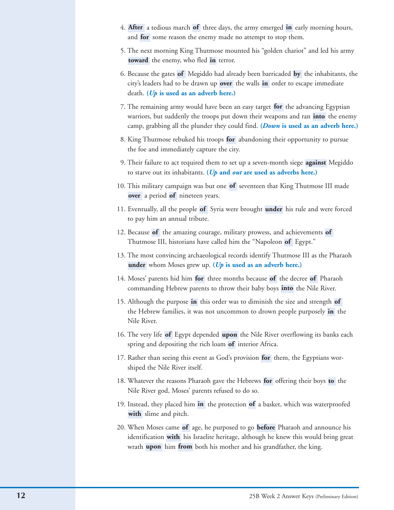- 4. After a tedious march of three days, the army emerged in early morning hours, and for some reason the enemy made no attempt to stop them.
- 5. The next morning King Thutmose mounted his "golden chariot" and led his army toward the enemy, who fled in terror.
- 6. Because the gates **of** Megiddo had already been barricaded **by** the inhabitants, the city's leaders had to be drawn up **over** the walls **in** order to escape immediate death. **(***Up* **is used as an adverb here.)**
- 7. The remaining army would have been an easy target for the advancing Egyptian warriors, but suddenly the troops put down their weapons and ran **into** the enemy camp, grabbing all the plunder they could find. **(***Down* **is used as an adverb here.)**
- 8. King Thutmose rebuked his troops **for** abandoning their opportunity to pursue the foe and immediately capture the city.
- 9. Their failure to act required them to set up a seven-month siege **against** Megiddo to starve out its inhabitants. **(***Up* **and** *out* **are used as adverbs here.)**
- 10. This military campaign was but one of seventeen that King Thutmose III made **over** a period **of** nineteen years.
- 11. Eventually, all the people of Syria were brought under his rule and were forced to pay him an annual tribute.
- 12. Because of the amazing courage, military prowess, and achievements of Thutmose III, historians have called him the "Napoleon of Egypt."
- 13. The most convincing archaeological records identify Thutmose III as the Pharaoh whom Moses grew up. **(***Up* **is used as an adverb here.) under**
- 14. Moses' parents hid him for three months because of the decree of Pharaoh commanding Hebrew parents to throw their baby boys **into** the Nile River.
- 15. Although the purpose in this order was to diminish the size and strength of the Hebrew families, it was not uncommon to drown people purposely **in** the Nile River.
- 16. The very life of Egypt depended upon the Nile River overflowing its banks each spring and depositing the rich loam of interior Africa.
- 17. Rather than seeing this event as God's provision for them, the Egyptians worshiped the Nile River itself.
- 18. Whatever the reasons Pharaoh gave the Hebrews for offering their boys to the Nile River god, Moses' parents refused to do so.
- 19. Instead, they placed him in the protection of a basket, which was waterproofed with slime and pitch.
- 20. When Moses came of age, he purposed to go before Pharaoh and announce his identification with his Israelite heritage, although he knew this would bring great wrath **upon** him from both his mother and his grandfather, the king.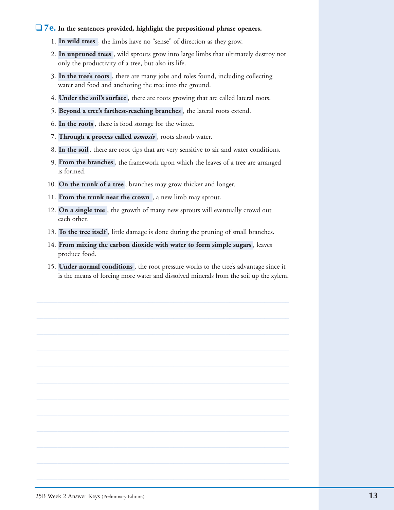## ❑ **7e. In the sentences provided, highlight the prepositional phrase openers.**

- 1. In wild trees, the limbs have no "sense" of direction as they grow.
- 2. In unpruned trees, wild sprouts grow into large limbs that ultimately destroy not only the productivity of a tree, but also its life.
- 3. In the tree's roots, there are many jobs and roles found, including collecting water and food and anchoring the tree into the ground.
- 4. Under the soil's surface, there are roots growing that are called lateral roots.
- 5. Beyond a tree's farthest-reaching branches, the lateral roots extend.
- 6. In the roots, there is food storage for the winter.
- 7. Through a process called *osmosis*, roots absorb water.
- 8. In the soil, there are root tips that are very sensitive to air and water conditions.
- 9. From the branches, the framework upon which the leaves of a tree are arranged is formed.
- 10. On the trunk of a tree, branches may grow thicker and longer.
- 11. From the trunk near the crown, a new limb may sprout.
- 12. On a single tree, the growth of many new sprouts will eventually crowd out each other.
- 13. To the tree itself, little damage is done during the pruning of small branches.
- 14. From mixing the carbon dioxide with water to form simple sugars, leaves produce food.
- 15. Under normal conditions, the root pressure works to the tree's advantage since it is the means of forcing more water and dissolved minerals from the soil up the xylem.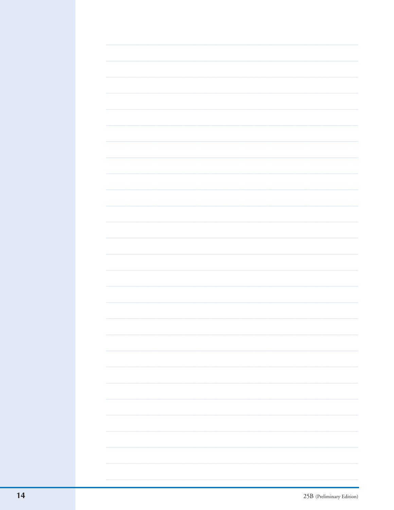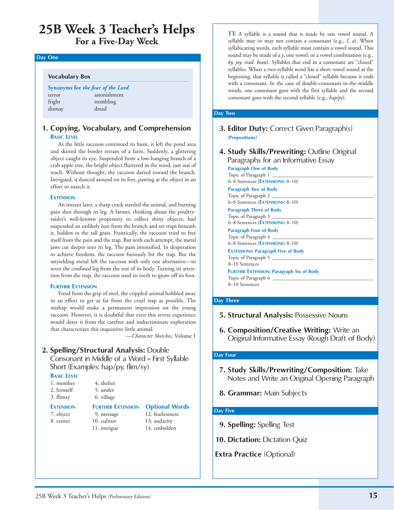## **25B Week 3 Teacher's Helps For a Five-Day Week**

## **Day One**

## **Vocabulary Box**

|        | Synonyms for <i>the fear of the Lord</i> |
|--------|------------------------------------------|
| terror | astonishment                             |
| fright | trembling                                |
| dismay | dread                                    |

## **1. Copying, Vocabulary, and Comprehension BASIC LEVEL**

As the little raccoon continued its hunt, it left the pond area and skirted the border stream of a farm. Suddenly, a glittering object caught its eye. Suspended from a low-hanging branch of a crab apple tree, the bright object fluttered in the wind, just out of reach. Without thought, the raccoon darted toward the branch. Intrigued, it danced around on its feet, pawing at the object in an effort to snatch it.

## **EXTENSION**

An instant later, a sharp crack startled the animal, and burning pain shot through its leg. A farmer, thinking about the poultryraider's well-known propensity to collect shiny objects, had suspended an unlikely lure from the branch and set traps beneath it, hidden in the tall grass. Frantically, the raccoon tried to free itself from the pain and the trap. But with each attempt, the metal jaws cut deeper into its leg. The pain intensified. In desperation to achieve freedom, the raccoon furiously bit the trap. But the unyielding metal left the raccoon with only one alternative—to sever the confined leg from the rest of its body. Turning its attention from the trap, the raccoon used its teeth to gnaw off its foot.

## **FURTHER EXTENSION**

Freed from the grip of steel, the crippled animal hobbled away in an effort to get as far from the cruel trap as possible. The mishap would make a permanent impression on the young raccoon. However, it is doubtful that even this severe experience would deter it from the carefree and indiscriminate exploration that characterizes this inquisitive little animal.

—*Character Sketches,* Volume I

## **2. Spelling/Structural Analysis:** Double

Consonant in Middle of a Word = First Syllable Short (Examples: hap/py, flim/sy)

## **BASIC LEVEL**

| 1. member        | 4. shelter               |                       |
|------------------|--------------------------|-----------------------|
| 2. himself       | 5. under                 |                       |
| 3. flimsy        | 6. village               |                       |
| <b>EXTENSION</b> | <b>FURTHER EXTENSION</b> | <b>Optional Words</b> |
| 7. object        | 9. message               | 12. fearlessness      |
| 8. center        | 10. culture              | 13. audacity          |
|                  | 11. intrigue             | 14. embolden          |
|                  |                          |                       |

**TT:** A syllable is a sound that is made by one vowel sound. A syllable may or may not contain a consonant (e.g., *I, a*). When syllabicating words, each syllable must contain a vowel sound. This sound may be made of a *y*, one vowel, or a vowel combination (e.g., *by, joy, read, beau*). Syllables that end in a consonant are "closed" syllables. When a two-syllable word has a short vowel sound at the beginning, that syllable is called a "closed" syllable because it ends with a consonant. In the case of double-consonant-in-the-middle words, one consonant goes with the first syllable and the second consonant goes with the second syllable (e.g., *hap/py*).

## **Day Two**

- **3. Editor Duty:** Correct Given Paragraph(s) **(Prepositions)**
- **4. Study Skills/Prewriting:** Outline Original Paragraphs for an Informative Essay

**Paragraph One of Body** Topic of Paragraph 1 6–8 Sentences (**EXTENSIONS:** 8–10) **Paragraph Two of Body** Topic of Paragraph 2 6–8 Sentences (**EXTENSIONS:** 8–10) **Paragraph Three of Body** Topic of Paragraph 3 6–8 Sentences (**EXTENSIONS:** 8–10) **Paragraph Four of Body** Topic of Paragraph 4 6–8 Sentences (**EXTENSIONS:** 8–10) **EXTENSIONS: Paragraph Five of Body** Topic of Paragraph 5 8–10 Sentences **FURTHER EXTENSION: Paragraph Six of Body** Topic of Paragraph 6 8–10 Sentences

## **Day Three**

- **5. Structural Analysis:** Possessive Nouns
- **6. Composition/Creative Writing:** Write an Original Informative Essay (Rough Draft of Body)

## **Day Four**

- **7. Study Skills/Prewriting/Composition:** Take Notes and Write an Original Opening Paragraph
- **8. Grammar:** Main Subjects

## **Day Five**

- **9. Spelling:** Spelling Test
- **10. Dictation:** Dictation Quiz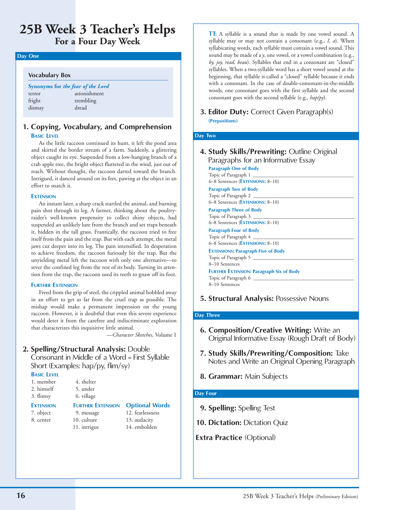## **25B Week 3 Teacher's Helps**

**For a Four Day Week**

## **Day One**

## **Vocabulary Box**

|        | Synonyms for <i>the fear of the Lord</i> |
|--------|------------------------------------------|
| terror | astonishment                             |
| fright | trembling                                |
| dismay | dread                                    |

## **1. Copying, Vocabulary, and Comprehension BASIC LEVEL**

As the little raccoon continued its hunt, it left the pond area and skirted the border stream of a farm. Suddenly, a glittering object caught its eye. Suspended from a low-hanging branch of a crab apple tree, the bright object fluttered in the wind, just out of reach. Without thought, the raccoon darted toward the branch. Intrigued, it danced around on its feet, pawing at the object in an effort to snatch it.

## **EXTENSION**

An instant later, a sharp crack startled the animal, and burning pain shot through its leg. A farmer, thinking about the poultryraider's well-known propensity to collect shiny objects, had suspended an unlikely lure from the branch and set traps beneath it, hidden in the tall grass. Frantically, the raccoon tried to free itself from the pain and the trap. But with each attempt, the metal jaws cut deeper into its leg. The pain intensified. In desperation to achieve freedom, the raccoon furiously bit the trap. But the unyielding metal left the raccoon with only one alternative—to sever the confined leg from the rest of its body. Turning its attention from the trap, the raccoon used its teeth to gnaw off its foot.

## **FURTHER EXTENSION**

Freed from the grip of steel, the crippled animal hobbled away in an effort to get as far from the cruel trap as possible. The mishap would make a permanent impression on the young raccoon. However, it is doubtful that even this severe experience would deter it from the carefree and indiscriminate exploration that characterizes this inquisitive little animal.

—*Character Sketches,* Volume I

## **2. Spelling/Structural Analysis:** Double

Consonant in Middle of a Word = First Syllable Short (Examples: hap/py, flim/sy)

## **BASIC LEVEL**

| 1. member        | 4. shelter               |                       |
|------------------|--------------------------|-----------------------|
| 2. himself       | 5. under                 |                       |
| 3. flimsy        | 6. village               |                       |
| <b>EXTENSION</b> | <b>FURTHER EXTENSION</b> | <b>Optional Words</b> |
| 7. object        | 9. message               | 12. fearlessness      |
| 8. center        | 10. culture              | 13. audacity          |
|                  | 11. intrigue             | 14. embolden          |

**TT:** A syllable is a sound that is made by one vowel sound. A syllable may or may not contain a consonant (e.g., *I, a*). When syllabicating words, each syllable must contain a vowel sound. This sound may be made of a *y*, one vowel, or a vowel combination (e.g., *by, joy, read, beau*). Syllables that end in a consonant are "closed" syllables. When a two-syllable word has a short vowel sound at the beginning, that syllable is called a "closed" syllable because it ends with a consonant. In the case of double-consonant-in-the-middle words, one consonant goes with the first syllable and the second consonant goes with the second syllable (e.g., *hap/py*).

## **3. Editor Duty:** Correct Given Paragraph(s) **(Prepositions)**

## **Day Two**

**4. Study Skills/Prewriting:** Outline Original Paragraphs for an Informative Essay

**Paragraph One of Body** Topic of Paragraph 1 6–8 Sentences (**EXTENSIONS:** 8–10) **Paragraph Two of Body** Topic of Paragraph 2 6–8 Sentences (**EXTENSIONS:** 8–10) **Paragraph Three of Body**

Topic of Paragraph 3 6–8 Sentences (**EXTENSIONS:** 8–10)

**Paragraph Four of Body** Topic of Paragraph 4

6–8 Sentences (**EXTENSIONS:** 8–10)

**EXTENSIONS: Paragraph Five of Body** Topic of Paragraph 5

8–10 Sentences

**FURTHER EXTENSION: Paragraph Six of Body** Topic of Paragraph 6 8–10 Sentences

**5. Structural Analysis:** Possessive Nouns

## **Day Three**

- **6. Composition/Creative Writing:** Write an Original Informative Essay (Rough Draft of Body)
- **7. Study Skills/Prewriting/Composition:** Take Notes and Write an Original Opening Paragraph
- **8. Grammar:** Main Subjects

## **Day Four**

- **9. Spelling:** Spelling Test
- **10. Dictation:** Dictation Quiz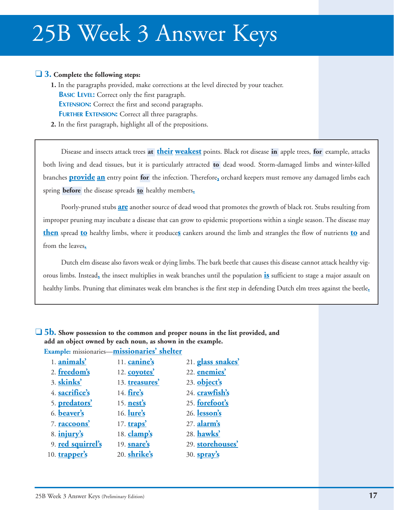# 25B Week 3 Answer Keys

## ❑ **3. Complete the following steps:**

- **1.** In the paragraphs provided, make corrections at the level directed by your teacher. **BASIC LEVEL:** Correct only the first paragraph. **EXTENSION:** Correct the first and second paragraphs. **FURTHER EXTENSION:** Correct all three paragraphs.
- **2.** In the first paragraph, highlight all of the prepositions.

Disease and insects attack trees at their weakest points. Black rot disease in apple trees, for example, attacks both living and dead tissues, but it is particularly attracted to dead wood. Storm-damaged limbs and winter-killed branches <mark>provide an</mark> entry point for the infection. Therefore, orchard keepers must remove any damaged limbs each spring **before** the disease spreads **to** healthy members.

Poorly-pruned stubs **are** another source of dead wood that promotes the growth of black rot. Stubs resulting from improper pruning may incubate a disease that can grow to epidemic proportions within a single season. The disease may **then** spread **to** healthy limbs, where it produce**s** cankers around the limb and strangles the flow of nutrients **to** and from the leaves**.**

Dutch elm disease also favors weak or dying limbs. The bark beetle that causes this disease cannot attack healthy vigorous limbs. Instead**,** the insect multiplies in weak branches until the population **is** sufficient to stage a major assault on healthy limbs. Pruning that eliminates weak elm branches is the first step in defending Dutch elm trees against the beetle**.**

## ❑ **5b. Show possession to the common and proper nouns in the list provided, and add an object owned by each noun, as shown in the example.**

**Example:** missionaries—**missionaries' shelter**

| 1. animals'       | 11. canine's             | 21. glass snakes' |
|-------------------|--------------------------|-------------------|
| 2. freedom's      | 12. coyotes'             | 22. enemies'      |
| 3. skinks'        | 13. treasures'           | 23. object's      |
| 4. sacrifice's    | 14. fire's               | 24. crawfish's    |
| 5. predators'     | $15.$ nest's             | 25. forefoot's    |
| 6. beaver's       | 16. lure's               | 26. lesson's      |
| 7. raccoons'      | $17.$ traps <sup>2</sup> | 27. alarm's       |
| 8. injury's       | 18. <b>clamp's</b>       | 28. hawks'        |
| 9. red squirrel's | 19. snare's              | 29. storehouses'  |
| 10. trapper's     | 20. shrike's             | 30. spray's       |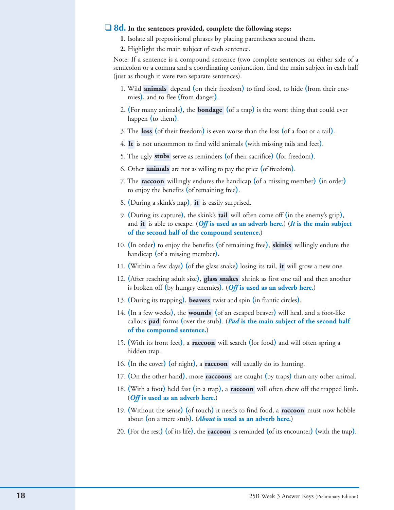## ❑ **8d. In the sentences provided, complete the following steps:**

- **1.** Isolate all prepositional phrases by placing parentheses around them.
- **2.** Highlight the main subject of each sentence.

Note: If a sentence is a compound sentence (two complete sentences on either side of a semicolon or a comma and a coordinating conjunction, find the main subject in each half (just as though it were two separate sentences).

- 1. Wild **animals** depend (on their freedom) to find food, to hide (from their enemies**)**, and to flee **(**from danger**)**.
- 2. (For many animals), the **bondage** (of a trap) is the worst thing that could ever happen **(**to them**)**.
- 3. The **(**of their freedom**)** is even worse than the loss **(**of a foot or a tail**)**. **loss**
- 4. is not uncommon to find wild animals **(**with missing tails and feet**)**. **It**
- 5. The ugly stubs serve as reminders (of their sacrifice) (for freedom).
- 6. Other **animals** are not as willing to pay the price (of freedom).
- 7. The **raccoon** willingly endures the handicap (of a missing member) (in order) to enjoy the benefits **(**of remaining free**)**.
- 8. **(**During a skink's nap**)**, is easily surprised. **it**
- 9. (During its capture), the skink's **tail** will often come off (in the enemy's grip), and it is able to escape. (Off is used as an adverb here.) (It is the main subject **of the second half of the compound sentence.**)
- 10. (In order) to enjoy the benefits (of remaining free), skinks willingly endure the handicap **(**of a missing member**)**.
- 11. (Within a few days) (of the glass snake) losing its tail, it will grow a new one.
- 12. (After reaching adult size), glass snakes shrink as first one tail and then another is broken off **(**by hungry enemies**)**. (*Off* **is used as an adverb here.**)
- 13. (During its trapping), **beavers** twist and spin (in frantic circles).
- 14. (In a few weeks), the **wounds** (of an escaped beaver) will heal, and a foot-like callous pad forms (over the stub). (*Pad* is the main subject of the second half **of the compound sentence.**)
- 15. (With its front feet), a **raccoon** will search (for food) and will often spring a hidden trap.
- 16. (In the cover) (of night), a **raccoon** will usually do its hunting.
- 17. (On the other hand), more **raccoons** are caught (by traps) than any other animal.
- 18. (With a foot) held fast (in a trap), a **raccoon** will often chew off the trapped limb. (*Off* **is used as an adverb here.**)
- 19. (Without the sense) (of touch) it needs to find food, a **raccoon** must now hobble about **(**on a mere stub**)**. (*About* **is used as an adverb here.**)
- 20.  $($ For the rest $)$   $($ of its life $)$ , the **raccoon** is reminded  $($ of its encounter $)$   $($ with the trap $)$ .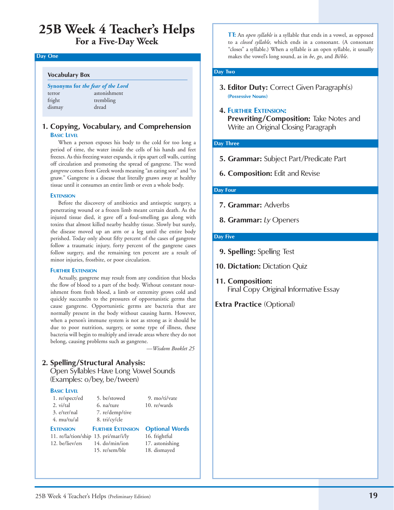## **25B Week 4 Teacher's Helps For a Five-Day Week**

## **Day One**

## **Vocabulary Box**

|        | <b>Synonyms for the fear of the Lord</b> |
|--------|------------------------------------------|
| terror | astonishment                             |
| fright | trembling                                |
| dismay | dread                                    |

## **1. Copying, Vocabulary, and Comprehension BASIC LEVEL**

When a person exposes his body to the cold for too long a period of time, the water inside the cells of his hands and feet freezes. As this freezing water expands, it rips apart cell walls, cutting off circulation and promoting the spread of gangrene. The word *gangrene* comes from Greek words meaning "an eating sore" and "to gnaw." Gangrene is a disease that literally gnaws away at healthy tissue until it consumes an entire limb or even a whole body.

#### **EXTENSION**

Before the discovery of antibiotics and antiseptic surgery, a penetrating wound or a frozen limb meant certain death. As the injured tissue died, it gave off a foul-smelling gas along with toxins that almost killed nearby healthy tissue. Slowly but surely, the disease moved up an arm or a leg until the entire body perished. Today only about fifty percent of the cases of gangrene follow a traumatic injury, forty percent of the gangrene cases follow surgery, and the remaining ten percent are a result of minor injuries, frostbite, or poor circulation.

#### **FURTHER EXTENSION**

Actually, gangrene may result from any condition that blocks the flow of blood to a part of the body. Without constant nourishment from fresh blood, a limb or extremity grows cold and quickly succumbs to the pressures of opportunistic germs that cause gangrene. Opportunistic germs are bacteria that are normally present in the body without causing harm. However, when a person's immune system is not as strong as it should be due to poor nutrition, surgery, or some type of illness, these bacteria will begin to multiply and invade areas where they do not belong, causing problems such as gangrene.

—*Wisdom Booklet 25*

## **2. Spelling/Structural Analysis:**  Open Syllables Have Long Vowel Sounds (Examples: o/bey, be/tween) **BASIC LEVEL**

| <b>EXTENSION</b> | <b>FURTHER EXTENSION Optional Words</b> |               |
|------------------|-----------------------------------------|---------------|
| 4. mu/tu/al      | 8. tri/cy/cle                           |               |
| 3. e/ter/nal     | 7. re/demp/tive                         |               |
| $2.$ vi/tal      | 6. na/ture                              | 10. re/wards  |
| 1. re/spect/ed   | 5. be/stowed                            | 9. mo/ti/vate |
|                  |                                         |               |

11. re/la/tion/ship 13. pri/mar/i/ly 16. frightful

12. be/liev/ers 14. do/min/ion 17. astonishing 15. re/sem/ble 18. dismayed

**TT:** An *open syllable* is a syllable that ends in a vowel, as opposed to a *closed syllable,* which ends in a consonant. (A consonant "closes" a syllable.) When a syllable is an open syllable, it usually makes the vowel's long sound, as in *be*, *go*, and *Bi/ble*.

## **Day Two**

- **3. Editor Duty:** Correct Given Paragraph(s) **(Possessive Nouns)**
- **4. FURTHER EXTENSION: Prewriting/Composition:** Take Notes and Write an Original Closing Paragraph

## **Day Three**

- **5. Grammar:** Subject Part/Predicate Part
- **6. Composition:** Edit and Revise

## **Day Four**

- **7. Grammar:** Adverbs
- **8. Grammar:** *Ly* Openers

## **Day Five**

- **9. Spelling:** Spelling Test
- **10. Dictation:** Dictation Quiz
- **11. Composition:**  Final Copy Original Informative Essay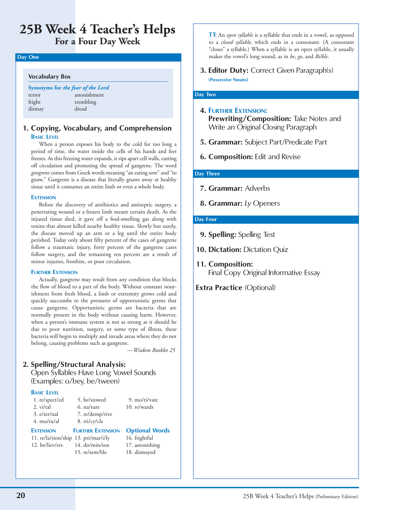## **25B Week 4 Teacher's Helps For a Four Day Week**

## **Day One**

#### **Vocabulary Box**

|        | Synonyms for <i>the fear of the Lord</i> |
|--------|------------------------------------------|
| terror | astonishment                             |
| fright | trembling                                |
| dismay | dread                                    |

## **1. Copying, Vocabulary, and Comprehension BASIC LEVEL**

When a person exposes his body to the cold for too long a period of time, the water inside the cells of his hands and feet freezes. As this freezing water expands, it rips apart cell walls, cutting off circulation and promoting the spread of gangrene. The word *gangrene* comes from Greek words meaning "an eating sore" and "to gnaw." Gangrene is a disease that literally gnaws away at healthy tissue until it consumes an entire limb or even a whole body.

## **EXTENSION**

Before the discovery of antibiotics and antiseptic surgery, a penetrating wound or a frozen limb meant certain death. As the injured tissue died, it gave off a foul-smelling gas along with toxins that almost killed nearby healthy tissue. Slowly but surely, the disease moved up an arm or a leg until the entire body perished. Today only about fifty percent of the cases of gangrene follow a traumatic injury, forty percent of the gangrene cases follow surgery, and the remaining ten percent are a result of minor injuries, frostbite, or poor circulation.

## **FURTHER EXTENSION**

Actually, gangrene may result from any condition that blocks the flow of blood to a part of the body. Without constant nourishment from fresh blood, a limb or extremity grows cold and quickly succumbs to the pressures of opportunistic germs that cause gangrene. Opportunistic germs are bacteria that are normally present in the body without causing harm. However, when a person's immune system is not as strong as it should be due to poor nutrition, surgery, or some type of illness, these bacteria will begin to multiply and invade areas where they do not belong, causing problems such as gangrene.

—*Wisdom Booklet 25*

## **2. Spelling/Structural Analysis:**

Open Syllables Have Long Vowel Sounds (Examples: o/bey, be/tween)

## **BASIC LEVEL**

| <b>EXTENSION</b> | <b>FURTHER EXTENSION Optional Words</b> |               |
|------------------|-----------------------------------------|---------------|
| 4. mu/tu/al      | 8. tri/cy/cle                           |               |
| 3. e/ter/nal     | 7. re/demp/tive                         |               |
| 2. vi/tal        | $6.$ na/ture                            | 10. re/wards  |
| 1. re/spect/ed   | 5. be/stowed                            | 9. mo/ti/vate |

11. re/la/tion/ship 13. pri/mar/i/ly 16. frightful 12. be/liev/ers 14. do/min/ion 17. astonishing 15. re/sem/ble 18. dismayed

**TT:** An *open syllable* is a syllable that ends in a vowel, as opposed to a *closed syllable,* which ends in a consonant. (A consonant "closes" a syllable.) When a syllable is an open syllable, it usually makes the vowel's long sound, as in *be*, *go*, and *Bi/ble*.

**3. Editor Duty:** Correct Given Paragraph(s) **(Possessive Nouns)**

## **Day Two**

- **4. FURTHER EXTENSION: Prewriting/Composition:** Take Notes and Write an Original Closing Paragraph
- **5. Grammar:** Subject Part/Predicate Part
- **6. Composition:** Edit and Revise

## **Day Three**

- **7. Grammar:** Adverbs
- **8. Grammar:** *Ly* Openers

## **Day Four**

- **9. Spelling:** Spelling Test
- **10. Dictation:** Dictation Quiz
- **11. Composition:**  Final Copy Original Informative Essay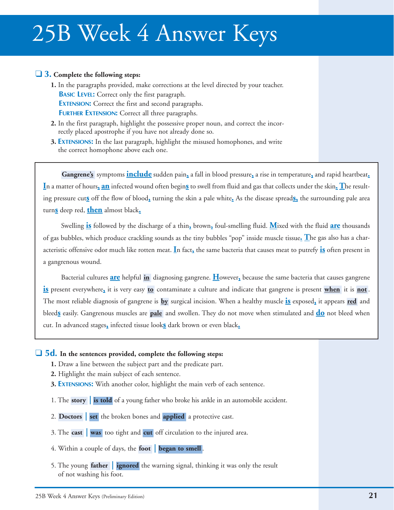# 25B Week 4 Answer Keys

## ❑ **3. Complete the following steps:**

- **1.** In the paragraphs provided, make corrections at the level directed by your teacher. **BASIC LEVEL:** Correct only the first paragraph. **EXTENSION:** Correct the first and second paragraphs. **FURTHER EXTENSION:** Correct all three paragraphs.
- **2.** In the first paragraph, highlight the possessive proper noun, and correct the incorrectly placed apostrophe if you have not already done so.
- **3. EXTENSIONS:** In the last paragraph, highlight the misused homophones, and write the correct homophone above each one.

symptoms **include** sudden pain**,** a fall in blood pressure**,** a rise in temperature**,** and rapid heartbeat**. Gangrene'sI**n a matter of hours**, an** infected wound often begin**s** to swell from fluid and gas that collects under the skin**. T**he resulting pressure cut**s** off the flow of blood**,** turning the skin a pale white**.** As the disease spread**s,** the surrounding pale area turn**s** deep red, **then** almost black**.**

Swelling **is** followed by the discharge of a thin**,** brown**,** foul-smelling fluid. **M**ixed with the fluid **are** thousands of gas bubbles, which produce crackling sounds as the tiny bubbles "pop" inside muscle tissue**. T**he gas also has a characteristic offensive odor much like rotten meat. **I**n fact**,** the same bacteria that causes meat to putrefy **is** often present in a gangrenous wound.

Bacterial cultures <mark>are</mark> helpful in diagnosing gangrene. However, because the same bacteria that causes gangrene  $\frac{\textbf{is}}{\textbf{is}}$  present everywhere, it is very easy  $\frac{\textbf{to}}{\textbf{co}}$  contaminate a culture and indicate that gangrene is present  $\frac{\textbf{when}}{\textbf{when}}$  it is  $\frac{\textbf{not}}{\textbf{in}}$ . The most reliable diagnosis of gangrene is  $\bf{by}$  surgical incision. When a healthy muscle  $\bf{\underline{is}}$  exposed<u>,</u> it appears  $\bf{\underline{red}}$  and bleed<u>s</u> easily. Gangrenous muscles are <mark>pale</mark> and swollen. They do not move when stimulated and <mark>do</mark> not bleed when cut. In advanced stages**,** infected tissue look**s** dark brown or even black**.**

## ❑ **5d. In the sentences provided, complete the following steps:**

- **1.** Draw a line between the subject part and the predicate part.
- **2.** Highlight the main subject of each sentence.
- **3. EXTENSIONS:** With another color, highlight the main verb of each sentence.
- 1. The **story** is told of a young father who broke his ankle in an automobile accident.
- 2. Doctors set the broken bones and **applied** a protective cast.
- 3. The **cast was** too tight and **cut** off circulation to the injured area.
- 4. Within a couple of days, the **foot began to smell**.
- 5. The young **father ignored** the warning signal, thinking it was only the result of not washing his foot.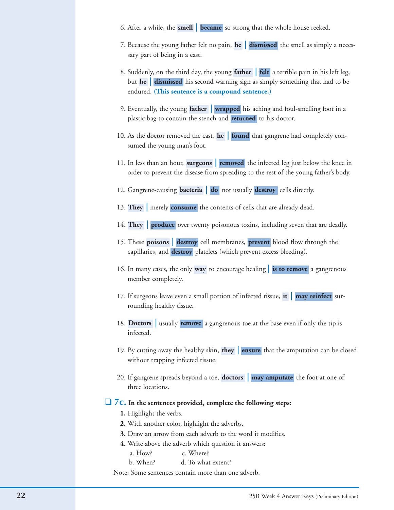- 6. After a while, the **smell became** so strong that the whole house reeked.
- 7. Because the young father felt no pain, he dismissed the smell as simply a necessary part of being in a cast.
- 8. Suddenly, on the third day, the young **father** | **felt** a terrible pain in his left leg, but he **dismissed** his second warning sign as simply something that had to be endured. **(This sentence is a compound sentence.)**
- 9. Eventually, the young **father** wrapped his aching and foul-smelling foot in a plastic bag to contain the stench and returned to his doctor.
- 10. As the doctor removed the cast, **he found** that gangrene had completely consumed the young man's foot.
- 11. In less than an hour, **surgeons** removed the infected leg just below the knee in order to prevent the disease from spreading to the rest of the young father's body.
- 12. Gangrene-causing **bacteria** do not usually destroy cells directly.
- 13. They merely consume the contents of cells that are already dead.
- 14. They produce over twenty poisonous toxins, including seven that are deadly.
- 15. These **poisons** destroy cell membranes, **prevent** blood flow through the capillaries, and **destroy** platelets (which prevent excess bleeding).
- 16. In many cases, the only **way** to encourage healing **is to remove** a gangrenous member completely.
- 17. If surgeons leave even a small portion of infected tissue, it **may reinfect** surrounding healthy tissue.
- 18. Doctors usually **remove** a gangrenous toe at the base even if only the tip is infected.
- 19. By cutting away the healthy skin, **they ensure** that the amputation can be closed without trapping infected tissue.
- 20. If gangrene spreads beyond a toe, **doctors may amputate** the foot at one of three locations.

## ❑ **7c. In the sentences provided, complete the following steps:**

- **1.** Highlight the verbs.
- **2.** With another color, highlight the adverbs.
- **3.** Draw an arrow from each adverb to the word it modifies.
- **4.** Write above the adverb which question it answers:
	- a. How? c. Where?
	- b. When? d. To what extent?

Note: Some sentences contain more than one adverb.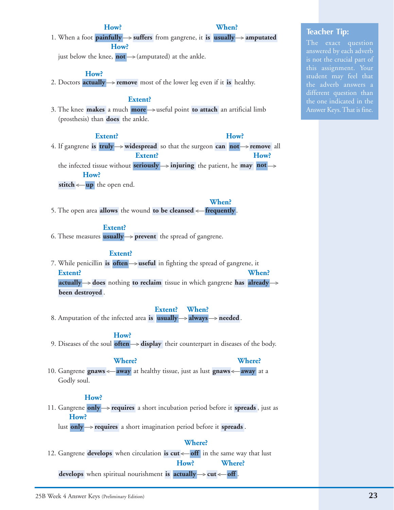## **How? When?**

1. When a foot **painfully**  $\rightarrow$  suffers from gangrene, it is **usually**  $\rightarrow$  amputated **Tip: Teacher Tip: How?**

just below the knee,  $not \rightarrow$  (amputated) at the ankle.

## **How?**

2. Doctors **actually**  $\rightarrow$  **remove** most of the lower leg even if it is healthy.

## **Extent?**

3. The knee **makes** a much **more**  $\rightarrow$  useful point **to attach** an artificial limb (prosthesis) than **does** the ankle.

## Extent? How? 4. If gangrene is **truly**  $\rightarrow$  widespread so that the surgeon can not  $\rightarrow$  remove all Extent? How?  $\mathbf{r}$  the infected tissue without **seriously**  $\rightarrow$  **injuring** the patient, he may not  $\rightarrow$ **How? stitch** $\leftarrow$ **up** the open end.

5. The open area **allows** the wound to be cleansed  $\leftarrow$  frequently.

## **Extent?**

6. These measures **usually**  $\rightarrow$  **prevent** the spread of gangrene.

## **Extent?**

7. While penicillin **is often**  $\rightarrow$  **useful** in fighting the spread of gangrene, it **Extent? When? actually**  $\rightarrow$  **does** nothing **to reclaim** tissue in which gangrene has already  $\rightarrow$ . **been destroyed**

**Extent? When?**

**When?**

8. Amputation of the infected area is usually  $\rightarrow$  always  $\rightarrow$  needed.

## **How?**

## 9. Diseases of the soul **often**  $\rightarrow$  **display** their counterpart in diseases of the body.

## **Where? Where?**

10. Gangrene **gnaws** < away at healthy tissue, just as lust **gnaws** < away at a Godly soul.

## **How?**

11. Gangrene **only**  $\rightarrow$  **requires** a short incubation period before it **spreads**, just as **How?**

lust **only**  $\rightarrow$  **requires** a short imagination period before it **spreads**.

## **Where?**

12. Gangrene **develops** when circulation **is cut**  $\leftarrow$  **off** in the same way that lust **How? Where?**

**develops** when spiritual nourishment is **actually**  $\rightarrow$  cut  $\leftarrow$  off.

The exact question answered by each adverb is not the crucial part of this assignment. Your student may feel that different question than Answer Keys. That is fine.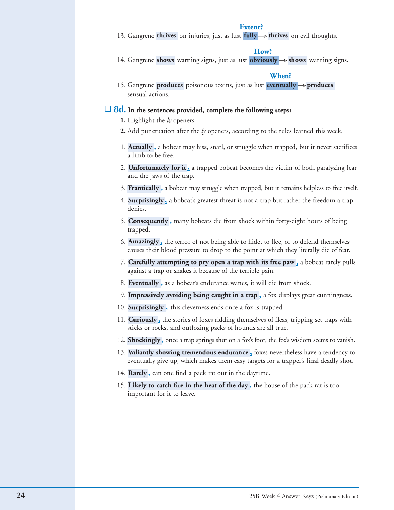## **Extent?**

13. Gangrene **thrives** on injuries, just as lust  $\frac{fully}{\rightarrow}$  thrives on evil thoughts.

## **How?**

14. Gangrene **shows** warning signs, just as lust **obviously**  $\rightarrow$  **shows** warning signs.

## **When?**

15. Gangrene **produces** poisonous toxins, just as lust **eventually**  $\rightarrow$  **produces** sensual actions.

## ❑ **8d. In the sentences provided, complete the following steps:**

- **1.** Highlight the *ly* openers.
- **2.** Add punctuation after the *ly* openers, according to the rules learned this week.
- 1. Actually, a bobcat may hiss, snarl, or struggle when trapped, but it never sacrifices a limb to be free.
- 2. **Unfortunately for it**, a trapped bobcat becomes the victim of both paralyzing fear and the jaws of the trap.
- 3. Frantically, a bobcat may struggle when trapped, but it remains helpless to free itself.
- 4. Surprisingly, a bobcat's greatest threat is not a trap but rather the freedom a trap denies.
- 5. Consequently, many bobcats die from shock within forty-eight hours of being trapped.
- 6. Amazingly, the terror of not being able to hide, to flee, or to defend themselves causes their blood pressure to drop to the point at which they literally die of fear.
- 7. Carefully attempting to pry open a trap with its free paw, a bobcat rarely pulls against a trap or shakes it because of the terrible pain.
- 8. Eventually, as a bobcat's endurance wanes, it will die from shock.
- 9. Impressively avoiding being caught in a trap<sub>2</sub> a fox displays great cunningness.
- 10. **Surprisingly**, this cleverness ends once a fox is trapped.
- 11. Curiously, the stories of foxes ridding themselves of fleas, tripping set traps with sticks or rocks, and outfoxing packs of hounds are all true.
- 12. **Shockingly**, once a trap springs shut on a fox's foot, the fox's wisdom seems to vanish.
- 13. Valiantly showing tremendous endurance, foxes nevertheless have a tendency to eventually give up, which makes them easy targets for a trapper's final deadly shot.
- 14. Rarely, can one find a pack rat out in the daytime.
- 15. Likely to catch fire in the heat of the day, the house of the pack rat is too important for it to leave.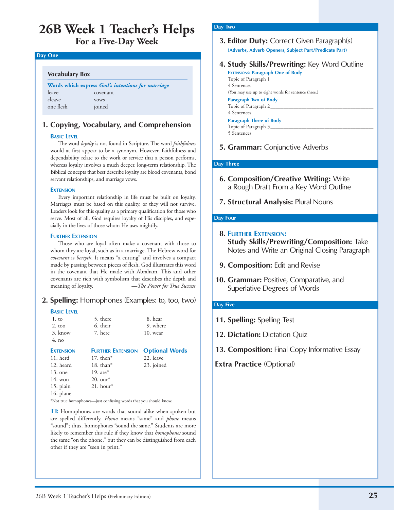## **26B Week 1 Teacher's Helps For a Five-Day Week**

## **Day One**

## **Vocabulary Box**

|           | Words which express God's intentions for marriage |
|-----------|---------------------------------------------------|
| leave     | covenant                                          |
| cleave    | <b>VOWS</b>                                       |
| one flesh | joined                                            |

## **1. Copying, Vocabulary, and Comprehension**

## **BASIC LEVEL**

The word *loyalty* is not found in Scripture. The word *faithfulness* would at first appear to be a synonym. However, faithfulness and dependability relate to the work or service that a person performs, whereas loyalty involves a much deeper, long-term relationship. The Biblical concepts that best describe loyalty are blood covenants, bond servant relationships, and marriage vows.

## **EXTENSION**

Every important relationship in life must be built on loyalty. Marriages must be based on this quality, or they will not survive. Leaders look for this quality as a primary qualification for those who serve. Most of all, God requires loyalty of His disciples, and especially in the lives of those whom He uses mightily.

## **FURTHER EXTENSION**

Those who are loyal often make a covenant with those to whom they are loyal, such as in a marriage. The Hebrew word for *covenant* is *beriyth*. It means "a cutting" and involves a compact made by passing between pieces of flesh. God illustrates this word in the covenant that He made with Abraham. This and other covenants are rich with symbolism that describes the depth and meaning of loyalty. —*The Power for True Success*

## **2. Spelling:** Homophones (Examples: to, too, two)

## **BASIC LEVEL**

| 1.1 <sub>o</sub> | 5. there                 | 8. hear               |
|------------------|--------------------------|-----------------------|
| $2.~\text{too}$  | 6. their                 | 9. where              |
| 3. know          | 7. here                  | $10.$ wear            |
| 4. no            |                          |                       |
| <b>EXTENSION</b> | <b>FURTHER EXTENSION</b> | <b>Optional Words</b> |
| $11.$ herd       | 17. then $*$             | 22. leave             |
| 12. heard        | 18. than $*$             | 23. joined            |
| $13.$ one        | 19. $are^*$              |                       |
| $14.$ won        | $20.$ our <sup>*</sup>   |                       |
| 15. plain        | $21. hour*$              |                       |
| 16. plane        |                          |                       |

\*Not true homophones—just confusing words that you should know.

**TT:** Homophones are words that sound alike when spoken but are spelled differently. *Homo* means "same" and *phone* means "sound"; thus, homophones "sound the same." Students are more likely to remember this rule if they know that *homophones* sound the same "on the phone," but they can be distinguished from each other if they are "seen in print."

## **Day Two**

- **3. Editor Duty:** Correct Given Paragraph(s) **(Adverbs, Adverb Openers, Subject Part/Predicate Part)**
- **4. Study Skills/Prewriting:** Key Word Outline

| <b>EXTENSIONS: Paragraph One of Body</b>            |
|-----------------------------------------------------|
| Topic of Paragraph 1                                |
| 4 Sentences                                         |
| (You may use up to eight words for sentence three.) |
| Paragraph Two of Body                               |
| Topic of Paragraph 2                                |
| 4 Sentences                                         |
| <b>Paragraph Three of Body</b>                      |
| Topic of Paragraph 3                                |
| 5 Sentences                                         |
|                                                     |

**5. Grammar:** Conjunctive Adverbs

## **Day Three**

- **6. Composition/Creative Writing:** Write a Rough Draft From a Key Word Outline
- **7. Structural Analysis:** Plural Nouns

## **Day Four**

- **8. FURTHER EXTENSION: Study Skills/Prewriting/Composition:** Take Notes and Write an Original Closing Paragraph
- **9. Composition:** Edit and Revise
- **10. Grammar:** Positive, Comparative, and Superlative Degrees of Words

## **Day Five**

- **11. Spelling:** Spelling Test
- **12. Dictation:** Dictation Quiz
- **13. Composition:** Final Copy Informative Essay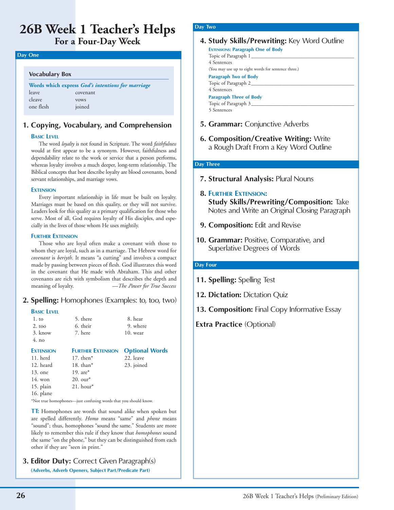## **26B Week 1 Teacher's Helps**

**For a Four-Day Week**

## **Day One**

| <b>Vocabulary Box</b>                             |             |  |
|---------------------------------------------------|-------------|--|
| Words which express God's intentions for marriage |             |  |
| leave                                             | covenant    |  |
| cleave                                            | <b>VOWS</b> |  |
| one flesh                                         | joined      |  |

## **1. Copying, Vocabulary, and Comprehension**

## **BASIC LEVEL**

The word *loyalty* is not found in Scripture. The word *faithfulness* would at first appear to be a synonym. However, faithfulness and dependability relate to the work or service that a person performs, whereas loyalty involves a much deeper, long-term relationship. The Biblical concepts that best describe loyalty are blood covenants, bond servant relationships, and marriage vows.

## **EXTENSION**

Every important relationship in life must be built on loyalty. Marriages must be based on this quality, or they will not survive. Leaders look for this quality as a primary qualification for those who serve. Most of all, God requires loyalty of His disciples, and especially in the lives of those whom He uses mightily.

## **FURTHER EXTENSION**

Those who are loyal often make a covenant with those to whom they are loyal, such as in a marriage. The Hebrew word for *covenant* is *beriyth*. It means "a cutting" and involves a compact made by passing between pieces of flesh. God illustrates this word in the covenant that He made with Abraham. This and other covenants are rich with symbolism that describes the depth and meaning of loyalty. —*The Power for True Success*

## **2. Spelling:** Homophones (Examples: to, too, two)

## **BASIC LEVEL**

| 1.1 <sub>o</sub>             | 5. there                                                | 8. hear    |
|------------------------------|---------------------------------------------------------|------------|
| $2.~\text{too}$              | 6. their                                                | 9. where   |
| 3. know<br>4. no             | 7. here                                                 | $10.$ wear |
| <b>EXTENSION</b><br>11. herd | <b>FURTHER EXTENSION Optional Words</b><br>17. then $*$ | 22. leave  |

| .         | $1/1$ . $11/11$        | ___.       |
|-----------|------------------------|------------|
| 12. heard | 18. than $*$           | 23. joined |
| $13.$ one | 19. $are^*$            |            |
| $14.$ won | $20.$ our <sup>*</sup> |            |
| 15. plain | $21. hour*$            |            |
| 16. plane |                        |            |
|           |                        |            |

\*Not true homophones—just confusing words that you should know.

**TT:** Homophones are words that sound alike when spoken but are spelled differently. *Homo* means "same" and *phone* means "sound"; thus, homophones "sound the same." Students are more likely to remember this rule if they know that *homophones* sound the same "on the phone," but they can be distinguished from each other if they are "seen in print."

**3. Editor Duty:** Correct Given Paragraph(s)

**(Adverbs, Adverb Openers, Subject Part/Predicate Part)**

## **Day Two**

**4. Study Skills/Prewriting:** Key Word Outline

```
EXTENSIONS: Paragraph One of Body
Topic of Paragraph 1_
4 Sentences
(You may use up to eight words for sentence three.)
Paragraph Two of Body
Topic of Paragraph 2_
4 Sentences
Paragraph Three of Body
Topic of Paragraph 3
```
5 Sentences

- **5. Grammar:** Conjunctive Adverbs
- **6. Composition/Creative Writing:** Write a Rough Draft From a Key Word Outline

## **Day Three**

- **7. Structural Analysis:** Plural Nouns
- **8. FURTHER EXTENSION: Study Skills/Prewriting/Composition:** Take Notes and Write an Original Closing Paragraph
- **9. Composition: Edit and Revise**
- **10. Grammar:** Positive, Comparative, and Superlative Degrees of Words

## **Day Four**

- **11. Spelling:** Spelling Test
- **12. Dictation:** Dictation Quiz
- 13. Composition: Final Copy Informative Essay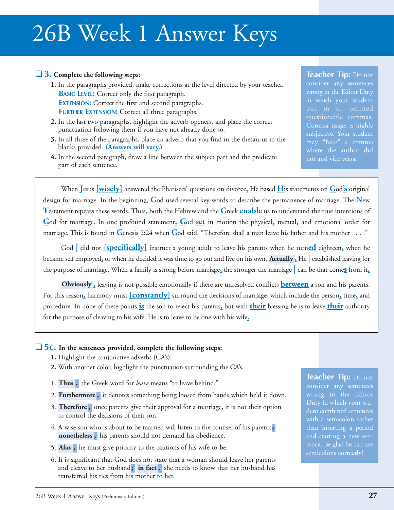# 26B Week 1 Answer Keys

## ❑ **3. Complete the following steps:**

**1.** In the paragraphs provided, make corrections at the level directed by your teacher. **BASIC LEVEL:** Correct only the first paragraph. **EXTENSION:** Correct the first and second paragraphs. **FURTHER EXTENSION:** Correct all three paragraphs.

- **2.** In the last two paragraphs, highlight the adverb openers, and place the correct punctuation following them if you have not already done so.
- **3.** In all three of the paragraphs, place an adverb that you find in the thesaurus in the blanks provided. **(Answers will vary.)**
- **4.** In the second paragraph, draw a line between the subject part and the predicate part of each sentence.

**Teacher Tip:** Do not wrong in the Editor Duty in which your student questionable commas. Comma usage is highly subjective. Your student may "hear" a comma where the author did not and vice versa.

When **J**esus **[wisely]** answered the Pharisees' questions on divorce**,** He based **H**is statements on **G**od**'s** original design for marriage. In the beginning, **G**od used several key words to describe the permanence of marriage. The **N**ew **T**estament repeat**s** these words. Thus**,** both the Hebrew and the **G**reek **enable** us to understand the true intentions of **G**od for marriage. In one profound statement**, G**od **set** in motion the physical**,** mental**,** and emotional order for marriage. This is found in **G**enesis 2:24 when **G**od said, "Therefore shall a man leave his father and his mother . . . ."

God **|** did not **[specifically]** instruct a young adult to leave his parents when he turn**ed** eighteen**,** when he became self employed, or when he decided it was time to go out and live on his own. Actually , He | established leaving for the purpose of marriage. When a family is strong before marriage**,** the stronger the marriage **|** can be that come**s** from it**.**

**,** leaving is not possible emotionally if there are unresolved conflicts **between** a son and his parents. **Obviously** For this reason**,** harmony must **[constantly]** surround the decisions of marriage, which include the person**,** time**,** and procedure. In none of these points **is** the son to reject his parents**,** but with **their** blessing he is to leave **their** authority for the purpose of cleaving to his wife. He is to leave to be one with his wife**.**

## ❑ **5c. In the sentences provided, complete the following steps:**

- **1.** Highlight the conjunctive adverbs (CA's).
- **2.** With another color, highlight the punctuation surrounding the CA's.
- 1. Thus, the Greek word for *leave* means "to leave behind."
- 2. **Furthermore** , it denotes something being loosed from bands which held it down.
- 3. Therefore, once parents give their approval for a marriage, it is not their option to control the decisions of their son.
- 4. A wise son who is about to be married will listen to the counsel of his parents **; nonetheless**, his parents should not demand his obedience.
- 5. he must give priority to the cautions of his wife-to-be. **Alas ,**
- 6. It is significant that God does not state that a woman should leave her parents and cleave to her husband<mark>; in fact ,</mark> she needs to know that her husband has transferred his ties from his mother to her.

**Teacher Tip:** Do not wrong in the Editor Duty in which your student combined sentences with a semicolon rather than inserting a period and starting a new sentence. Be glad he can use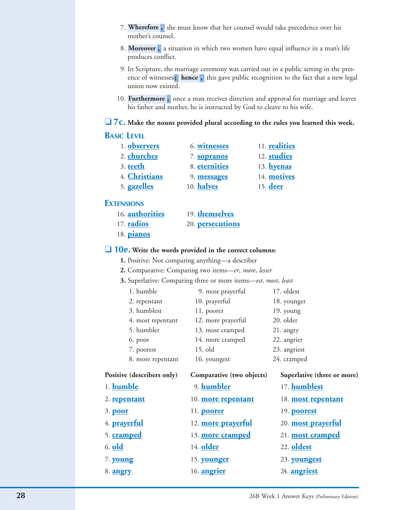- 7. Wherefore , she must know that her counsel would take precedence over his mother's counsel.
- 8. Moreover, a situation in which two women have equal influence in a man's life produces conflict.
- 9. In Scripture, the marriage ceremony was carried out in a public setting in the presence of witnesses; hence, this gave public recognition to the fact that a new legal union now existed.
- 10. Furthermore , once a man receives direction and approval for marriage and leaves his father and mother, he is instructed by God to cleave to his wife.

❑ **7c. Make the nouns provided plural according to the rules you learned this week.**

## **BASIC LEVEL**

| 1. observers  | 6. witnesses  | 11. realities     |
|---------------|---------------|-------------------|
| 2. churches   | 7. sopranos   | 12. studies       |
| 3. teeth      | 8. eternities | 13. <b>hyenas</b> |
| 4. Christians | 9. messages   | 14. motives       |
| 5. gazelles   | 10. halves    | 15. deer          |

## **EXTENSIONS**

| 16. authorities | 19. themselves   |
|-----------------|------------------|
| 17. radios      | 20. persecutions |

- 18. **pianos**
- ❑ **10e. Write the words provided in the correct columns:**
	- **1.** Positive: Not comparing anything—a describer
	- **2.** Comparative: Comparing two items—*er*, *more*, *lesser*
	- **3.** Superlative: Comparing three or more items—*est*, *most*, *least*

| 1. humble                  | 9. most prayerful         | 17. oldest                  |
|----------------------------|---------------------------|-----------------------------|
| 2. repentant               | 10. prayerful             | 18. younger                 |
| 3. humblest                | 11. poorer                | 19. young                   |
| 4. most repentant          | 12. more prayerful        | 20. older                   |
| 5. humbler                 | 13. most cramped          | 21. angry                   |
| 6. poor                    | 14. more cramped          | 22. angrier                 |
| 7. poorest                 | 15. old                   | 23. angriest                |
| 8. more repentant          | 16. youngest              | 24. cramped                 |
| Positive (describers only) | Comparative (two objects) | Superlative (three or more) |
| 1. humble                  | 9. humbler                | 17. humblest                |
| 2. repentant               | 10. more repentant        | 18. most repentant          |
| 3. <b>poor</b>             | 11. <b>poorer</b>         | 19. poorest                 |
| 4. <u>prayerful</u>        | 12. more prayerful        | 20. most prayerful          |
| 5. cramped                 | 13. more cramped          | 21. most cramped            |

- 6. **old** 14. **older** 22. **oldest**
- 7. **young** 15. **younger** 23. **youngest**
-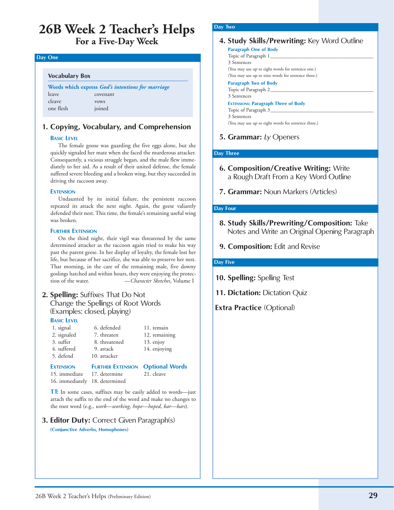## **26B Week 2 Teacher's Helps For a Five-Day Week**

## **Day One**

#### **Vocabulary Box**

|           | Words which express God's intentions for marriage |
|-----------|---------------------------------------------------|
| leave     | covenant                                          |
| cleave    | <b>VOWS</b>                                       |
| one flesh | joined                                            |

## **1. Copying, Vocabulary, and Comprehension**

## **BASIC LEVEL**

The female goose was guarding the five eggs alone, but she quickly signaled her mate when she faced the murderous attacker. Consequently, a vicious struggle began, and the male flew immediately to her aid. As a result of their united defense, the female suffered severe bleeding and a broken wing, but they succeeded in driving the raccoon away.

## **EXTENSION**

Undaunted by its initial failure, the persistent raccoon repeated its attack the next night. Again, the geese valiantly defended their nest. This time, the female's remaining useful wing was broken.

## **FURTHER EXTENSION**

On the third night, their vigil was threatened by the same determined attacker as the raccoon again tried to make his way past the parent geese. In her display of loyalty, the female lost her life, but because of her sacrifice, she was able to preserve her nest. That morning, in the care of the remaining male, five downy goslings hatched and within hours, they were enjoying the protection of the water. —*Character Sketches*, Volume I

## **2. Spelling:** Suffixes That Do Not Change the Spellings of Root Words (Examples: closed, playing)

## **BASIC LEVEL**

| <b>EXTENSION</b> | <b>FURTHER EXTENSION Optional Words</b> |               |
|------------------|-----------------------------------------|---------------|
| 5. defend        | 10. attacker                            |               |
| 4. suffered      | 9. attack                               | 14. enjoying  |
| 3. suffer        | 8. threatened                           | 13. enjoy     |
| 2. signaled      | 7. threaten                             | 12. remaining |
| 1. signal        | 6. defended                             | 11. remain    |

| 15. immediate | 17. determine                  | 21. cleave |
|---------------|--------------------------------|------------|
|               | 16. immediately 18. determined |            |

**TT:** In some cases, suffixes may be easily added to words—just attach the suffix to the end of the word and make no changes to the root word (e.g., *work*—*working*, *hope*—*hoped*, *bar*—*bars*).

## **3. Editor Duty:** Correct Given Paragraph(s)

**(Conjunctive Adverbs, Homophones)**

## **Day Two**

## **4. Study Skills/Prewriting:** Key Word Outline

| <b>Paragraph One of Body</b>                        |
|-----------------------------------------------------|
| Topic of Paragraph 1                                |
| 3 Sentences                                         |
| (You may use up to eight words for sentence one.)   |
| (You may use up to nine words for sentence three.)  |
| Paragraph Two of Body                               |
| Topic of Paragraph 2                                |
| 3 Sentences                                         |
| <b>EXTENSIONS: Paragraph Three of Body</b>          |
| Topic of Paragraph 3                                |
| 3 Sentences                                         |
| (You may use up to eight words for sentence three.) |

## **5. Grammar:** *Ly* Openers

## **Day Three**

- **6. Composition/Creative Writing:** Write a Rough Draft From a Key Word Outline
- **7. Grammar:** Noun Markers (Articles)

## **Day Four**

- **8. Study Skills/Prewriting/Composition:** Take Notes and Write an Original Opening Paragraph
- **9. Composition:** Edit and Revise

## **Day Five**

- **10. Spelling:** Spelling Test
- **11. Dictation:** Dictation Quiz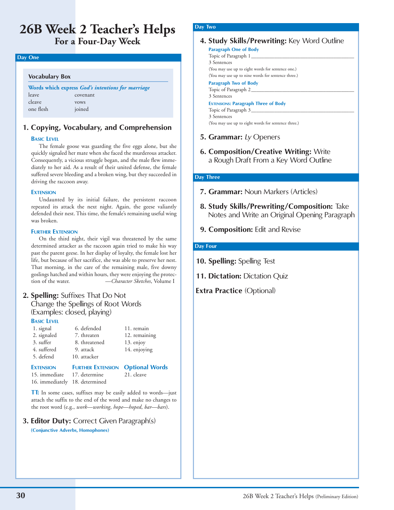## **26B Week 2 Teacher's Helps**

**For a Four-Day Week**

## **Day One**

## **Vocabulary Box**

|           | Words which express <i>God's intentions for marriage</i> |
|-----------|----------------------------------------------------------|
| leave     | covenant                                                 |
| cleave    | <b>VOWS</b>                                              |
| one flesh | joined                                                   |
|           |                                                          |

## **1. Copying, Vocabulary, and Comprehension**

## **BASIC LEVEL**

The female goose was guarding the five eggs alone, but she quickly signaled her mate when she faced the murderous attacker. Consequently, a vicious struggle began, and the male flew immediately to her aid. As a result of their united defense, the female suffered severe bleeding and a broken wing, but they succeeded in driving the raccoon away.

## **EXTENSION**

Undaunted by its initial failure, the persistent raccoon repeated its attack the next night. Again, the geese valiantly defended their nest. This time, the female's remaining useful wing was broken.

## **FURTHER EXTENSION**

On the third night, their vigil was threatened by the same determined attacker as the raccoon again tried to make his way past the parent geese. In her display of loyalty, the female lost her life, but because of her sacrifice, she was able to preserve her nest. That morning, in the care of the remaining male, five downy goslings hatched and within hours, they were enjoying the protection of the water. —*Character Sketches*, Volume I

## **2. Spelling:** Suffixes That Do Not

## Change the Spellings of Root Words (Examples: closed, playing)

## **BASIC LEVEL**

| 1. signal   | 6. defended   | 11. remain    |
|-------------|---------------|---------------|
| 2. signaled | 7. threaten   | 12. remaining |
| 3. suffer   | 8. threatened | 13. enjoy     |
| 4. suffered | 9. attack     | 14. enjoying  |
| 5. defend   | 10. attacker  |               |
|             |               |               |

## **EXTENSION FURTHER EXTENSION Optional Words**

16. immediately 18. determined

15. immediate 17. determine 21. cleave

**TT:** In some cases, suffixes may be easily added to words—just attach the suffix to the end of the word and make no changes to the root word (e.g., *work*—*working*, *hope*—*hoped*, *bar*—*bars*).

**3. Editor Duty:** Correct Given Paragraph(s)

**(Conjunctive Adverbs, Homophones)**

## **Day Two**

**4. Study Skills/Prewriting:** Key Word Outline

```
Paragraph One of Body
Topic of Paragraph 1_
3 Sentences
(You may use up to eight words for sentence one.)
```
(You may use up to nine words for sentence three.) **Paragraph Two of Body** Topic of Paragraph 2 3 Sentences **EXTENSIONS: Paragraph Three of Body** Topic of Paragraph 3\_ 3 Sentences (You may use up to eight words for sentence three.)

**5. Grammar:** *Ly* Openers

**6. Composition/Creative Writing:** Write a Rough Draft From a Key Word Outline

## **Day Three**

- **7. Grammar:** Noun Markers (Articles)
- **8. Study Skills/Prewriting/Composition:** Take Notes and Write an Original Opening Paragraph
- **9. Composition:** Edit and Revise

## **Day Four**

**10. Spelling:** Spelling Test

**11. Dictation:** Dictation Quiz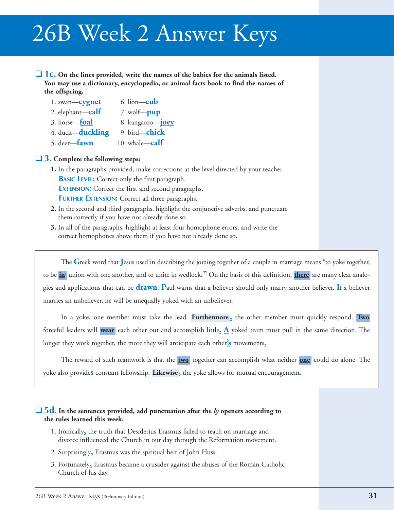# 26B Week 2 Answer Keys

❑ **1c. On the lines provided, write the names of the babies for the animals listed. You may use a dictionary, encyclopedia, or animal facts book to find the names of the offspring.**

- 1. swan—**cygnet** 6. lion—**cub**
- 2. elephant—**calf** 7. wolf—**pup**
- 3. horse—**foal** 8. kangaroo—**joey**
- 4. duck—**duckling** 9. bird—**chick**
- 5. deer—**fawn** 10. whale—**calf**

## ❑ **3. Complete the following steps:**

- **1.** In the paragraphs provided, make corrections at the level directed by your teacher. **BASIC LEVEL:** Correct only the first paragraph. **EXTENSION:** Correct the first and second paragraphs. **FURTHER EXTENSION:** Correct all three paragraphs.
- **2.** In the second and third paragraphs, highlight the conjunctive adverbs, and punctuate them correctly if you have not already done so.
- **3.** In all of the paragraphs, highlight at least four homophone errors, and write the correct homophones above them if you have not already done so.

The **G**reek word that **J**esus used in describing the joining together of a couple in marriage means "to yoke together, to be <mark>in</mark> union with one another, and to unite in wedlock<u>."</u> On the basis of this definition, <mark>there</mark> are many clear analogies and applications that can be **drawn**. **P**aul warns that a believer should only marry another believer. **I**f a believer marries an unbeliever, he will be unequally yoked with an unbeliever.

In a yoke, one member must take the lead. **Furthermore** , the other member must quickly respond. <mark>Two</mark> forceful leaders will <mark>wear</mark> each other out and accomplish little<u>. **A**</u> yoked team must pull in the same direction. The longer they work together, the more they will anticipate each other**'s** movements**.**

The reward of such teamwork is that the <mark>two</mark> together can accomplish what neither <mark>one</mark> could do alone. The yoke also provide**s** constant fellowship. **Likewise ,** the yoke allows for mutual encouragement**.**

## ❑ **5d. In the sentences provided, add punctuation after the** *ly* **openers according to the rules learned this week.**

- 1. Ironically**,** the truth that Desiderius Erasmus failed to teach on marriage and divorce influenced the Church in our day through the Reformation movement.
- 2. Surprisingly**,** Erasmus was the spiritual heir of John Huss.
- 3. Fortunately**,** Erasmus became a crusader against the abuses of the Roman Catholic Church of his day.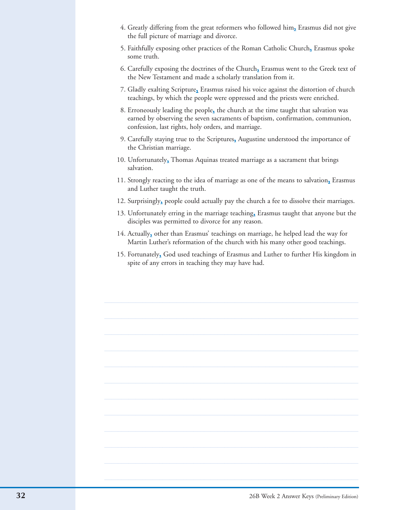- 4. Greatly differing from the great reformers who followed him**,** Erasmus did not give the full picture of marriage and divorce.
- 5. Faithfully exposing other practices of the Roman Catholic Church**,** Erasmus spoke some truth.
- 6. Carefully exposing the doctrines of the Church**,** Erasmus went to the Greek text of the New Testament and made a scholarly translation from it.
- 7. Gladly exalting Scripture**,** Erasmus raised his voice against the distortion of church teachings, by which the people were oppressed and the priests were enriched.
- 8. Erroneously leading the people**,** the church at the time taught that salvation was earned by observing the seven sacraments of baptism, confirmation, communion, confession, last rights, holy orders, and marriage.
- 9. Carefully staying true to the Scriptures**,** Augustine understood the importance of the Christian marriage.
- 10. Unfortunately**,** Thomas Aquinas treated marriage as a sacrament that brings salvation.
- 11. Strongly reacting to the idea of marriage as one of the means to salvation**,** Erasmus and Luther taught the truth.
- 12. Surprisingly**,** people could actually pay the church a fee to dissolve their marriages.
- 13. Unfortunately erring in the marriage teaching**,** Erasmus taught that anyone but the disciples was permitted to divorce for any reason.
- 14. Actually**,** other than Erasmus' teachings on marriage, he helped lead the way for Martin Luther's reformation of the church with his many other good teachings.
- 15. Fortunately**,** God used teachings of Erasmus and Luther to further His kingdom in spite of any errors in teaching they may have had.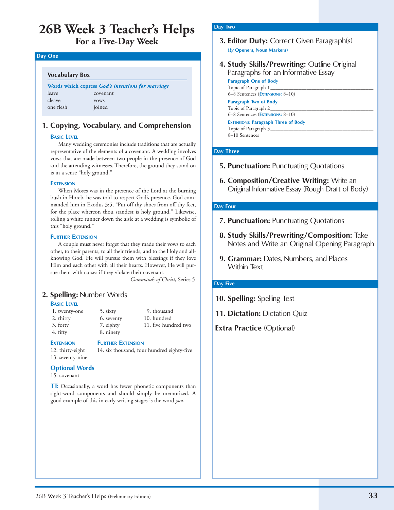## **26B Week 3 Teacher's Helps For a Five-Day Week**

## **Day One**

## **Vocabulary Box**

|           | Words which express God's intentions for marriage |
|-----------|---------------------------------------------------|
| leave     | covenant                                          |
| cleave    | <b>VOWS</b>                                       |
| one flesh | joined                                            |

## **1. Copying, Vocabulary, and Comprehension**

## **BASIC LEVEL**

Many wedding ceremonies include traditions that are actually representative of the elements of a covenant. A wedding involves vows that are made between two people in the presence of God and the attending witnesses. Therefore, the ground they stand on is in a sense "holy ground."

## **EXTENSION**

When Moses was in the presence of the Lord at the burning bush in Horeb, he was told to respect God's presence. God commanded him in Exodus 3:5, "Put off thy shoes from off thy feet, for the place whereon thou standest is holy ground." Likewise, rolling a white runner down the aisle at a wedding is symbolic of this "holy ground."

## **FURTHER EXTENSION**

A couple must never forget that they made their vows to each other, to their parents, to all their friends, and to the Holy and allknowing God. He will pursue them with blessings if they love Him and each other with all their hearts. However, He will pursue them with curses if they violate their covenant.

—*Commands of Christ*, Series 5

## **2. Spelling:** Number Words

## **BASIC LEVEL**

| 1. twenty-one | 5. sixty   | 9. thousand          |
|---------------|------------|----------------------|
| 2. thirty     | 6. seventy | 10. hundred          |
| 3. forty      | 7. eighty  | 11. five hundred two |
| 4. fifty      | 8. ninety  |                      |

#### **EXTENSION FURTHER EXTENSION**

12. thirty-eight 14. six thousand, four hundred eighty-five 13. seventy-nine

## **Optional Words**

15. covenant

**TT:** Occasionally, a word has fewer phonetic components than sight-word components and should simply be memorized. A good example of this in early writing stages is the word *you*.

## **Day Two**

- **3. Editor Duty:** Correct Given Paragraph(s) **(***Ly* **Openers, Noun Markers)**
- **4. Study Skills/Prewriting:** Outline Original Paragraphs for an Informative Essay **Paragraph One of Body**

Topic of Paragraph 1 6–8 Sentences (**EXTENSIONS:** 8–10) **Paragraph Two of Body** Topic of Paragraph 2 6–8 Sentences (**EXTENSIONS:** 8–10) **EXTENSIONS: Paragraph Three of Body** Topic of Paragraph 3\_ 8–10 Sentences

## **Day Three**

- **5. Punctuation: Punctuating Quotations**
- **6. Composition/Creative Writing:** Write an Original Informative Essay (Rough Draft of Body)

## **Day Four**

- **7. Punctuation:** Punctuating Quotations
- **8. Study Skills/Prewriting/Composition:** Take Notes and Write an Original Opening Paragraph
- **9. Grammar:** Dates, Numbers, and Places Within Text

## **Day Five**

- **10. Spelling:** Spelling Test
- **11. Dictation:** Dictation Quiz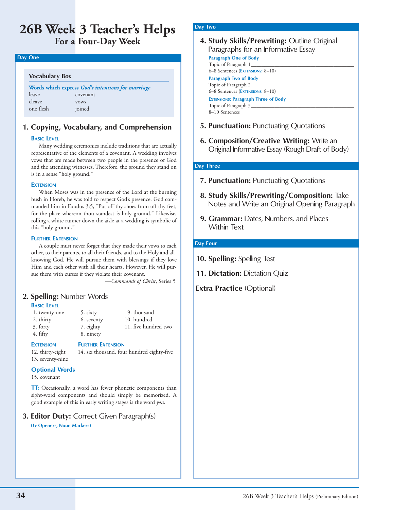## **26B Week 3 Teacher's Helps For a Four-Day Week**

## **Day One**

#### **Vocabulary Box**

|           | Words which express <i>God's intentions for marriage</i> |
|-----------|----------------------------------------------------------|
| leave     | covenant                                                 |
| cleave    | <b>VOWS</b>                                              |
| one flesh | joined                                                   |
|           |                                                          |

## **1. Copying, Vocabulary, and Comprehension**

## **BASIC LEVEL**

Many wedding ceremonies include traditions that are actually representative of the elements of a covenant. A wedding involves vows that are made between two people in the presence of God and the attending witnesses. Therefore, the ground they stand on is in a sense "holy ground."

## **EXTENSION**

When Moses was in the presence of the Lord at the burning bush in Horeb, he was told to respect God's presence. God commanded him in Exodus 3:5, "Put off thy shoes from off thy feet, for the place whereon thou standest is holy ground." Likewise, rolling a white runner down the aisle at a wedding is symbolic of this "holy ground."

## **FURTHER EXTENSION**

A couple must never forget that they made their vows to each other, to their parents, to all their friends, and to the Holy and allknowing God. He will pursue them with blessings if they love Him and each other with all their hearts. However, He will pursue them with curses if they violate their covenant.

—*Commands of Christ*, Series 5

## **2. Spelling:** Number Words

## **BASIC LEVEL**

| 1. twenty-one | 5. sixty   | 9. thousand          |
|---------------|------------|----------------------|
| 2. thirty     | 6. seventy | 10. hundred          |
| 3. forty      | 7. eighty  | 11. five hundred two |
| 4. fifty      | 8. ninety  |                      |

## **EXTENSION FURTHER EXTENSION**

12. thirty-eight 14. six thousand, four hundred eighty-five

## **Optional Words**

13. seventy-nine

15. covenant

**TT:** Occasionally, a word has fewer phonetic components than sight-word components and should simply be memorized. A good example of this in early writing stages is the word *you*.

## **3. Editor Duty:** Correct Given Paragraph(s)

**(***Ly* **Openers, Noun Markers)**

## **Day Two**

- **4. Study Skills/Prewriting:** Outline Original Paragraphs for an Informative Essay **Paragraph One of Body** Topic of Paragraph  $1$ 6–8 Sentences (**EXTENSIONS:** 8–10) **Paragraph Two of Body** Topic of Paragraph 2 6–8 Sentences (**EXTENSIONS:** 8–10) **EXTENSIONS: Paragraph Three of Body** Topic of Paragraph 3 8–10 Sentences
- **5. Punctuation: Punctuating Quotations**
- **6. Composition/Creative Writing:** Write an Original Informative Essay (Rough Draft of Body)

## **Day Three**

- **7. Punctuation:** Punctuating Quotations
- **8. Study Skills/Prewriting/Composition:** Take Notes and Write an Original Opening Paragraph
- **9. Grammar:** Dates, Numbers, and Places Within Text

## **Day Four**

- **10. Spelling:** Spelling Test
- **11. Dictation:** Dictation Quiz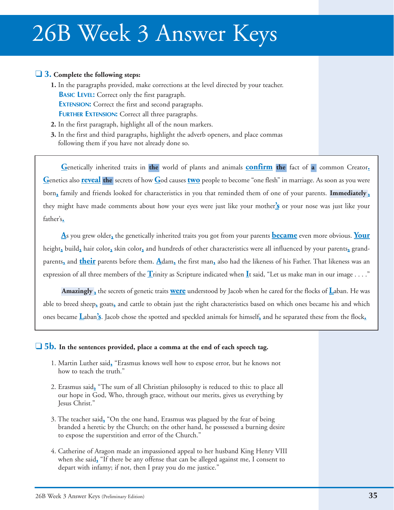# 26B Week 3 Answer Keys

## ❑ **3. Complete the following steps:**

- **1.** In the paragraphs provided, make corrections at the level directed by your teacher. **BASIC LEVEL:** Correct only the first paragraph. **EXTENSION:** Correct the first and second paragraphs. **FURTHER EXTENSION:** Correct all three paragraphs.
- **2.** In the first paragraph, highlight all of the noun markers.
- **3.** In the first and third paragraphs, highlight the adverb openers, and place commas following them if you have not already done so.

 $\frac{1}{\sqrt{2}}$  common Creator  $\frac{1}{\sqrt{2}}$  and  $\frac{1}{\sqrt{2}}$  and  $\frac{1}{\sqrt{2}}$  and  $\frac{1}{\sqrt{2}}$  and  $\frac{1}{\sqrt{2}}$  and  $\frac{1}{\sqrt{2}}$  and  $\frac{1}{\sqrt{2}}$  common Creator.  $\bf G$ enetics also  $\bf{reval}$  the secrets of how  $\bf G$ od causes  $\bf{two}$  people to become "one flesh" in marriage. As soon as you were born, family and friends looked for characteristics in you that reminded them of one of your parents. Immediately, they might have made comments about how your eyes were just like your mother**'s** or your nose was just like your father's**.**

**A**s you grew older**,** the genetically inherited traits you got from your parents **became** even more obvious. **Your** height**,** build**,** hair color**,** skin color**,** and hundreds of other characteristics were all influenced by your parents**,** grandparents**,** and **their** parents before them. **A**dam**,** the first man**,** also had the likeness of his Father. That likeness was an expression of all three members of the **T**rinity as Scripture indicated when **I**t said, "Let us make man in our image . . . ."

**,** the secrets of genetic traits **were** understood by Jacob when he cared for the flocks of **L**aban. He was **Amazingly** able to breed sheep**,** goats**,** and cattle to obtain just the right characteristics based on which ones became his and which ones became **L**aban**'s**. Jacob chose the spotted and speckled animals for himself**,** and he separated these from the flock**.**

## ❑ **5b. In the sentences provided, place a comma at the end of each speech tag.**

- 1. Martin Luther said**,** "Erasmus knows well how to expose error, but he knows not how to teach the truth."
- 2. Erasmus said**,** "The sum of all Christian philosophy is reduced to this: to place all our hope in God, Who, through grace, without our merits, gives us everything by Jesus Christ."
- 3. The teacher said**,** "On the one hand, Erasmus was plagued by the fear of being branded a heretic by the Church; on the other hand, he possessed a burning desire to expose the superstition and error of the Church."
- 4. Catherine of Aragon made an impassioned appeal to her husband King Henry VIII when she said**,** "If there be any offense that can be alleged against me, I consent to depart with infamy; if not, then I pray you do me justice."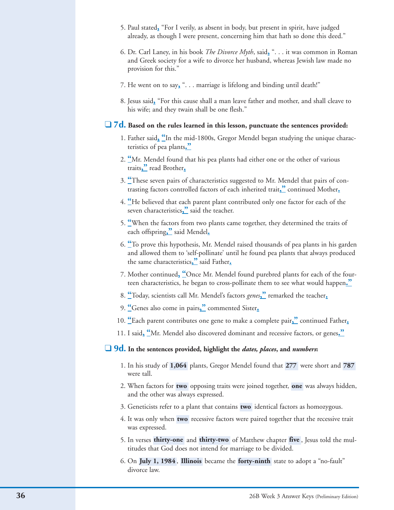- 5. Paul stated**,** "For I verily, as absent in body, but present in spirit, have judged already, as though I were present, concerning him that hath so done this deed."
- 6. Dr. Carl Laney, in his book *The Divorce Myth*, said**,** ". . . it was common in Roman and Greek society for a wife to divorce her husband, whereas Jewish law made no provision for this."
- 7. He went on to say**,** ". . . marriage is lifelong and binding until death!"
- 8. Jesus said**,** "For this cause shall a man leave father and mother, and shall cleave to his wife; and they twain shall be one flesh."

## ❑ **7d. Based on the rules learned in this lesson, punctuate the sentences provided:**

- 1. Father said**, "**In the mid-1800s, Gregor Mendel began studying the unique characteristics of pea plants**."**
- 2. **"**Mr. Mendel found that his pea plants had either one or the other of various traits**,"** read Brother**.**
- 3. **"**These seven pairs of characteristics suggested to Mr. Mendel that pairs of contrasting factors controlled factors of each inherited trait**,"** continued Mother**.**
- 4. **"**He believed that each parent plant contributed only one factor for each of the seven characteristics**,"** said the teacher.
- 5. **"**When the factors from two plants came together, they determined the traits of each offspring**,"** said Mendel**.**
- 6. **"**To prove this hypothesis, Mr. Mendel raised thousands of pea plants in his garden and allowed them to 'self-pollinate' until he found pea plants that always produced the same characteristics**,"** said Father**.**
- 7. Mother continued**, "**Once Mr. Mendel found purebred plants for each of the fourteen characteristics, he began to cross-pollinate them to see what would happen**."**
- 8. **"**Today, scientists call Mr. Mendel's factors *genes***,"** remarked the teacher**.**
- 9. **"**Genes also come in pairs**,"** commented Sister**.**
- 10. **"**Each parent contributes one gene to make a complete pair**,"** continued Father**.**
- 11. I said**, "**Mr. Mendel also discovered dominant and recessive factors, or genes**."**

## ❑ **9d. In the sentences provided, highlight the** *dates, places***, and** *numbers***:**

- 1. In his study of 1,064 plants, Gregor Mendel found that 277 were short and 787 were tall.
- 2. When factors for two opposing traits were joined together, one was always hidden, and the other was always expressed.
- 3. Geneticists refer to a plant that contains two identical factors as homozygous.
- 4. It was only when **two** recessive factors were paired together that the recessive trait was expressed.
- 5. In verses **thirty-one** and **thirty-two** of Matthew chapter five, Jesus told the multitudes that God does not intend for marriage to be divided.
- 6. On July 1, 1984, Illinois became the forty-ninth state to adopt a "no-fault" divorce law.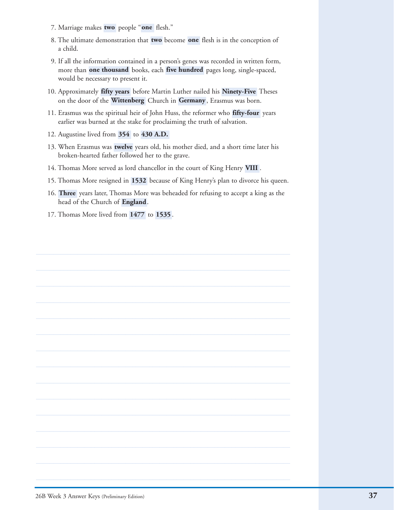- 7. Marriage makes **two** people "one flesh."
- 8. The ultimate demonstration that **two** become **one** flesh is in the conception of a child.
- 9. If all the information contained in a person's genes was recorded in written form, more than **one thousand** books, each **five hundred** pages long, single-spaced, would be necessary to present it.
- 10. Approximately fifty years before Martin Luther nailed his Ninety-Five Theses on the door of the Wittenberg Church in Germany, Erasmus was born.
- 11. Erasmus was the spiritual heir of John Huss, the reformer who fifty-four years earlier was burned at the stake for proclaiming the truth of salvation.
- 12. Augustine lived from 354 to 430 A.D.
- 13. When Erasmus was twelve years old, his mother died, and a short time later his broken-hearted father followed her to the grave.
- 14. Thomas More served as lord chancellor in the court of King Henry VIII.
- 15. Thomas More resigned in 1532 because of King Henry's plan to divorce his queen.
- 16. Three years later, Thomas More was beheaded for refusing to accept a king as the head of the Church of **England**.
- 17. Thomas More lived from 1477 to 1535.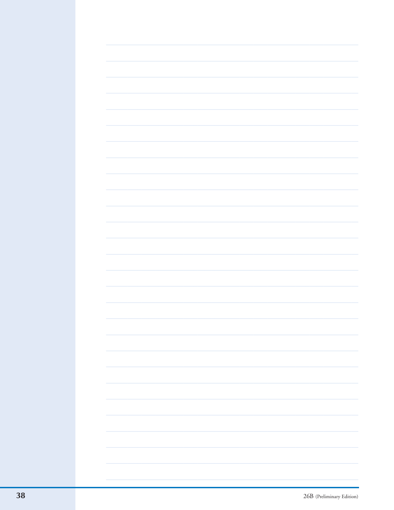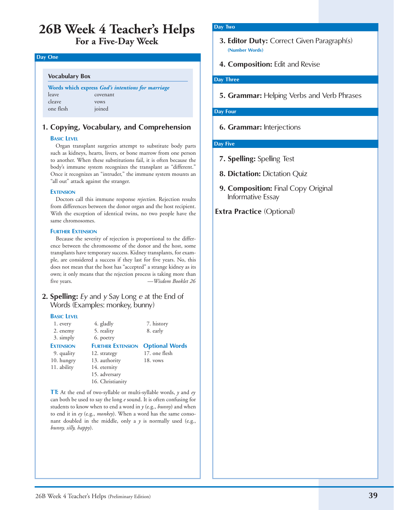## **26B Week 4 Teacher's Helps For a Five-Day Week**

#### **Day One**

#### **Vocabulary Box**

|           | Words which express God's intentions for marriage |
|-----------|---------------------------------------------------|
| leave     | covenant                                          |
| cleave    | <b>VOWS</b>                                       |
| one flesh | joined                                            |

#### **1. Copying, Vocabulary, and Comprehension**

#### **BASIC LEVEL**

Organ transplant surgeries attempt to substitute body parts such as kidneys, hearts, livers, or bone marrow from one person to another. When these substitutions fail, it is often because the body's immune system recognizes the transplant as "different." Once it recognizes an "intruder," the immune system mounts an "all out" attack against the stranger.

#### **EXTENSION**

Doctors call this immune response *rejection*. Rejection results from differences between the donor organ and the host recipient. With the exception of identical twins, no two people have the same chromosomes.

#### **FURTHER EXTENSION**

Because the severity of rejection is proportional to the difference between the chromosome of the donor and the host, some transplants have temporary success. Kidney transplants, for example, are considered a success if they last for five years. No, this does not mean that the host has "accepted" a strange kidney as its own; it only means that the rejection process is taking more than five years. —*Wisdom Booklet 26*

#### **2. Spelling:** *Ey* and *y* Say Long *e* at the End of Words (Examples: monkey, bunny)

#### **BASIC LEVEL**

| 1. every         | 4. gladly                | 7. history            |
|------------------|--------------------------|-----------------------|
| 2. enemy         | 5. reality               | 8. early              |
| 3. simply        | 6. poetry                |                       |
| <b>EXTENSION</b> | <b>FURTHER EXTENSION</b> | <b>Optional Words</b> |
| 9. quality       | 12. strategy             | 17. one flesh         |
| 10. hungry       | 13. authority            | 18. vows              |
| 11. ability      | 14. eternity             |                       |
|                  | 15. adversary            |                       |
|                  | 16. Christianity         |                       |

**TT:** At the end of two-syllable or multi-syllable words, *y* and *ey* can both be used to say the long *e* sound. It is often confusing for students to know when to end a word in *y* (e.g., *bunny*) and when to end it in *ey* (e.g., *monkey*). When a word has the same consonant doubled in the middle, only a *y* is normally used (e.g., *bunny, silly, happy*).

#### **Day Two**

- **3. Editor Duty:** Correct Given Paragraph(s) **(Number Words)**
- **4. Composition:** Edit and Revise

#### **Day Three**

**5. Grammar:** Helping Verbs and Verb Phrases

#### **Day Four**

**6. Grammar:** Interjections

#### **Day Five**

- **7. Spelling:** Spelling Test
- **8. Dictation:** Dictation Quiz
- **9. Composition: Final Copy Original** Informative Essay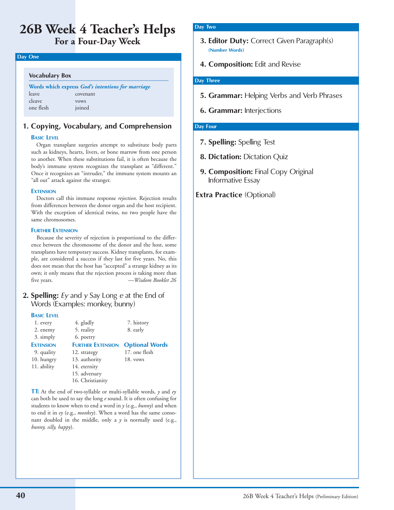# **26B Week 4 Teacher's Helps**

**For a Four-Day Week**

#### **Day One**

#### **Vocabulary Box**

|           | Words which express <i>God's intentions for marriage</i> |
|-----------|----------------------------------------------------------|
| leave     | covenant                                                 |
| cleave    | <b>VOWS</b>                                              |
| one flesh | joined                                                   |

#### **1. Copying, Vocabulary, and Comprehension**

#### **BASIC LEVEL**

Organ transplant surgeries attempt to substitute body parts such as kidneys, hearts, livers, or bone marrow from one person to another. When these substitutions fail, it is often because the body's immune system recognizes the transplant as "different." Once it recognizes an "intruder," the immune system mounts an "all out" attack against the stranger.

#### **EXTENSION**

Doctors call this immune response *rejection*. Rejection results from differences between the donor organ and the host recipient. With the exception of identical twins, no two people have the same chromosomes.

#### **FURTHER EXTENSION**

Because the severity of rejection is proportional to the difference between the chromosome of the donor and the host, some transplants have temporary success. Kidney transplants, for example, are considered a success if they last for five years. No, this does not mean that the host has "accepted" a strange kidney as its own; it only means that the rejection process is taking more than five years. —*Wisdom Booklet 26*

#### **2. Spelling:** *Ey* and *y* Say Long *e* at the End of Words (Examples: monkey, bunny)

#### **BASIC LEVEL**

| 1. every         | 4. gladly                | 7. history            |
|------------------|--------------------------|-----------------------|
| 2. enemy         | 5. reality               | 8. early              |
| 3. simply        | 6. poetry                |                       |
| <b>EXTENSION</b> | <b>FURTHER EXTENSION</b> | <b>Optional Words</b> |
| 9. quality       | 12. strategy             | 17. one flesh         |
| 10. hungry       | 13. authority            | 18. vows              |
| 11. ability      | 14. eternity             |                       |
|                  | 15. adversary            |                       |
|                  | 16. Christianity         |                       |

**TT:** At the end of two-syllable or multi-syllable words, *y* and *ey* can both be used to say the long *e* sound. It is often confusing for students to know when to end a word in *y* (e.g., *bunny*) and when to end it in *ey* (e.g., *monkey*). When a word has the same consonant doubled in the middle, only a  $\nu$  is normally used (e.g., *bunny, silly, happy*).

#### **Day Two**

- **3. Editor Duty:** Correct Given Paragraph(s) **(Number Words)**
- **4. Composition:** Edit and Revise

#### **Day Three**

- **5. Grammar:** Helping Verbs and Verb Phrases
- **6. Grammar:** Interjections

#### **Day Four**

- **7. Spelling:** Spelling Test
- **8. Dictation:** Dictation Quiz
- **9. Composition:** Final Copy Original Informative Essay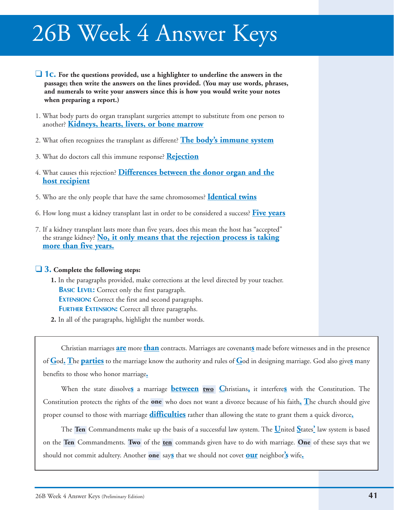# 26B Week 4 Answer Keys

- ❑ **1c. For the questions provided, use a highlighter to underline the answers in the passage; then write the answers on the lines provided. (You may use words, phrases, and numerals to write your answers since this is how you would write your notes when preparing a report.)**
- 1. What body parts do organ transplant surgeries attempt to substitute from one person to another? **Kidneys, hearts, livers, or bone marrow**
- 2. What often recognizes the transplant as different? **The body's immune system**
- 3. What do doctors call this immune response? **Rejection**
- 4. What causes this rejection? **Differences between the donor organ and the host recipient**
- 5. Who are the only people that have the same chromosomes? **Identical twins**
- 6. How long must a kidney transplant last in order to be considered a success? **Five years**
- 7. If a kidney transplant lasts more than five years, does this mean the host has "accepted" the strange kidney? **No, it only means that the rejection process is taking more than five years.**

#### ❑ **3. Complete the following steps:**

- **1.** In the paragraphs provided, make corrections at the level directed by your teacher. **BASIC LEVEL:** Correct only the first paragraph. **EXTENSION:** Correct the first and second paragraphs. **FURTHER EXTENSION:** Correct all three paragraphs.
- **2.** In all of the paragraphs, highlight the number words.

Christian marriages **are** more **than** contracts. Marriages are covenant**s** made before witnesses and in the presence of **G**od**. T**he **parties** to the marriage know the authority and rules of **G**od in designing marriage. God also give**s** many benefits to those who honor marriage**.**

When the state dissolve**s** a marriage **between C**hristians**,** it interfere**s** with the Constitution. The **two**Constitution protects the rights of the **one** who does not want a divorce because of his faith. The church should give proper counsel to those with marriage **difficulties** rather than allowing the state to grant them a quick divorce**.**

The Commandments make up the basis of a successful law system. The **U**nited **S**tates**'** law system is based **Ten** on the Ten Commandments. Two of the ten commands given have to do with marriage. One of these says that we should not commit adultery. Another **one** says that we should not covet **our** neighbor's wife.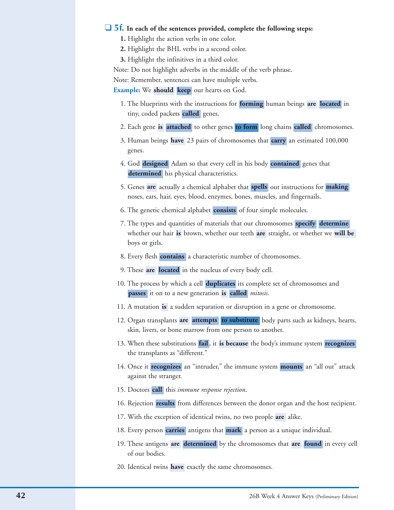#### ❑ **5f. In each of the sentences provided, complete the following steps:**

- **1.** Highlight the action verbs in one color.
- **2.** Highlight the BHL verbs in a second color.
- **3.** Highlight the infinitives in a third color.

Note: Do not highlight adverbs in the middle of the verb phrase.

Note: Remember, sentences can have multiple verbs.

**Example:** We should keep our hearts on God.

- 1. The blueprints with the instructions for **forming** human beings are located in tiny, coded packets **called** genes.
- 2. Each gene is attached to other genes to form long chains called chromosomes.
- 3. Human beings have 23 pairs of chromosomes that carry an estimated 100,000 genes.
- 4. God designed Adam so that every cell in his body contained genes that determined his physical characteristics.
- 5. Genes **are** actually a chemical alphabet that spells out instructions for **making** noses, ears, hair, eyes, blood, enzymes, bones, muscles, and fingernails.
- 6. The genetic chemical alphabet **consists** of four simple molecules.
- 7. The types and quantities of materials that our chromosomes **specify determine** whether our hair **is** brown, whether our teeth **are** straight, or whether we **will be** boys or girls.
- 8. Every flesh **contains** a characteristic number of chromosomes.
- 9. These are located in the nucleus of every body cell.
- 10. The process by which a cell duplicates its complete set of chromosomes and passes it on to a new generation is called *mitosis*.
- 11. A mutation is a sudden separation or disruption in a gene or chromosome.
- 12. Organ transplants are attempts to substitute body parts such as kidneys, hearts, skin, livers, or bone marrow from one person to another.
- 13. When these substitutions **fail**, it is because the body's immune system **recognizes** the transplants as "different."
- 14. Once it **recognizes** an "intruder," the immune system **mounts** an "all out" attack against the stranger.
- 15. Doctors call this *immune response rejection*.
- 16. Rejection results from differences between the donor organ and the host recipient.
- 17. With the exception of identical twins, no two people are alike.
- 18. Every person **carries** antigens that **mark** a person as a unique individual.
- 19. These antigens are determined by the chromosomes that are found in every cell of our bodies.
- 20. Identical twins have exactly the same chromosomes.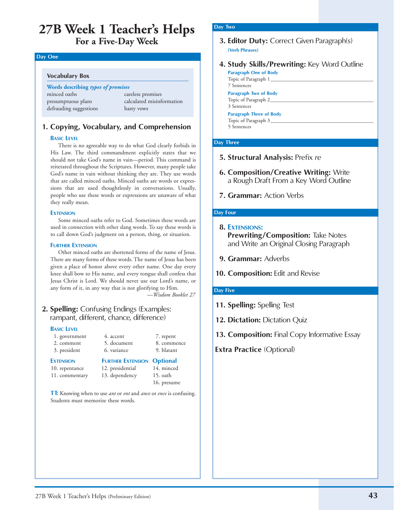### **27B Week 1 Teacher's Helps For a Five-Day Week**

#### **Day One**

#### **Vocabulary Box**

#### **Words describing** *types of promises*

minced oaths careless promises defrauding suggestions hasty vows

presumptuous plans calculated misinformation

#### **1. Copying, Vocabulary, and Comprehension**

#### **BASIC LEVEL**

There is no agreeable way to do what God clearly forbids in His Law. The third commandment explicitly states that we should not take God's name in vain—period. This command is reiterated throughout the Scriptures. However, many people take God's name in vain without thinking they are. They use words that are called minced oaths. Minced oaths are words or expressions that are used thoughtlessly in conversations. Usually, people who use these words or expressions are unaware of what they really mean.

#### **EXTENSION**

Some minced oaths refer to God. Sometimes these words are used in connection with other slang words. To say these words is to call down God's judgment on a person, thing, or situation.

#### **FURTHER EXTENSION**

Other minced oaths are shortened forms of the name of Jesus. There are many forms of these words. The name of Jesus has been given a place of honor above every other name. One day every knee shall bow to His name, and every tongue shall confess that Jesus Christ is Lord. We should never use our Lord's name, or any form of it, in any way that is not glorifying to Him.

—*Wisdom Booklet 27*

#### **2. Spelling:** Confusing Endings (Examples: rampant, different, chance, difference)

#### **BASIC LEVEL**

| 1. government<br>2. comment<br>3. president | 4. accent<br>5. document<br>6. variance | 7. repent<br>8. commence<br>9. blatant |
|---------------------------------------------|-----------------------------------------|----------------------------------------|
| <b>EXTENSION</b>                            | <b>FURTHER EXTENSION Optional</b>       |                                        |
| 10. repentance                              | 12. presidential                        | 14. minced                             |
| 11. commentary                              | 13. dependency                          | 15. oath                               |
|                                             |                                         | 16. presume                            |

**TT:** Knowing when to use *ant* or *ent* and *ance* or *ence* is confusing. Students must memorize these words.

#### **Day Two**

- **3. Editor Duty:** Correct Given Paragraph(s) **(Verb Phrases)**
- **4. Study Skills/Prewriting:** Key Word Outline **Paragraph One of Body**

| <b>Haragraph</b> Official Douy |
|--------------------------------|
| Topic of Paragraph 1           |
| 7 Sentences                    |
| <b>Paragraph Two of Body</b>   |
|                                |
| 3 Sentences                    |
| <b>Paragraph Three of Body</b> |
| Topic of Paragraph 3           |
| 5 Sentences                    |
|                                |

#### **Day Three**

- **5. Structural Analysis:** Prefix *re*
- **6. Composition/Creative Writing:** Write a Rough Draft From a Key Word Outline
- **7. Grammar:** Action Verbs

#### **Day Four**

- **8. EXTENSIONS: Prewriting/Composition:** Take Notes and Write an Original Closing Paragraph
- **9. Grammar:** Adverbs
- **10. Composition:** Edit and Revise

#### **Day Five**

- **11. Spelling:** Spelling Test
- **12. Dictation:** Dictation Quiz
- **13. Composition:** Final Copy Informative Essay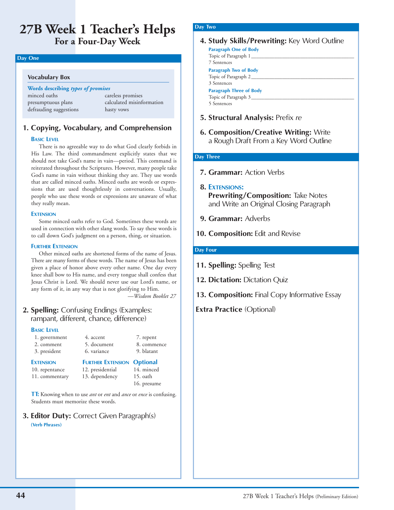### **27B Week 1 Teacher's Helps For a Four-Day Week**

#### **Day One**

#### **Vocabulary Box**

#### **Words describing** *types of promises* minced oaths careless promises presumptuous plans calculated misinformation

defrauding suggestions hasty vows

#### **1. Copying, Vocabulary, and Comprehension**

#### **BASIC LEVEL**

There is no agreeable way to do what God clearly forbids in His Law. The third commandment explicitly states that we should not take God's name in vain—period. This command is reiterated throughout the Scriptures. However, many people take God's name in vain without thinking they are. They use words that are called minced oaths. Minced oaths are words or expressions that are used thoughtlessly in conversations. Usually, people who use these words or expressions are unaware of what they really mean.

#### **EXTENSION**

Some minced oaths refer to God. Sometimes these words are used in connection with other slang words. To say these words is to call down God's judgment on a person, thing, or situation.

#### **FURTHER EXTENSION**

Other minced oaths are shortened forms of the name of Jesus. There are many forms of these words. The name of Jesus has been given a place of honor above every other name. One day every knee shall bow to His name, and every tongue shall confess that Jesus Christ is Lord. We should never use our Lord's name, or any form of it, in any way that is not glorifying to Him.

—*Wisdom Booklet 27*

#### **2. Spelling:** Confusing Endings (Examples: rampant, different, chance, difference)

#### **BASIC LEVEL**

1. government 4. accent 7. repent 2. comment 5. document 8. commence 3. president 6. variance 9. blatant

#### **EXTENSION FURTHER EXTENSION Optional**

### 10. repentance 12. presidential 14. minced

11. commentary 13. dependency 15. oath

#### 16. presume

**TT:** Knowing when to use *ant* or *ent* and *ance* or *ence* is confusing. Students must memorize these words.

**3. Editor Duty:** Correct Given Paragraph(s) **(Verb Phrases)**

#### **Day Two**

- **4. Study Skills/Prewriting:** Key Word Outline **Paragraph One of Body** Topic of Paragraph 1 7 Sentences **Paragraph Two of Body** Topic of Paragraph 2 3 Sentences **Paragraph Three of Body** Topic of Paragraph 3 5 Sentences
- **5. Structural Analysis:** Prefix *re*
- **6. Composition/Creative Writing:** Write a Rough Draft From a Key Word Outline

#### **Day Three**

- **7. Grammar:** Action Verbs
- **8. EXTENSIONS: Prewriting/Composition:** Take Notes and Write an Original Closing Paragraph
- **9. Grammar:** Adverbs
- **10. Composition:** Edit and Revise

#### **Day Four**

- **11. Spelling:** Spelling Test
- **12. Dictation:** Dictation Quiz
- 13. Composition: Final Copy Informative Essay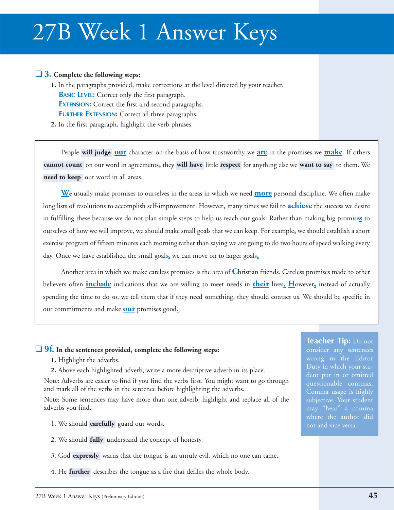# 27B Week 1 Answer Keys

#### ❑ **3. Complete the following steps:**

- **1.** In the paragraphs provided, make corrections at the level directed by your teacher. **BASIC LEVEL:** Correct only the first paragraph. **EXTENSION:** Correct the first and second paragraphs. **FURTHER EXTENSION:** Correct all three paragraphs.
- **2.** In the first paragraph, highlight the verb phrases.

People will judge our character on the basis of how trustworthy we are in the promises we make. If others cannot count on our word in agreements, they will have little respect for anything else we want to say to them. We need to keep our word in all areas.

**W**e usually make promises to ourselves in the areas in which we need **more** personal discipline. We often make long lists of resolutions to accomplish self-improvement. However**,** many times we fail to **achieve** the success we desire in fulfilling these because we do not plan simple steps to help us reach our goals. Rather than making big promise**s** to ourselves of how we will improve, we should make small goals that we can keep. For example**,** we should establish a short exercise program of fifteen minutes each morning rather than saying we are going to do two hours of speed walking every day. Once we have established the small goals**,** we can move on to larger goals**.**

Another area in which we make careless promises is the area of **C**hristian friends. Careless promises made to other believers often **include** indications that we are willing to meet needs in **their** lives**. H**owever**,** instead of actually spending the time to do so, we tell them that if they need something, they should contact us. We should be specific in our commitments and make **our** promises good**.**

#### ❑ **9f. In the sentences provided, complete the following steps:**

- **1.** Highlight the adverbs.
- **2.** Above each highlighted adverb, write a more descriptive adverb in its place.

Note: Adverbs are easier to find if you find the verbs first. You might want to go through and mark all of the verbs in the sentence before highlighting the adverbs.

Note: Some sentences may have more than one adverb; highlight and replace all of the adverbs you find.

- 1. We should carefully guard our words.
- 2. We should **fully** understand the concept of honesty.
- 3. God expressly warns that the tongue is an unruly evil, which no one can tame.
- 4. He **further** describes the tongue as a fire that defiles the whole body.

**Teacher Tip:** Do not wrong in the Editor Duty in which your stuquestionable commas. Comma usage is highly subjective. Your student where the author did not and vice versa.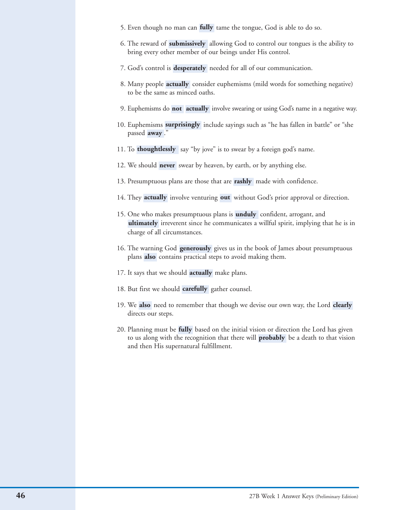- 5. Even though no man can **fully** tame the tongue, God is able to do so.
- 6. The reward of **submissively** allowing God to control our tongues is the ability to bring every other member of our beings under His control.
- 7. God's control is **desperately** needed for all of our communication.
- 8. Many people **actually** consider euphemisms (mild words for something negative) to be the same as minced oaths.
- 9. Euphemisms do **not** actually involve swearing or using God's name in a negative way.
- 10. Euphemisms **surprisingly** include sayings such as "he has fallen in battle" or "she passed **away** ."
- 11. To **thoughtlessly** say "by jove" is to swear by a foreign god's name.
- 12. We should **never** swear by heaven, by earth, or by anything else.
- 13. Presumptuous plans are those that are rashly made with confidence.
- 14. They **actually** involve venturing **out** without God's prior approval or direction.
- 15. One who makes presumptuous plans is **unduly** confident, arrogant, and ultimately irreverent since he communicates a willful spirit, implying that he is in charge of all circumstances.
- 16. The warning God **generously** gives us in the book of James about presumptuous plans **also** contains practical steps to avoid making them.
- 17. It says that we should **actually** make plans.
- 18. But first we should carefully gather counsel.
- 19. We also need to remember that though we devise our own way, the Lord clearly directs our steps.
- 20. Planning must be **fully** based on the initial vision or direction the Lord has given to us along with the recognition that there will **probably** be a death to that vision and then His supernatural fulfillment.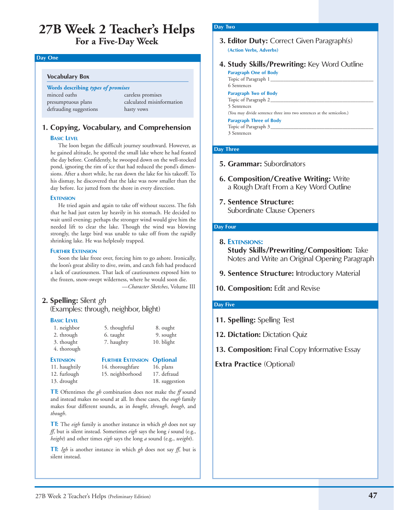## **27B Week 2 Teacher's Helps For a Five-Day Week**

#### **Day One**

#### **Vocabulary Box**

#### **Words describing** *types of promises*

minced oaths careless promises defrauding suggestions hasty vows

presumptuous plans calculated misinformation

#### **1. Copying, Vocabulary, and Comprehension**

#### **BASIC LEVEL**

The loon began the difficult journey southward. However, as he gained altitude, he spotted the small lake where he had feasted the day before. Confidently, he swooped down on the well-stocked pond, ignoring the rim of ice that had reduced the pond's dimensions. After a short while, he ran down the lake for his takeoff. To his dismay, he discovered that the lake was now smaller than the day before. Ice jutted from the shore in every direction.

#### **EXTENSION**

He tried again and again to take off without success. The fish that he had just eaten lay heavily in his stomach. He decided to wait until evening; perhaps the stronger wind would give him the needed lift to clear the lake. Though the wind was blowing strongly, the large bird was unable to take off from the rapidly shrinking lake. He was helplessly trapped.

#### **FURTHER EXTENSION**

Soon the lake froze over, forcing him to go ashore. Ironically, the loon's great ability to dive, swim, and catch fish had produced a lack of cautiousness. That lack of cautiousness exposed him to the frozen, snow-swept wilderness, where he would soon die.

—*Character Sketches*, Volume III

#### **2. Spelling:** Silent *gh* (Examples: through, neighbor, blight)

#### **BASIC LEVEL**

| 1. neighbor | 5. thoughtful | 8. ought   |
|-------------|---------------|------------|
| 2. through  | 6. taught     | 9. sought  |
| 3. thought  | 7. haughty    | 10. blight |
| 4. thorough |               |            |

| <b>EXTENSION</b> | <b>FURTHER EXTENSION Optional</b> |             |
|------------------|-----------------------------------|-------------|
| 11. haughtily    | 14. thoroughfare                  | 16. plans   |
| 12. furlough     | 15. neighborhood                  | 17. defraud |

13. drought 18. suggestion

**TT:** Oftentimes the *gh* combination does not make the *ff* sound and instead makes no sound at all. In these cases, the *ough* family makes four different sounds, as in *bought*, *through*, *bough*, and *though*.

**TT:** The *eigh* family is another instance in which *gh* does not say *ff*, but is silent instead. Sometimes *eigh* says the long *i* sound (e.g., *height*) and other times *eigh* says the long *a* sound (e.g., *weight*).

**TT:** *Igh* is another instance in which *gh* does not say *ff*, but is silent instead.

#### **Day Two**

- **3. Editor Duty:** Correct Given Paragraph(s) **(Action Verbs, Adverbs)**
- **4. Study Skills/Prewriting:** Key Word Outline

| <b>Paragraph One of Body</b>                                         |
|----------------------------------------------------------------------|
| Topic of Paragraph 1                                                 |
| 6 Sentences                                                          |
| Paragraph Two of Body                                                |
| Topic of Paragraph 2                                                 |
| 5 Sentences                                                          |
| (You may divide sentence three into two sentences at the semicolon.) |
| <b>Paragraph Three of Body</b>                                       |
| Topic of Paragraph 3                                                 |
| 3 Sentences                                                          |
|                                                                      |

#### **Day Three**

- **5. Grammar:** Subordinators
- **6. Composition/Creative Writing:** Write a Rough Draft From a Key Word Outline
- **7. Sentence Structure:**  Subordinate Clause Openers

#### **Day Four**

- **8. EXTENSIONS: Study Skills/Prewriting/Composition:** Take Notes and Write an Original Opening Paragraph
- **9. Sentence Structure:** Introductory Material
- **10. Composition:** Edit and Revise

#### **Day Five**

- **11. Spelling:** Spelling Test
- **12. Dictation:** Dictation Quiz
- **13. Composition:** Final Copy Informative Essay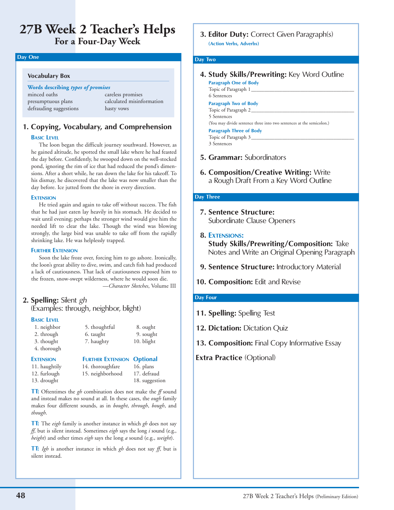# **27B Week 2 Teacher's Helps**

**For a Four-Day Week**

#### **Day One**

#### **Vocabulary Box**

#### **Words describing** *types of promises*

| minced oaths           | careless pro |
|------------------------|--------------|
| presumptuous plans     | calculated 1 |
| defrauding suggestions | hasty vows   |

minced oaths careless promises presumptuous plans calculated misinformation

## **1. Copying, Vocabulary, and Comprehension**

#### **BASIC LEVEL**

The loon began the difficult journey southward. However, as he gained altitude, he spotted the small lake where he had feasted the day before. Confidently, he swooped down on the well-stocked pond, ignoring the rim of ice that had reduced the pond's dimensions. After a short while, he ran down the lake for his takeoff. To his dismay, he discovered that the lake was now smaller than the day before. Ice jutted from the shore in every direction.

#### **EXTENSION**

He tried again and again to take off without success. The fish that he had just eaten lay heavily in his stomach. He decided to wait until evening; perhaps the stronger wind would give him the needed lift to clear the lake. Though the wind was blowing strongly, the large bird was unable to take off from the rapidly shrinking lake. He was helplessly trapped.

#### **FURTHER EXTENSION**

Soon the lake froze over, forcing him to go ashore. Ironically, the loon's great ability to dive, swim, and catch fish had produced a lack of cautiousness. That lack of cautiousness exposed him to the frozen, snow-swept wilderness, where he would soon die.

—*Character Sketches*, Volume III

### **2. Spelling:** Silent *gh*

(Examples: through, neighbor, blight)

#### **BASIC LEVEL**

| 1. neighbor | 5. thoughtful | 8. ought   |
|-------------|---------------|------------|
| 2. through  | 6. taught     | 9. sought  |
| 3. thought  | 7. haughty    | 10. blight |
| 4. thorough |               |            |

#### **EXTENSION FURTHER EXTENSION Optional**

| <u>LA ILINJIVIN</u> | $1$ on the EXTENSION $\bullet$ Determined |                |
|---------------------|-------------------------------------------|----------------|
| 11. haughtily       | 14. thoroughfare                          | 16. plans      |
| 12. furlough        | 15. neighborhood                          | 17. defraud    |
| 13. drought         |                                           | 18. suggestion |

**TT:** Oftentimes the *gh* combination does not make the *ff* sound and instead makes no sound at all. In these cases, the *ough* family makes four different sounds, as in *bought*, *through*, *bough*, and *though*.

**TT:** The *eigh* family is another instance in which *gh* does not say *ff*, but is silent instead. Sometimes *eigh* says the long *i* sound (e.g., *height*) and other times *eigh* says the long *a* sound (e.g., *weight*).

**TT:** *Igh* is another instance in which *gh* does not say *ff*, but is silent instead.

**3. Editor Duty:** Correct Given Paragraph(s) **(Action Verbs, Adverbs)**

#### **Day Two**

**4. Study Skills/Prewriting:** Key Word Outline **Paragraph One of Body**

Topic of Paragraph 1\_ 6 Sentences **Paragraph Two of Body** Topic of Paragraph 2\_ 5 Sentences (You may divide sentence three into two sentences at the semicolon.) **Paragraph Three of Body** Topic of Paragraph 3 3 Sentences

- **5. Grammar:** Subordinators
- **6. Composition/Creative Writing:** Write a Rough Draft From a Key Word Outline

#### **Day Three**

- **7. Sentence Structure:**  Subordinate Clause Openers
- **8. EXTENSIONS: Study Skills/Prewriting/Composition:** Take Notes and Write an Original Opening Paragraph
- **9. Sentence Structure: Introductory Material**
- **10. Composition:** Edit and Revise

#### **Day Four**

- **11. Spelling:** Spelling Test
- **12. Dictation:** Dictation Quiz
- **13. Composition:** Final Copy Informative Essay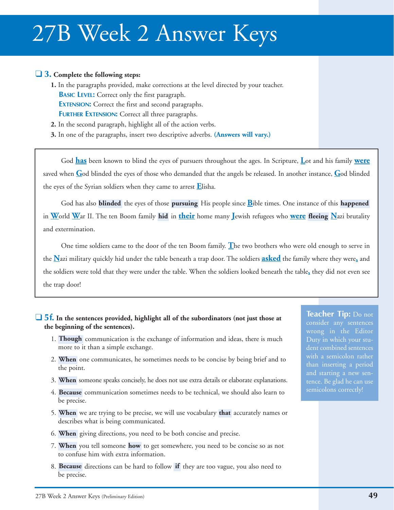# 27B Week 2 Answer Keys

#### ❑ **3. Complete the following steps:**

- **1.** In the paragraphs provided, make corrections at the level directed by your teacher. **BASIC LEVEL:** Correct only the first paragraph. **EXTENSION:** Correct the first and second paragraphs. **FURTHER EXTENSION:** Correct all three paragraphs.
- **2.** In the second paragraph, highlight all of the action verbs.
- **3.** In one of the paragraphs, insert two descriptive adverbs. **(Answers will vary.)**

God **has** been known to blind the eyes of pursuers throughout the ages. In Scripture, **L**ot and his family **were** saved when **G**od blinded the eyes of those who demanded that the angels be released. In another instance, **G**od blinded the eyes of the Syrian soldiers when they came to arrest **E**lisha.

God has also **blinded** the eyes of those **pursuing** His people since **B**ible times. One instance of this happened in **W**orld **W**ar II. The ten Boom family **hid** in their home many Jewish refugees who were fleeing Nazi brutality and extermination.

One time soldiers came to the door of the ten Boom family. **T**he two brothers who were old enough to serve in the **N**azi military quickly hid under the table beneath a trap door. The soldiers **asked** the family where they were**,** and the soldiers were told that they were under the table. When the soldiers looked beneath the table**,** they did not even see the trap door!

#### ❑ **5f. In the sentences provided, highlight all of the subordinators (not just those at the beginning of the sentences).**

- 1. Though communication is the exchange of information and ideas, there is much more to it than a simple exchange.
- 2. When one communicates, he sometimes needs to be concise by being brief and to the point.
- 3. When someone speaks concisely, he does not use extra details or elaborate explanations.
- 4. Because communication sometimes needs to be technical, we should also learn to be precise.
- 5. When we are trying to be precise, we will use vocabulary that accurately names or describes what is being communicated.
- 6. When giving directions, you need to be both concise and precise.
- 7. When you tell someone how to get somewhere, you need to be concise so as not to confuse him with extra information.
- 8. Because directions can be hard to follow if they are too vague, you also need to be precise.

**Teacher Tip:** Do not wrong in the Editor Duty in which your student combined sentences with a semicolon rather than inserting a period and starting a new sentence. Be glad he can use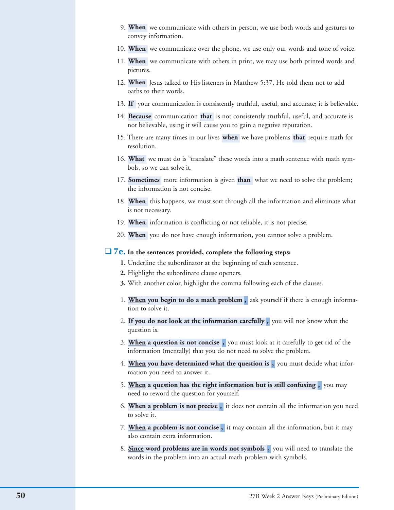- 9. When we communicate with others in person, we use both words and gestures to convey information.
- 10. When we communicate over the phone, we use only our words and tone of voice.
- 11. When we communicate with others in print, we may use both printed words and pictures.
- 12. When Jesus talked to His listeners in Matthew 5:37, He told them not to add oaths to their words.
- 13. If your communication is consistently truthful, useful, and accurate; it is believable.
- 14. Because communication that is not consistently truthful, useful, and accurate is not believable, using it will cause you to gain a negative reputation.
- 15. There are many times in our lives **when** we have problems **that** require math for resolution.
- 16. What we must do is "translate" these words into a math sentence with math symbols, so we can solve it.
- 17. **Sometimes** more information is given **than** what we need to solve the problem; the information is not concise.
- 18. When this happens, we must sort through all the information and eliminate what is not necessary.
- 19. When information is conflicting or not reliable, it is not precise.
- 20. When you do not have enough information, you cannot solve a problem.

#### ❑ **7e. In the sentences provided, complete the following steps:**

- **1.** Underline the subordinator at the beginning of each sentence.
- **2.** Highlight the subordinate clause openers.
- **3.** With another color, highlight the comma following each of the clauses.
- 1. When you begin to do a math problem, ask yourself if there is enough information to solve it.
- 2. If you do not look at the information carefully , you will not know what the question is.
- 3. When a question is not concise, you must look at it carefully to get rid of the information (mentally) that you do not need to solve the problem.
- 4. When you have determined what the question is, you must decide what information you need to answer it.
- 5. When a question has the right information but is still confusing, you may need to reword the question for yourself.
- 6. When a problem is not precise, it does not contain all the information you need to solve it.
- 7. When a problem is not concise, it may contain all the information, but it may also contain extra information.
- 8. **Since word problems are in words not symbols** , you will need to translate the words in the problem into an actual math problem with symbols.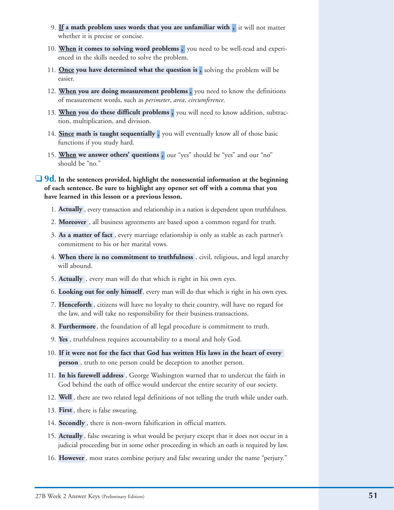- 9. If a math problem uses words that you are unfamiliar with , it will not matter whether it is precise or concise.
- 10. When it comes to solving word problems, you need to be well-read and experienced in the skills needed to solve the problem.
- 11. **Once** you have determined what the question is , solving the problem will be easier.
- 12. When you are doing measurement problems, you need to know the definitions of measurement words, such as *perimeter*, *area*, *circumference*.
- 13. When you do these difficult problems, you will need to know addition, subtraction, multiplication, and division.
- 14. **Since math is taught sequentially**, you will eventually know all of those basic functions if you study hard.
- 15. When we answer others' questions, our "yes" should be "yes" and our "no" should be "no."

❑ **9d. In the sentences provided, highlight the nonessential information at the beginning of each sentence. Be sure to highlight any opener set off with a comma that you have learned in this lesson or a previous lesson.**

- 1. Actually, every transaction and relationship in a nation is dependent upon truthfulness.
- 2. Moreover, all business agreements are based upon a common regard for truth.
- 3. As a matter of fact, every marriage relationship is only as stable as each partner's commitment to his or her marital vows.
- 4. When there is no commitment to truthfulness, civil, religious, and legal anarchy will abound.
- 5. Actually, every man will do that which is right in his own eyes.
- 6. Looking out for only himself, every man will do that which is right in his own eyes.
- 7. Henceforth, citizens will have no loyalty to their country, will have no regard for the law, and will take no responsibility for their business transactions.
- 8. Furthermore, the foundation of all legal procedure is commitment to truth.
- 9. Yes, truthfulness requires accountability to a moral and holy God.
- 10. **If it were not for the fact that God has written His laws in the heart of every**  , truth to one person could be deception to another person. **person**
- 11. In his farewell address, George Washington warned that to undercut the faith in God behind the oath of office would undercut the entire security of our society.
- 12. Well, there are two related legal definitions of not telling the truth while under oath.
- 13. First, there is false swearing.
- 14. Secondly, there is non-sworn falsification in official matters.
- 15. Actually, false swearing is what would be perjury except that it does not occur in a judicial proceeding but in some other proceeding in which an oath is required by law.
- 16. **However**, most states combine perjury and false swearing under the name "perjury."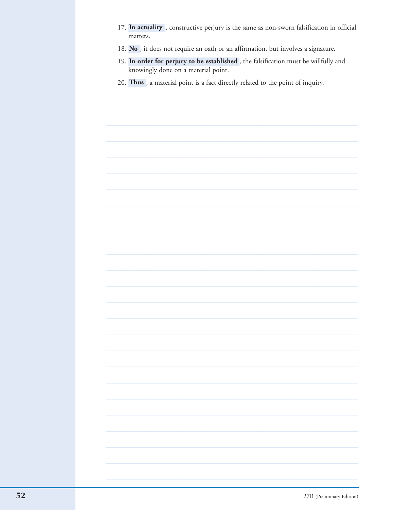- 17. In actuality, constructive perjury is the same as non-sworn falsification in official matters.
- 18. No, it does not require an oath or an affirmation, but involves a signature.
- 19. In order for perjury to be established, the falsification must be willfully and knowingly done on a material point.
- 20. Thus, a material point is a fact directly related to the point of inquiry.

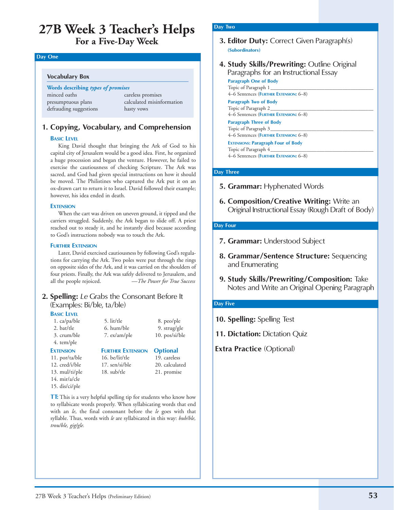## **27B Week 3 Teacher's Helps For a Five-Day Week**

#### **Day One**

#### **Vocabulary Box**

#### **Words describing** *types of promises*

minced oaths careless promises defrauding suggestions hasty vows

presumptuous plans calculated misinformation

#### **1. Copying, Vocabulary, and Comprehension**

#### **BASIC LEVEL**

King David thought that bringing the Ark of God to his capital city of Jerusalem would be a good idea. First, he organized a huge procession and began the venture. However, he failed to exercise the cautiousness of checking Scripture. The Ark was sacred, and God had given special instructions on how it should be moved. The Philistines who captured the Ark put it on an ox-drawn cart to return it to Israel. David followed their example; however, his idea ended in death.

#### **EXTENSION**

When the cart was driven on uneven ground, it tipped and the carriers struggled. Suddenly, the Ark began to slide off. A priest reached out to steady it, and he instantly died because according to God's instructions nobody was to touch the Ark.

#### **FURTHER EXTENSION**

Later, David exercised cautiousness by following God's regulations for carrying the Ark. Two poles were put through the rings on opposite sides of the Ark, and it was carried on the shoulders of four priests. Finally, the Ark was safely delivered to Jerusalem, and all the people rejoiced. —*The Power for True Success*

#### **2. Spelling:** *Le* Grabs the Consonant Before It (Examples: Bi/ble, ta/ble)

#### **BASIC LEVEL**

| 1. $ca/pa/ble$   | 5. lit/tle               | 8. peo/ple      |
|------------------|--------------------------|-----------------|
| 2. bat/tle       | 6. hum/ble               | 9. strug/gle    |
| 3. crum/ble      | 7. ex/am/ple             | 10. pos/si/ble  |
| 4. tem/ple       |                          |                 |
| <b>EXTENSION</b> | <b>FURTHER EXTENSION</b> | <b>Optional</b> |
| 11. por/ta/ble   | 16. be/lit/tle           | 19. careless    |
| 12. cred/i/ble   | 17. sen/si/ble           | 20. calculated  |
| 13. mul/ti/ple   | 18. sub/tle              | 21. promise     |
| 14. mir/a/cle    |                          |                 |

15. dis/ci/ple

**TT:** This is a very helpful spelling tip for students who know how to syllabicate words properly. When syllabicating words that end with an *le*, the final consonant before the *le* goes with that syllable. Thus, words with *le* are syllabicated in this way: *bub/ble, trou/ble, gig/gle.*

#### **Day Two**

- **3. Editor Duty:** Correct Given Paragraph(s) **(Subordinators)**
- **4. Study Skills/Prewriting:** Outline Original Paragraphs for an Instructional Essay

**Paragraph One of Body** Topic of Paragraph 1 4–6 Sentences (**FURTHER EXTENSION:** 6–8) **Paragraph Two of Body** Topic of Paragraph 2 4–6 Sentences (**FURTHER EXTENSION:** 6–8) **Paragraph Three of Body** Topic of Paragraph 3 4–6 Sentences (**FURTHER EXTENSION:** 6–8) **EXTENSIONS: Paragraph Four of Body** Topic of Paragraph  $4$ 

4–6 Sentences (**FURTHER EXTENSION:** 6–8)

#### **Day Three**

- **5. Grammar:** Hyphenated Words
- **6. Composition/Creative Writing:** Write an Original Instructional Essay (Rough Draft of Body)

#### **Day Four**

- **7. Grammar:** Understood Subject
- **8. Grammar/Sentence Structure:** Sequencing and Enumerating
- **9. Study Skills/Prewriting/Composition:** Take Notes and Write an Original Opening Paragraph

#### **Day Five**

- **10. Spelling:** Spelling Test
- **11. Dictation:** Dictation Quiz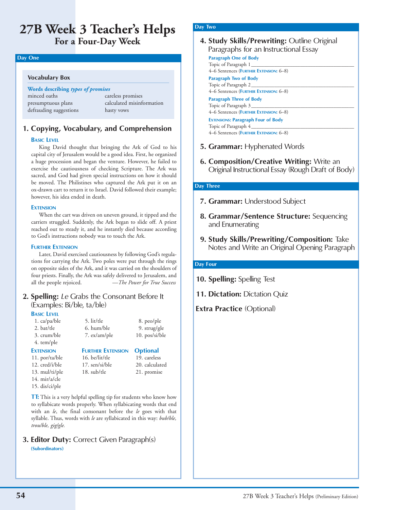# **27B Week 3 Teacher's Helps**

**For a Four-Day Week**

#### **Day One**

#### **Vocabulary Box**

#### **Words describing** *types of promises* minced oaths careless promises presumptuous plans calculated misinformation

defrauding suggestions hasty vows

### **1. Copying, Vocabulary, and Comprehension**

#### **BASIC LEVEL**

King David thought that bringing the Ark of God to his capital city of Jerusalem would be a good idea. First, he organized a huge procession and began the venture. However, he failed to exercise the cautiousness of checking Scripture. The Ark was sacred, and God had given special instructions on how it should be moved. The Philistines who captured the Ark put it on an ox-drawn cart to return it to Israel. David followed their example; however, his idea ended in death.

#### **EXTENSION**

When the cart was driven on uneven ground, it tipped and the carriers struggled. Suddenly, the Ark began to slide off. A priest reached out to steady it, and he instantly died because according to God's instructions nobody was to touch the Ark.

#### **FURTHER EXTENSION**

Later, David exercised cautiousness by following God's regulations for carrying the Ark. Two poles were put through the rings on opposite sides of the Ark, and it was carried on the shoulders of four priests. Finally, the Ark was safely delivered to Jerusalem, and all the people rejoiced. —*The Power for True Success*

#### **2. Spelling:** *Le* Grabs the Consonant Before It (Examples: Bi/ble, ta/ble)

#### **BASIC LEVEL**

| 1. $ca/pa/ble$<br>2. bat/tle<br>3. crum/ble<br>4. tem/ple | 5. lit/tle<br>6. hum/ble<br>7. ex/am/ple | 8. peo/ple<br>9. strug/gle<br>10. pos/si/ble |
|-----------------------------------------------------------|------------------------------------------|----------------------------------------------|
| <b>EXTENSION</b>                                          | <b>FURTHER EXTENSION</b>                 | <b>Optional</b>                              |
| 11. por/ta/ble                                            | 16. be/lit/tle                           | 19. careless                                 |
| 12. cred/i/ble                                            | 17. sen/si/ble                           | 20. calculated                               |
| 13. mul/ti/ple                                            | 18. sub/tle                              | 21. promise                                  |
| 14. mir/a/cle                                             |                                          |                                              |

15. dis/ci/ple **TT:** This is a very helpful spelling tip for students who know how to syllabicate words properly. When syllabicating words that end with an *le*, the final consonant before the *le* goes with that syllable. Thus, words with *le* are syllabicated in this way: *bub/ble, trou/ble, gig/gle.*

### **3. Editor Duty:** Correct Given Paragraph(s)

**(Subordinators)**

#### **Day Two**

**4. Study Skills/Prewriting:** Outline Original Paragraphs for an Instructional Essay **Paragraph One of Body** Topic of Paragraph  $1$ 4–6 Sentences (**FURTHER EXTENSION:** 6–8) **Paragraph Two of Body** Topic of Paragraph 2 4–6 Sentences (**FURTHER EXTENSION:** 6–8) **Paragraph Three of Body** Topic of Paragraph 3 4–6 Sentences (**FURTHER EXTENSION:** 6–8)

**EXTENSIONS: Paragraph Four of Body** Topic of Paragraph  $4$ 

4–6 Sentences (**FURTHER EXTENSION:** 6–8)

- **5. Grammar:** Hyphenated Words
- **6. Composition/Creative Writing:** Write an Original Instructional Essay (Rough Draft of Body)

#### **Day Three**

- **7. Grammar:** Understood Subject
- **8. Grammar/Sentence Structure:** Sequencing and Enumerating
- **9. Study Skills/Prewriting/Composition:** Take Notes and Write an Original Opening Paragraph

#### **Day Four**

- **10. Spelling:** Spelling Test
- **11. Dictation:** Dictation Quiz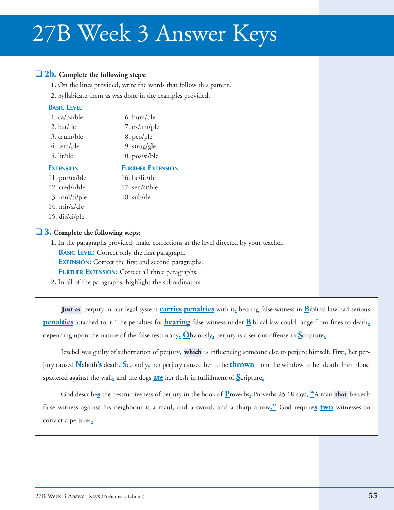# 27B Week 3 Answer Keys

#### ❑ **2b. Complete the following steps:**

- **1.** On the lines provided, write the words that follow this pattern.
- **2.** Syllabicate them as was done in the examples provided.

#### **BASIC LEVEL**

- 1. ca/pa/ble 6. hum/ble
- 2. bat/tle 7. ex/am/ple
- 3. crum/ble 8. peo/ple
- 4. tem/ple 9. strug/gle
- 5. lit/tle 10. pos/si/ble

- **EXTENSION FURTHER EXTENSION**
- 11. por/ta/ble 16. be/lit/tle
- 12. cred/i/ble 17. sen/si/ble
- 13. mul/ti/ple 18. sub/tle
- 14. mir/a/cle
- 15. dis/ci/ple

#### ❑ **3. Complete the following steps:**

- **1.** In the paragraphs provided, make corrections at the level directed by your teacher. **BASIC LEVEL:** Correct only the first paragraph. **EXTENSION:** Correct the first and second paragraphs. **FURTHER EXTENSION:** Correct all three paragraphs.
- **2.** In all of the paragraphs, highlight the subordinators.

perjury in our legal system **carries penalties** with it**,** bearing false witness in **B**iblical law had serious **Just aspenalties** attached to it. The penalties for **bearing** false witness under **B**iblical law could range from fines to death**,** depending upon the nature of the false testimony**. O**bviously**,** perjury is a serious offense in **S**cripture**.**

Jezebel was guilty of subornation of perjury, which is influencing someone else to perjure himself. First, her perjury caused **N**aboth**'s** death**. S**econdly**,** her perjury caused her to be **thrown** from the window to her death. Her blood spattered against the wall**,** and the dogs **ate** her flesh in fulfillment of **S**cripture**.**

God describes the destructiveness of perjury in the book of **P**roverbs. Proverbs 25:18 says, "A man that beareth false witness against his neighbour is a maul, and a sword, and a sharp arrow**."** God require**s two** witnesses to convict a perjurer**.**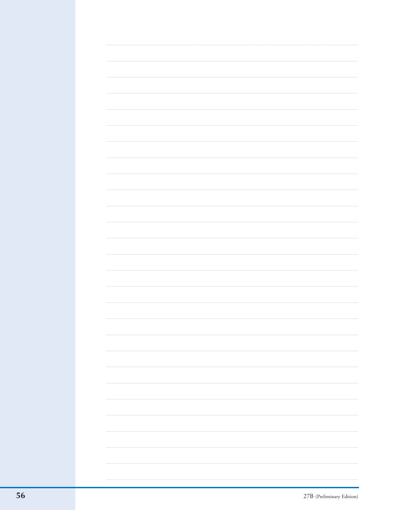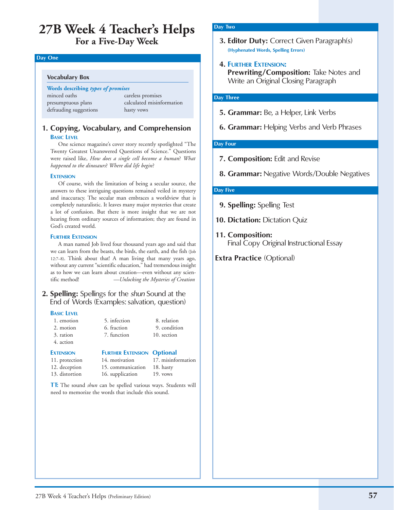## **27B Week 4 Teacher's Helps For a Five-Day Week**

#### **Day One**

#### **Vocabulary Box**

#### **Words describing** *types of promises*

minced oaths careless promises defrauding suggestions hasty vows

presumptuous plans calculated misinformation

#### **1. Copying, Vocabulary, and Comprehension BASIC LEVEL**

One science magazine's cover story recently spotlighted "The Twenty Greatest Unanswered Questions of Science." Questions were raised like, *How does a single cell become a human*? *What happened to the dinosaurs*? *Where did life begin*?

#### **EXTENSION**

Of course, with the limitation of being a secular source, the answers to these intriguing questions remained veiled in mystery and inaccuracy. The secular man embraces a worldview that is completely naturalistic. It leaves many major mysteries that create a lot of confusion. But there is more insight that we are not hearing from ordinary sources of information; they are found in God's created world.

#### **FURTHER EXTENSION**

A man named Job lived four thousand years ago and said that we can learn from the beasts, the birds, the earth, and the fish (Job 12:7–8). Think about that! A man living that many years ago, without any current "scientific education," had tremendous insight as to how we can learn about creation—even without any scientific method! *—Unlocking the Mysteries of Creation*

#### **2. Spelling:** Spellings for the *shun* Sound at the End of Words (Examples: salvation, question)

#### **BASIC LEVEL**

| 1. emotion | 5. infection | 8. relation  |
|------------|--------------|--------------|
| 2. motion  | 6. fraction  | 9. condition |
| 3. ration  | 7. function  | 10. section  |
| 4. action  |              |              |

| <b>EXTENSION</b> | <b>FURTHER EXTENSION Optional</b> |                    |
|------------------|-----------------------------------|--------------------|
| 11. protection   | 14. motivation                    | 17. misinformation |
| 12. deception    | 15. communication                 | 18. hasty          |
| 13. distortion   | 16. supplication                  | $19.$ vows         |

**TT:** The sound *shun* can be spelled various ways. Students will need to memorize the words that include this sound.

#### **Day Two**

**3. Editor Duty:** Correct Given Paragraph(s) **(Hyphenated Words, Spelling Errors)**

### **4. FURTHER EXTENSION:**

**Prewriting/Composition:** Take Notes and Write an Original Closing Paragraph

#### **Day Three**

- **5. Grammar:** Be, a Helper, Link Verbs
- **6. Grammar:** Helping Verbs and Verb Phrases

#### **Day Four**

- **7. Composition:** Edit and Revise
- **8. Grammar:** Negative Words/Double Negatives

#### **Day Five**

- **9. Spelling:** Spelling Test
- **10. Dictation:** Dictation Quiz
- **11. Composition:**  Final Copy Original Instructional Essay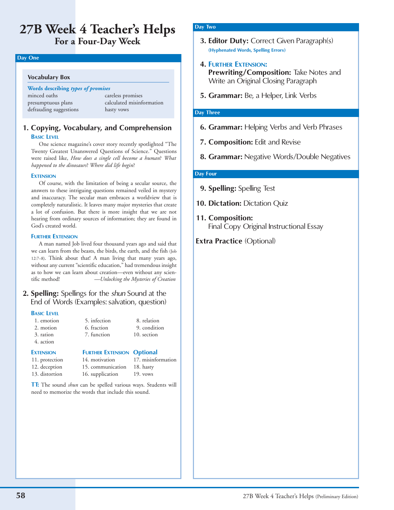### **27B Week 4 Teacher's Helps For a Four-Day Week**

#### **Day One**

#### **Vocabulary Box**

#### **Words describing** *types of promises* minced oaths careless promises

| minced oaths           | careless promises         |
|------------------------|---------------------------|
| presumptuous plans     | calculated misinformation |
| defrauding suggestions | hasty vows                |

#### **1. Copying, Vocabulary, and Comprehension BASIC LEVEL**

One science magazine's cover story recently spotlighted "The Twenty Greatest Unanswered Questions of Science." Questions were raised like, *How does a single cell become a human*? *What happened to the dinosaurs*? *Where did life begin*?

#### **EXTENSION**

Of course, with the limitation of being a secular source, the answers to these intriguing questions remained veiled in mystery and inaccuracy. The secular man embraces a worldview that is completely naturalistic. It leaves many major mysteries that create a lot of confusion. But there is more insight that we are not hearing from ordinary sources of information; they are found in God's created world.

#### **FURTHER EXTENSION**

A man named Job lived four thousand years ago and said that we can learn from the beasts, the birds, the earth, and the fish (Job 12:7–8). Think about that! A man living that many years ago, without any current "scientific education," had tremendous insight as to how we can learn about creation—even without any scientific method! *—Unlocking the Mysteries of Creation*

#### **2. Spelling:** Spellings for the *shun* Sound at the End of Words (Examples: salvation, question)

#### **BASIC LEVEL**

1. emotion 5. infection 8. relation 2. motion 6. fraction 9. condition 3. ration 7. function 10. section 4. action

#### **EXTENSION FURTHER EXTENSION Optional** 11. protection 14. motivation 17. misinformation 12. deception 15. communication 18. hasty 13. distortion 16. supplication 19. vows

**TT:** The sound *shun* can be spelled various ways. Students will need to memorize the words that include this sound.

#### **Day Two**

- **3. Editor Duty:** Correct Given Paragraph(s) **(Hyphenated Words, Spelling Errors)**
- **4. FURTHER EXTENSION: Prewriting/Composition:** Take Notes and Write an Original Closing Paragraph
- **5. Grammar:** Be, a Helper, Link Verbs

#### **Day Three**

- **6. Grammar:** Helping Verbs and Verb Phrases
- **7. Composition:** Edit and Revise
- **8. Grammar:** Negative Words/Double Negatives

#### **Day Four**

- **9. Spelling:** Spelling Test
- **10. Dictation:** Dictation Quiz
- **11. Composition:**  Final Copy Original Instructional Essay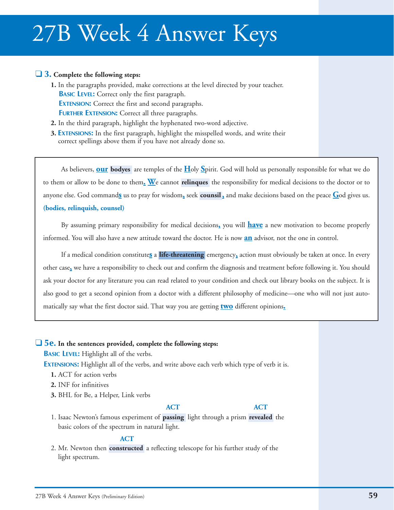# 27B Week 4 Answer Keys

#### ❑ **3. Complete the following steps:**

- **1.** In the paragraphs provided, make corrections at the level directed by your teacher. **BASIC LEVEL:** Correct only the first paragraph. **EXTENSION:** Correct the first and second paragraphs. **FURTHER EXTENSION:** Correct all three paragraphs.
- **2.** In the third paragraph, highlight the hyphenated two-word adjective.
- **3. EXTENSIONS:** In the first paragraph, highlight the misspelled words, and write their correct spellings above them if you have not already done so.

As believers, <mark>our</mark> bodyes are temples of the Holy Spirit. God will hold us personally responsible for what we do to them or allow to be done to them. We cannot relinques the responsibility for medical decisions to the doctor or to anyone else. God command<u>s</u> us to pray for wisdom, seek counsil , and make decisions based on the peace <u>G</u>od gives us. **(bodies, relinquish, counsel)**

By assuming primary responsibility for medical decisions**,** you will **have** a new motivation to become properly informed. You will also have a new attitude toward the doctor. He is now **an** advisor, not the one in control.

If a medical condition constitute<u>s</u> a life-threatening emergency<u>,</u> action must obviously be taken at once. In every other case**,** we have a responsibility to check out and confirm the diagnosis and treatment before following it. You should ask your doctor for any literature you can read related to your condition and check out library books on the subject. It is also good to get a second opinion from a doctor with a different philosophy of medicine—one who will not just automatically say what the first doctor said. That way you are getting **two** different opinions**.**

#### ❑ **5e. In the sentences provided, complete the following steps:**

**BASIC LEVEL:** Highlight all of the verbs.

**EXTENSIONS:** Highlight all of the verbs, and write above each verb which type of verb it is.

- **1.** ACT for action verbs
- **2.** INF for infinitives
- **3.** BHL for Be, a Helper, Link verbs

#### **ACT ACT**

1. Isaac Newton's famous experiment of **passing** light through a prism revealed the basic colors of the spectrum in natural light.

#### **ACT**

2. Mr. Newton then **constructed** a reflecting telescope for his further study of the light spectrum.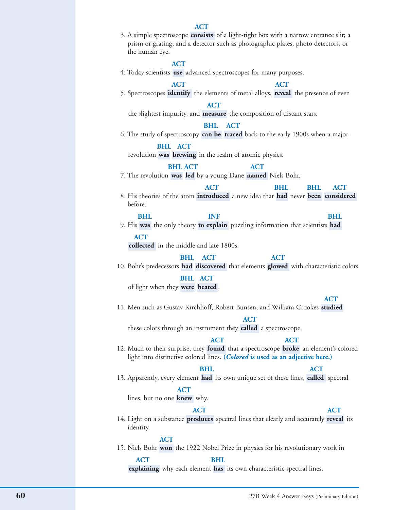3. A simple spectroscope **consists** of a light-tight box with a narrow entrance slit; a prism or grating; and a detector such as photographic plates, photo detectors, or the human eye.

#### **ACT**

4. Today scientists use advanced spectroscopes for many purposes.

#### **ACT ACT**

5. Spectroscopes **identify** the elements of metal alloys, **reveal** the presence of even

### **ACT**

the slightest impurity, and **measure** the composition of distant stars.

#### **BHL ACT**

6. The study of spectroscopy **can be traced** back to the early 1900s when a major

#### **BHL ACT**

revolution **was** brewing in the realm of atomic physics.

#### **BHL ACT ACT**

7. The revolution was led by a young Dane named Niels Bohr.

#### **ACT BHL BHL ACT** 8. His theories of the atom *introduced* a new idea that had never been considered before.

#### **BHL INF BHL**

9. His was the only theory to explain puzzling information that scientists had **ACT**

collected in the middle and late 1800s.

#### **BHL ACT ACT**

10. Bohr's predecessors had discovered that elements glowed with characteristic colors

#### **BHL ACT**

#### of light when they were heated.

#### **ACT**

11. Men such as Gustav Kirchhoff, Robert Bunsen, and William Crookes **studied**

#### **ACT**

these colors through an instrument they **called** a spectroscope.

#### **ACT ACT**

12. Much to their surprise, they **found** that a spectroscope **broke** an element's colored light into distinctive colored lines. **(***Colored* **is used as an adjective here.)**

#### **BHL** ACT

13. Apparently, every element had its own unique set of these lines, called spectral

#### **ACT**

lines, but no one **knew** why.

#### **ACT ACT**

14. Light on a substance **produces** spectral lines that clearly and accurately reveal its identity.

#### **ACT**

15. Niels Bohr won the 1922 Nobel Prize in physics for his revolutionary work in

#### **ACT BHL**

**explaining** why each element **has** its own characteristic spectral lines.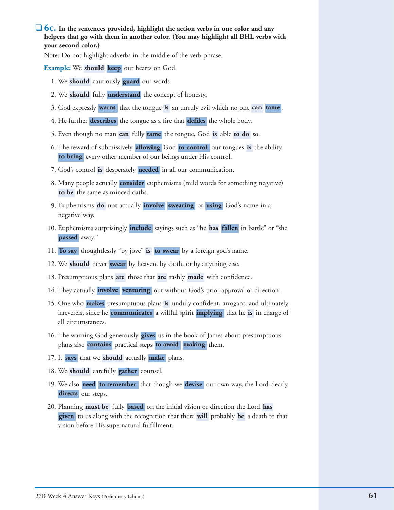❑ **6c. In the sentences provided, highlight the action verbs in one color and any helpers that go with them in another color. (You may highlight all BHL verbs with your second color.)**

Note: Do not highlight adverbs in the middle of the verb phrase.

**Example:** We should keep our hearts on God.

- 1. We **should** cautiously **guard** our words.
- 2. We **should** fully **understand** the concept of honesty.
- 3. God expressly **warns** that the tongue is an unruly evil which no one can tame.
- 4. He further **describes** the tongue as a fire that **defiles** the whole body.
- 5. Even though no man can fully tame the tongue, God is able to do so.
- 6. The reward of submissively **allowing** God to control our tongues is the ability to bring every other member of our beings under His control.
- 7. God's control is desperately **needed** in all our communication.
- 8. Many people actually **consider** euphemisms (mild words for something negative) to be the same as minced oaths.
- 9. Euphemisms **do** not actually *involve* swearing or using God's name in a negative way.
- 10. Euphemisms surprisingly **include** sayings such as "he **has fallen** in battle" or "she passed away."
- 11. To say thoughtlessly "by jove" is to swear by a foreign god's name.
- 12. We **should** never **swear** by heaven, by earth, or by anything else.
- 13. Presumptuous plans are those that are rashly made with confidence.
- 14. They actually *involve* venturing out without God's prior approval or direction.
- 15. One who **makes** presumptuous plans is unduly confident, arrogant, and ultimately **irreverent since he communicates** a willful spirit implying that he is in charge of all circumstances.
- 16. The warning God generously **gives** us in the book of James about presumptuous plans also **contains** practical steps **to avoid making** them.
- 17. It **says** that we **should** actually **make** plans.
- 18. We should carefully gather counsel.
- 19. We also **need** to remember that though we devise our own way, the Lord clearly directs our steps.
- 20. Planning **must be** fully **based** on the initial vision or direction the Lord has **given** to us along with the recognition that there **will** probably be a death to that vision before His supernatural fulfillment.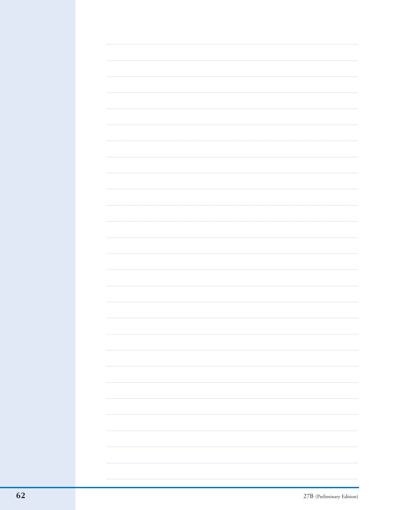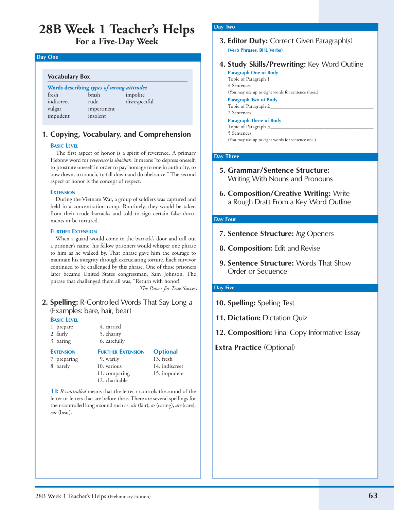### **28B Week 1 Teacher's Helps For a Five-Day Week**

#### **Day One**

#### **Vocabulary Box**

### **Words describing** *types of wrong attitudes*

| fresh      | brash       | impolite      |
|------------|-------------|---------------|
| indiscreet | rude        | disrespectful |
| vulgar     | impertinent |               |
| impudent   | insolent    |               |

#### **1. Copying, Vocabulary, and Comprehension**

#### **BASIC LEVEL**

The first aspect of honor is a spirit of reverence. A primary Hebrew word for *reverence* is *shachah*. It means "to depress oneself, to prostrate oneself in order to pay homage to one in authority, to bow down, to crouch, to fall down and do obeisance." The second aspect of honor is the concept of respect.

#### **EXTENSION**

During the Vietnam War, a group of soldiers was captured and held in a concentration camp. Routinely, they would be taken from their crude barracks and told to sign certain false documents or be tortured.

#### **FURTHER EXTENSION**

When a guard would come to the barrack's door and call out a prisoner's name, his fellow prisoners would whisper one phrase to him as he walked by. That phrase gave him the courage to maintain his integrity through excruciating torture. Each survivor continued to be challenged by this phrase. One of those prisoners later became United States congressman, Sam Johnson. The phrase that challenged them all was, "Return with honor!"

—*The Power for True Success*

#### **2. Spelling:** R-Controlled Words That Say Long *a* (Examples: bare, hair, bear)

#### **BASIC LEVEL**

| 1. prepare<br>2. fairly<br>3. baring | 4. carried<br>5. charity<br>6. carefully    |                |
|--------------------------------------|---------------------------------------------|----------------|
| <b>EXTENSION</b>                     | <b>Optional</b><br><b>FURTHER EXTENSION</b> |                |
| 7. preparing                         | 13. fresh<br>9. warily                      |                |
| 8. barely                            | 10. various                                 | 14. indiscreet |
|                                      | 11. comparing                               | 15. impudent   |
|                                      | 12. charitable                              |                |

**TT:** *R-controlled* means that the letter *r* controls the sound of the letter or letters that are before the *r*. There are several spellings for the r-controlled long *a* sound such as: *air* (fair), *ar* (caring), *are* (care), *ear* (bear).

#### **Day Two**

- **3. Editor Duty:** Correct Given Paragraph(s) **(Verb Phrases, BHL Verbs)**
- **4. Study Skills/Prewriting:** Key Word Outline

| <b>Paragraph One of Body</b>                        |
|-----------------------------------------------------|
| Topic of Paragraph 1                                |
| 4 Sentences                                         |
| (You may use up to eight words for sentence three.) |
| Paragraph Two of Body                               |
|                                                     |
| 2 Sentences                                         |
| <b>Paragraph Three of Body</b>                      |
| Topic of Paragraph 3                                |
| 5 Sentences                                         |
| (You may use up to eight words for sentence one.)   |
|                                                     |

#### **Day Three**

- **5. Grammar/Sentence Structure:**  Writing With Nouns and Pronouns
- **6. Composition/Creative Writing:** Write a Rough Draft From a Key Word Outline

#### **Day Four**

- **7. Sentence Structure:** *Ing* Openers
- **8. Composition:** Edit and Revise
- **9. Sentence Structure:** Words That Show Order or Sequence

#### **Day Five**

- **10. Spelling:** Spelling Test
- **11. Dictation:** Dictation Quiz
- **12. Composition:** Final Copy Informative Essay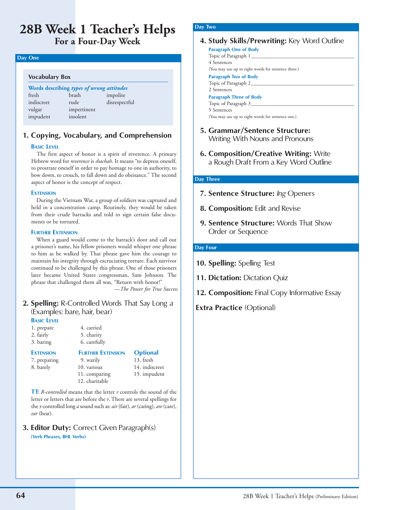# **28B Week 1 Teacher's Helps**

**For a Four-Day Week**

#### **Day One**

#### **Vocabulary Box**

| Words describing types of wrong attitudes |             |               |  |
|-------------------------------------------|-------------|---------------|--|
| fresh                                     | brash       | impolite      |  |
| indiscreet                                | rude        | disrespectful |  |
| vulgar                                    | impertinent |               |  |
| impudent                                  | insolent    |               |  |

#### **1. Copying, Vocabulary, and Comprehension**

#### **BASIC LEVEL**

The first aspect of honor is a spirit of reverence. A primary Hebrew word for *reverence* is *shachah*. It means "to depress oneself, to prostrate oneself in order to pay homage to one in authority, to bow down, to crouch, to fall down and do obeisance." The second aspect of honor is the concept of respect.

#### **EXTENSION**

During the Vietnam War, a group of soldiers was captured and held in a concentration camp. Routinely, they would be taken from their crude barracks and told to sign certain false documents or be tortured.

#### **FURTHER EXTENSION**

When a guard would come to the barrack's door and call out a prisoner's name, his fellow prisoners would whisper one phrase to him as he walked by. That phrase gave him the courage to maintain his integrity through excruciating torture. Each survivor continued to be challenged by this phrase. One of those prisoners later became United States congressman, Sam Johnson. The phrase that challenged them all was, "Return with honor!"

—*The Power for True Success*

### **2. Spelling:** R-Controlled Words That Say Long *a* (Examples: bare, hair, bear)

#### **BASIC LEVEL**

| <b>EXTENSION</b> | <b>FURTHER EXTENSION</b> | <b>Optional</b> |  |
|------------------|--------------------------|-----------------|--|
| 3. baring        | 6. carefully             |                 |  |
| 2. fairly        | 5. charity               |                 |  |
| 1. prepare       | 4. carried               |                 |  |

7. preparing 9. warily 13. fresh 8. barely 10. various 14. indiscreet 11. comparing 15. impudent 12. charitable

**TT:** *R-controlled* means that the letter *r* controls the sound of the letter or letters that are before the *r*. There are several spellings for the r-controlled long *a* sound such as: *air* (fair), *ar* (caring), *are* (care), *ear* (bear).

**3. Editor Duty:** Correct Given Paragraph(s) **(Verb Phrases, BHL Verbs)**

#### **Day Two**

**4. Study Skills/Prewriting:** Key Word Outline

```
Paragraph One of Body
Topic of Paragraph 1_
4 Sentences
(You may use up to eight words for sentence three.)
Paragraph Two of Body
Topic of Paragraph 2_
```
2 Sentences **Paragraph Three of Body**

Topic of Paragraph 3\_ 5 Sentences

(You may use up to eight words for sentence one.)

- **5. Grammar/Sentence Structure:**  Writing With Nouns and Pronouns
- **6. Composition/Creative Writing:** Write a Rough Draft From a Key Word Outline

#### **Day Three**

- **7. Sentence Structure:** *Ing* Openers
- **8. Composition:** Edit and Revise
- **9. Sentence Structure:** Words That Show Order or Sequence

#### **Day Four**

- **10. Spelling:** Spelling Test
- **11. Dictation:** Dictation Quiz
- **12. Composition:** Final Copy Informative Essay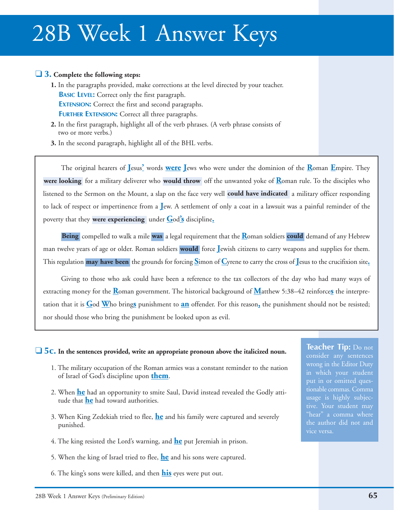# 28B Week 1 Answer Keys

#### ❑ **3. Complete the following steps:**

- **1.** In the paragraphs provided, make corrections at the level directed by your teacher. **BASIC LEVEL:** Correct only the first paragraph. **EXTENSION:** Correct the first and second paragraphs. **FURTHER EXTENSION:** Correct all three paragraphs.
- **2.** In the first paragraph, highlight all of the verb phrases. (A verb phrase consists of two or more verbs.)
- **3.** In the second paragraph, highlight all of the BHL verbs.

The original hearers of **J**esus**'** words **were J**ews who were under the dominion of the **R**oman **E**mpire. They were looking for a military deliverer who would throw off the unwanted yoke of **R**oman rule. To the disciples who listened to the Sermon on the Mount, a slap on the face very well **could have indicated** a military officer responding to lack of respect or impertinence from a **J**ew. A settlement of only a coat in a lawsuit was a painful reminder of the poverty that they were experiencing under God's discipline.

 $\overline{\text{Being}}$  compelled to walk a mile  $\overline{\text{was}}$  a legal requirement that the  $\overline{\text{R}}$ oman soldiers  $\overline{\text{could}}$  demand of any Hebrew man twelve years of age or older. Roman soldiers would force Jewish citizens to carry weapons and supplies for them. This regulation <mark>may have been</mark> the grounds for forcing <u>S</u>imon of <u>C</u>yrene to carry the cross of **J**esus to the crucifixion site<u>.</u>

Giving to those who ask could have been a reference to the tax collectors of the day who had many ways of extracting money for the **R**oman government. The historical background of **M**atthew 5:38–42 reinforce**s** the interpretation that it is **G**od **W**ho bring**s** punishment to **an** offender. For this reason**,** the punishment should not be resisted; nor should those who bring the punishment be looked upon as evil.

#### ❑ **5c. In the sentences provided, write an appropriate pronoun above the italicized noun.**

- 1. The military occupation of the Roman armies was a constant reminder to the nation of Israel of God's discipline upon **them**.
- 2. When **he** had an opportunity to smite Saul, David instead revealed the Godly attitude that **he** had toward authorities.
- 3. When King Zedekiah tried to flee, **he** and his family were captured and severely punished.
- 4. The king resisted the Lord's warning, and **he** put Jeremiah in prison.
- 5. When the king of Israel tried to flee, **he** and his sons were captured.
- 6. The king's sons were killed, and then **his** eyes were put out.

**Teacher Tip:** Do not wrong in the Editor Duty in which your student put in or omitted questionable commas. Comma usage is highly subjective. Your student may the author did not and vice versa.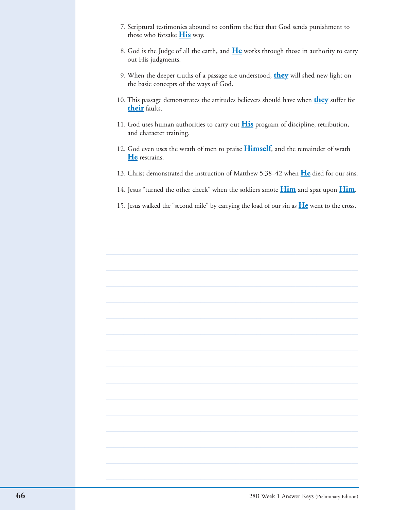- 7. Scriptural testimonies abound to confirm the fact that God sends punishment to those who forsake **His** way.
- 8. God is the Judge of all the earth, and **He** works through those in authority to carry out His judgments.
- 9. When the deeper truths of a passage are understood, **they** will shed new light on the basic concepts of the ways of God.
- 10. This passage demonstrates the attitudes believers should have when **they** suffer for **their** faults.
- 11. God uses human authorities to carry out **His** program of discipline, retribution, and character training.
- 12. God even uses the wrath of men to praise **Himself**, and the remainder of wrath **He** restrains.
- 13. Christ demonstrated the instruction of Matthew 5:38–42 when **He** died for our sins.
- 14. Jesus "turned the other cheek" when the soldiers smote **Him** and spat upon **Him**.
- 15. Jesus walked the "second mile" by carrying the load of our sin as **He** went to the cross.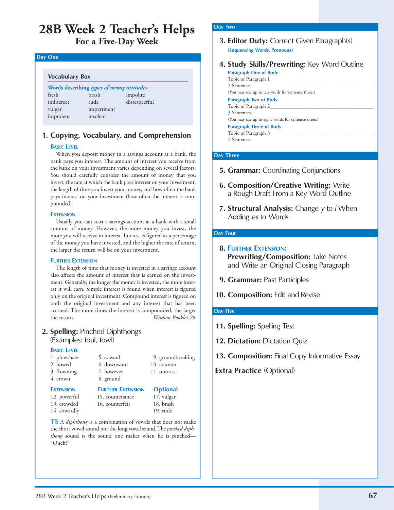### **28B Week 2 Teacher's Helps For a Five-Day Week**

#### **Day One**

#### **Vocabulary Box**

|       | Words describing types of wrong attitudes |              |          |
|-------|-------------------------------------------|--------------|----------|
| fresh |                                           | <b>brash</b> | impolite |

| <u>DI 6511</u> |
|----------------|
| rude           |
| impertinent    |
| insolent       |
|                |

# disrespectful

#### **1. Copying, Vocabulary, and Comprehension**

#### **BASIC LEVEL**

When you deposit money in a savings account at a bank, the bank pays you interest. The amount of interest you receive from the bank on your investment varies depending on several factors. You should carefully consider the amount of money that you invest, the rate at which the bank pays interest on your investment, the length of time you invest your money, and how often the bank pays interest on your investment (how often the interest is compounded).

#### **EXTENSION**

Usually you can start a savings account at a bank with a small amount of money. However, the more money you invest, the more you will receive in interest. Interest is figured as a percentage of the money you have invested, and the higher the rate of return, the larger the return will be on your investment.

#### **FURTHER EXTENSION**

The length of time that money is invested in a savings account also affects the amount of interest that is earned on the investment. Generally, the longer the money is invested, the more interest it will earn. Simple interest is found when interest is figured only on the original investment. Compound interest is figured on both the original investment and any interest that has been accrued. The more times the interest is compounded, the larger the return. —*Wisdom Booklet 28*

#### **2. Spelling:** Pinched Diphthongs (Examples: foul, fowl)

#### **BASIC LEVEL**

| 1. plowshare            | 5. coward                | 9. groundbreaking |
|-------------------------|--------------------------|-------------------|
| 2. bowed                | 6. downward              | 10. counter       |
| 3. frowning<br>4. crown | 7. however<br>8. ground  | 11. outcast       |
|                         |                          |                   |
| <b>EXTENSION</b>        | <b>FURTHER EXTENSION</b> | <b>Optional</b>   |
| 12. powerful            | 15. countenance          | 17. vulgar        |
| 13. crowded             | 16. counterfeit          | 18. brash         |

**TT:** A *diphthong* is a combination of vowels that does not make the short vowel sound nor the long vowel sound. The *pinched diphthong* sound is the sound one makes when he is pinched— "Ouch!"

#### **Day Two**

- **3. Editor Duty:** Correct Given Paragraph(s) **(Sequencing Words, Pronouns)**
- **4. Study Skills/Prewriting:** Key Word Outline

| <b>Paragraph One of Body</b>                        |
|-----------------------------------------------------|
| Topic of Paragraph 1                                |
| 3 Sentences                                         |
| (You may use up to ten words for sentence three.)   |
| Paragraph Two of Body                               |
| Topic of Paragraph 2                                |
| 3 Sentences                                         |
| (You may use up to eight words for sentence three.) |
| <b>Paragraph Three of Body</b>                      |
| Topic of Paragraph 3                                |
| 5 Sentences                                         |
|                                                     |

#### **Day Three**

- **5. Grammar:** Coordinating Conjunctions
- **6. Composition/Creative Writing:** Write a Rough Draft From a Key Word Outline
- **7. Structural Analysis:** Change *y* to *i* When Adding *es* to Words

#### **Day Four**

- **8. FURTHER EXTENSION: Prewriting/Composition:** Take Notes and Write an Original Closing Paragraph
- **9. Grammar:** Past Participles
- **10. Composition:** Edit and Revise

#### **Day Five**

- **11. Spelling:** Spelling Test
- **12. Dictation:** Dictation Quiz
- 13. Composition: Final Copy Informative Essay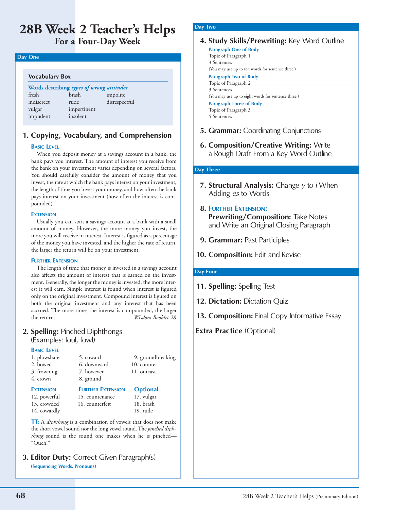# **28B Week 2 Teacher's Helps**

**For a Four-Day Week**

#### **Day One**

#### **Vocabulary Box**

#### **Words describing** *types of wrong attitudes*

| fresh      | brash       | impolite      |
|------------|-------------|---------------|
| indiscreet | rude        | disrespectful |
| vulgar     | impertinent |               |
| impudent   | insolent    |               |
|            |             |               |

#### **1. Copying, Vocabulary, and Comprehension**

#### **BASIC LEVEL**

When you deposit money at a savings account in a bank, the bank pays you interest. The amount of interest you receive from the bank on your investment varies depending on several factors. You should carefully consider the amount of money that you invest, the rate at which the bank pays interest on your investment, the length of time you invest your money, and how often the bank pays interest on your investment (how often the interest is compounded).

#### **EXTENSION**

Usually you can start a savings account at a bank with a small amount of money. However, the more money you invest, the more you will receive in interest. Interest is figured as a percentage of the money you have invested, and the higher the rate of return, the larger the return will be on your investment.

#### **FURTHER EXTENSION**

The length of time that money is invested in a savings account also affects the amount of interest that is earned on the investment. Generally, the longer the money is invested, the more interest it will earn. Simple interest is found when interest is figured only on the original investment. Compound interest is figured on both the original investment and any interest that has been accrued. The more times the interest is compounded, the larger the return. —*Wisdom Booklet 28*

#### **2. Spelling:** Pinched Diphthongs (Examples: foul, fowl)

#### **BASIC LEVEL**

| 1. plowshare<br>2. bowed<br>3. frowning<br>4. crown | 5. coward<br>6. downward<br>7. however<br>8. ground | 9. groundbreaking<br>10. counter<br>11. outcast |
|-----------------------------------------------------|-----------------------------------------------------|-------------------------------------------------|
| <b>EXTENSION</b>                                    | <b>FURTHER EXTENSION</b>                            | <b>Optional</b>                                 |
| 12. powerful                                        | 15. countenance                                     | 17. vulgar                                      |
| 13. crowded                                         | 16. counterfeit                                     | 18. brash                                       |

14. cowardly 19. rude **TT:** A *diphthong* is a combination of vowels that does not make

- the short vowel sound nor the long vowel sound. The *pinched diphthong* sound is the sound one makes when he is pinched— "Ouch!"
- **3. Editor Duty:** Correct Given Paragraph(s) **(Sequencing Words, Pronouns)**

#### **Day Two**

**4. Study Skills/Prewriting:** Key Word Outline **Paragraph One of Body** Topic of Paragraph 1\_ 3 Sentences

(You may use up to ten words for sentence three.) **Paragraph Two of Body** Topic of Paragraph 2\_ 3 Sentences (You may use up to eight words for sentence three.) **Paragraph Three of Body** Topic of Paragraph 3\_ 5 Sentences

- **5. Grammar:** Coordinating Conjunctions
- **6. Composition/Creative Writing:** Write a Rough Draft From a Key Word Outline

#### **Day Three**

- **7. Structural Analysis:** Change *y* to *i* When Adding *es* to Words
- **8. FURTHER EXTENSION: Prewriting/Composition:** Take Notes and Write an Original Closing Paragraph
- **9. Grammar:** Past Participles
- **10. Composition:** Edit and Revise

#### **Day Four**

- **11. Spelling:** Spelling Test
- **12. Dictation:** Dictation Quiz
- **13. Composition:** Final Copy Informative Essay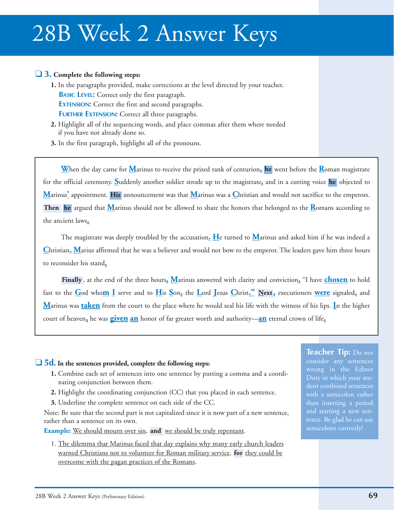# 28B Week 2 Answer Keys

#### ❑ **3. Complete the following steps:**

- **1.** In the paragraphs provided, make corrections at the level directed by your teacher. **BASIC LEVEL:** Correct only the first paragraph. **EXTENSION:** Correct the first and second paragraphs. **FURTHER EXTENSION:** Correct all three paragraphs.
- **2.** Highlight all of the sequencing words, and place commas after them where needed if you have not already done so.
- **3.** In the first paragraph, highlight all of the pronouns.

 $\bf{W}$ hen the day came for  $\bf{M}$ arinus to receive the prized rank of centurion,  $\bf{he}$  went before the  $\bf{R}$ oman magistrate for the official ceremony. <u>S</u>uddenly another soldier strode up to the magistrate, and in a cutting voice he objected to  $M$ arinus<sup>'</sup> appointment. His announcement was that  $M$ arinus was a  $C$ hristian and would not sacrifice to the emperors. argued that **M**arinus should not be allowed to share the honors that belonged to the **R**omans according to **Then he** the ancient laws**.**

The magistrate was deeply troubled by the accusation**. H**e turned to **M**arinus and asked him if he was indeed a **C**hristian**. M**arius affirmed that he was a believer and would not bow to the emperor. The leaders gave him three hours to reconsider his stand**.**

, at the end of the three hours**, M**arinus answered with clarity and conviction**,** "I have **chosen** to hold **Finally** fast to the **G**od who**m I** serve and to **H**is **S**on**,** the **L**ord **J**esus **C**hrist**." ,** executioners **were** signaled**,** and **Next M**arinus was **taken** from the court to the place where he would seal his life with the witness of his lips. **I**n the higher court of heaven**,** he was **given an** honor of far greater worth and authority—**an** eternal crown of life**.**

#### ❑ **5d. In the sentences provided, complete the following steps:**

- **1.** Combine each set of sentences into one sentence by putting a comma and a coordinating conjunction between them.
- **2.** Highlight the coordinating conjunction (CC) that you placed in each sentence.
- **3.** Underline the complete sentence on each side of the CC.

Note: Be sure that the second part is not capitalized since it is now part of a new sentence, rather than a sentence on its own.

**Example:** We should mourn over sin, and we should be truly repentant.

1. The dilemma that Marinus faced that day explains why many early church leaders <u>warned Christians not to volunteer for Roman military service</u>, **for** they could be overcome with the pagan practices of the Romans.

**Teacher Tip:** Do not wrong in the Editor Duty in which your stuwith a semicolon rather than inserting a period and starting a new sentence. Be glad he can use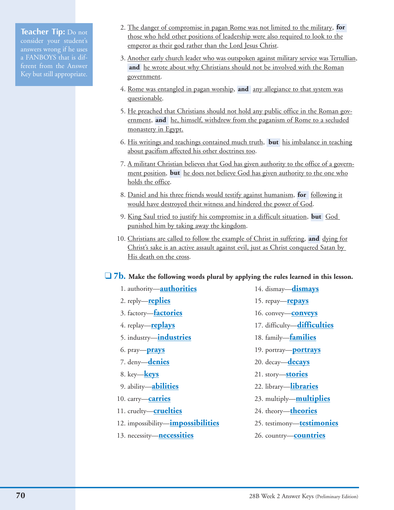answers wrong if he uses a FANBOYS that is different from the Answer Key but still appropriate.

- **Teacher Tip:** Do not 2. The danger of compromise in pagan Rome was not limited to the military, for those who held other positions of leadership were also required to look to the emperor as their god rather than the Lord Jesus Christ.
	- 3. Another early church leader who was outspoken against military service was Tertullian, and he wrote about why Christians should not be involved with the Roman government.
	- 4. Rome was entangled in pagan worship, and any allegiance to that system was questionable.
	- 5. He preached that Christians should not hold any public office in the Roman government, and he, himself, withdrew from the paganism of Rome to a secluded monastery in Egypt.
	- 6. His writings and teachings contained much truth, **but** his imbalance in teaching about pacifism affected his other doctrines too.
	- 7. A militant Christian believes that God has given authority to the office of a govern-<u>ment position,</u> but <u>he does not believe God has given authority to the one who</u> holds the office.
	- 8. Daniel and his three friends would testify against humanism, for following it would have destroyed their witness and hindered the power of God.
	- 9. King Saul tried to justify his compromise in a difficult situation, but God punished him by taking away the kingdom.
	- 10. Christians are called to follow the example of Christ in suffering, and dying for Christ's sake is an active assault against evil, just as Christ conquered Satan by His death on the cross.

#### ❑ **7b. Make the following words plural by applying the rules learned in this lesson.**

| 14. dismay-dismays              |
|---------------------------------|
| 15. repay— <b>repays</b>        |
| 16. convey-conveys              |
| 17. difficulty-difficulties     |
| 18. family-families             |
| 19. portray-portrays            |
| 20. decay-decays                |
| 21. story-stories               |
| 22. library-libraries           |
| 23. multiply- <u>multiplies</u> |
| 24. theory-theories             |
| 25. testimony-testimonies       |
| 26. country-countries           |
|                                 |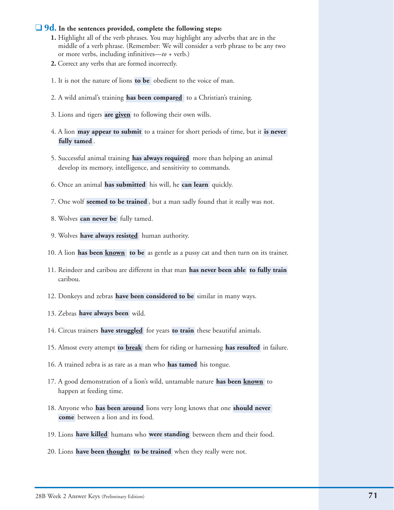#### ❑ **9d. In the sentences provided, complete the following steps:**

- **1.** Highlight all of the verb phrases. You may highlight any adverbs that are in the middle of a verb phrase. (Remember: We will consider a verb phrase to be any two or more verbs, including infinitives—*to* + verb.)
- **2.** Correct any verbs that are formed incorrectly.
- 1. It is not the nature of lions **to be** obedient to the voice of man.
- 2. A wild animal's training **has been compared** to a Christian's training.
- 3. Lions and tigers are **given** to following their own wills.
- 4. A lion may appear to submit to a trainer for short periods of time, but it is never . **fully tamed**
- 5. Successful animal training has always required more than helping an animal develop its memory, intelligence, and sensitivity to commands.
- 6. Once an animal **has submitted** his will, he **can learn** quickly.
- 7. One wolf **seemed to be trained**, but a man sadly found that it really was not.
- 8. Wolves can never be fully tamed.
- 9. Wolves **have always resist<u>ed</u> human authority.**
- 10. A lion has been **known** to be as gentle as a pussy cat and then turn on its trainer.
- 11. Reindeer and caribou are different in that man **has never been able to fully train** caribou.
- 12. Donkeys and zebras have been considered to be similar in many ways.
- 13. Zebras have always been wild.
- 14. Circus trainers have struggled for years to train these beautiful animals.
- 15. Almost every attempt to **break** them for riding or harnessing has resulted in failure.
- 16. A trained zebra is as rare as a man who **has tamed** his tongue.
- 17. A good demonstration of a lion's wild, untamable nature **has been known** to happen at feeding time.
- 18. Anyone who has been around lions very long knows that one should never between a lion and its food. **come**
- 19. Lions have killed humans who were standing between them and their food.
- 20. Lions have been thought to be trained when they really were not.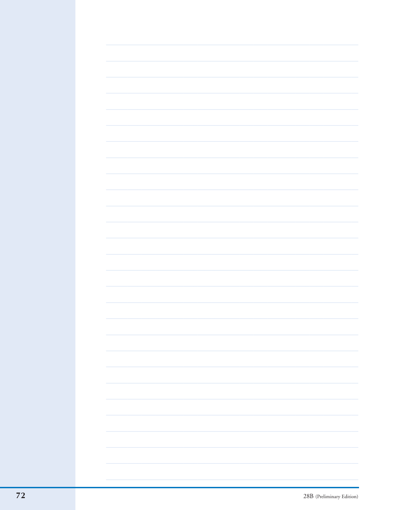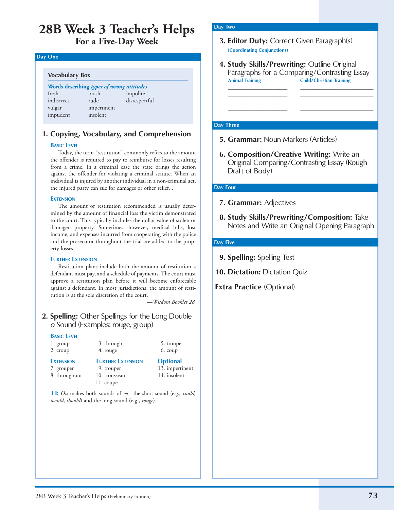## **28B Week 3 Teacher's Helps For a Five-Day Week**

#### **Day One**

#### **Vocabulary Box**

#### **Words describing** *types of wrong attitudes*

| fresh      | brash       | impolite      |
|------------|-------------|---------------|
| indiscreet | rude        | disrespectful |
| vulgar     | impertinent |               |
| impudent   | insolent    |               |
|            |             |               |

## **1. Copying, Vocabulary, and Comprehension**

#### **BASIC LEVEL**

Today, the term "restitution" commonly refers to the amount the offender is required to pay to reimburse for losses resulting from a crime. In a criminal case the state brings the action against the offender for violating a criminal statute. When an individual is injured by another individual in a non-criminal act, the injured party can sue for damages or other relief. .

#### **EXTENSION**

The amount of restitution recommended is usually determined by the amount of financial loss the victim demonstrated to the court. This typically includes the dollar value of stolen or damaged property. Sometimes, however, medical bills, lost income, and expenses incurred from cooperating with the police and the prosecutor throughout the trial are added to the property losses.

#### **FURTHER EXTENSION**

Restitution plans include both the amount of restitution a defendant must pay, and a schedule of payments. The court must approve a restitution plan before it will become enforceable against a defendant. In most jurisdictions, the amount of restitution is at the sole discretion of the court.

—*Wisdom Booklet 28*

#### **2. Spelling:** Other Spellings for the Long Double *o* Sound (Examples: rouge, group)

#### **BASIC LEVEL**

| 1. group<br>2. croup | 3. through<br>4. rouge   | 5. troupe<br>6. coup |
|----------------------|--------------------------|----------------------|
| <b>EXTENSION</b>     | <b>FURTHER EXTENSION</b> | <b>Optional</b>      |
| 7. grouper           | 9. trouper               | 13. impertinent      |
| 8. throughout        | 10. trousseau            | 14. insolent         |
|                      | 11. coupe                |                      |

**TT:** *Ou* makes both sounds of *oo*—the short sound (e.g., *could, would, should*) and the long sound (e.g., *rouge*).

#### **Day Two**

- **3. Editor Duty:** Correct Given Paragraph(s) **(Coordinating Conjunctions)**
- **4. Study Skills/Prewriting:** Outline Original Paragraphs for a Comparing/Contrasting Essay **Animal Training Child/Christian Training** \_\_\_\_\_\_\_\_\_\_\_\_\_\_\_\_\_\_\_\_\_\_ \_\_\_\_\_\_\_\_\_\_\_\_\_\_\_\_\_\_\_\_\_\_\_\_\_\_

\_\_\_\_\_\_\_\_\_\_\_\_\_\_\_\_\_\_\_\_\_\_ \_\_\_\_\_\_\_\_\_\_\_\_\_\_\_\_\_\_\_\_\_\_\_\_\_\_ \_\_\_\_\_\_\_\_\_\_\_\_\_\_\_\_\_\_\_\_\_\_ \_\_\_\_\_\_\_\_\_\_\_\_\_\_\_\_\_\_\_\_\_\_\_\_\_\_ \_\_\_\_\_\_\_\_\_\_\_\_\_\_\_\_\_\_\_\_\_\_ \_\_\_\_\_\_\_\_\_\_\_\_\_\_\_\_\_\_\_\_\_\_\_\_\_\_

#### **Day Three**

- **5. Grammar:** Noun Markers (Articles)
- **6. Composition/Creative Writing:** Write an Original Comparing/Contrasting Essay (Rough Draft of Body)

#### **Day Four**

- **7. Grammar:** Adjectives
- **8. Study Skills/Prewriting/Composition:** Take Notes and Write an Original Opening Paragraph

#### **Day Five**

- **9. Spelling:** Spelling Test
- **10. Dictation:** Dictation Quiz

**Extra Practice** (Optional)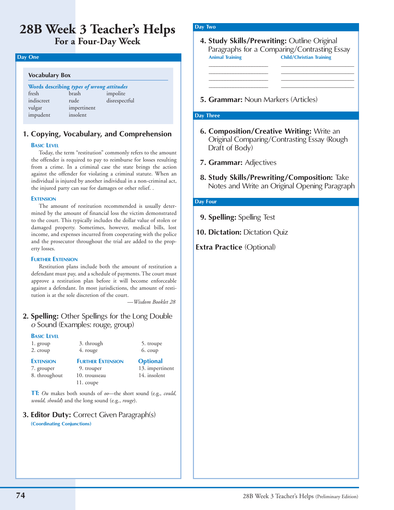## **28B Week 3 Teacher's Helps**

**For a Four-Day Week**

#### **Day One**

#### **Vocabulary Box**

#### **Words describing** *types of wrong attitudes*

| brash       | impolite      |
|-------------|---------------|
| rude        | disrespectful |
| impertinent |               |
| insolent    |               |
|             |               |

## **1. Copying, Vocabulary, and Comprehension**

#### **BASIC LEVEL**

Today, the term "restitution" commonly refers to the amount the offender is required to pay to reimburse for losses resulting from a crime. In a criminal case the state brings the action against the offender for violating a criminal statute. When an individual is injured by another individual in a non-criminal act, the injured party can sue for damages or other relief. .

#### **EXTENSION**

The amount of restitution recommended is usually determined by the amount of financial loss the victim demonstrated to the court. This typically includes the dollar value of stolen or damaged property. Sometimes, however, medical bills, lost income, and expenses incurred from cooperating with the police and the prosecutor throughout the trial are added to the property losses.

#### **FURTHER EXTENSION**

Restitution plans include both the amount of restitution a defendant must pay, and a schedule of payments. The court must approve a restitution plan before it will become enforceable against a defendant. In most jurisdictions, the amount of restitution is at the sole discretion of the court.

—*Wisdom Booklet 28*

## **2. Spelling:** Other Spellings for the Long Double *o* Sound (Examples: rouge, group)

#### **BASIC LEVEL**

| 1. group         | 3. through               | 5. troupe       |
|------------------|--------------------------|-----------------|
| 2. croup         | 4. rouge                 | 6. coup         |
| <b>EXTENSION</b> | <b>FURTHER EXTENSION</b> | <b>Optional</b> |
| 7. grouper       | 9. trouper               | 13. impertinent |
| 8. throughout    | 10. trousseau            | 14. insolent    |
|                  | 11. coupe                |                 |

**TT:** *Ou* makes both sounds of *oo*—the short sound (e.g., *could, would, should*) and the long sound (e.g., *rouge*).

## **3. Editor Duty:** Correct Given Paragraph(s) **(Coordinating Conjunctions)**

#### **Day Two**

**4. Study Skills/Prewriting:** Outline Original Paragraphs for a Comparing/Contrasting Essay<br> **Animal Training**<br> **Child/Christian Training Animal Training Child/Christian Training**

\_\_\_\_\_\_\_\_\_\_\_\_\_\_\_\_\_\_\_\_\_\_ \_\_\_\_\_\_\_\_\_\_\_\_\_\_\_\_\_\_\_\_\_\_\_\_\_\_ \_\_\_\_\_\_\_\_\_\_\_\_\_\_\_\_\_\_\_\_\_\_ \_\_\_\_\_\_\_\_\_\_\_\_\_\_\_\_\_\_\_\_\_\_\_\_\_\_ \_\_\_\_\_\_\_\_\_\_\_\_\_\_\_\_\_\_\_\_\_\_ \_\_\_\_\_\_\_\_\_\_\_\_\_\_\_\_\_\_\_\_\_\_\_\_\_\_ \_\_\_\_\_\_\_\_\_\_\_\_\_\_\_\_\_\_\_\_\_\_ \_\_\_\_\_\_\_\_\_\_\_\_\_\_\_\_\_\_\_\_\_\_\_\_\_\_

**5. Grammar:** Noun Markers (Articles)

#### **Day Three**

- **6. Composition/Creative Writing:** Write an Original Comparing/Contrasting Essay (Rough Draft of Body)
- **7. Grammar:** Adjectives
- **8. Study Skills/Prewriting/Composition:** Take Notes and Write an Original Opening Paragraph

#### **Day Four**

- **9. Spelling:** Spelling Test
- **10. Dictation:** Dictation Quiz

**Extra Practice** (Optional)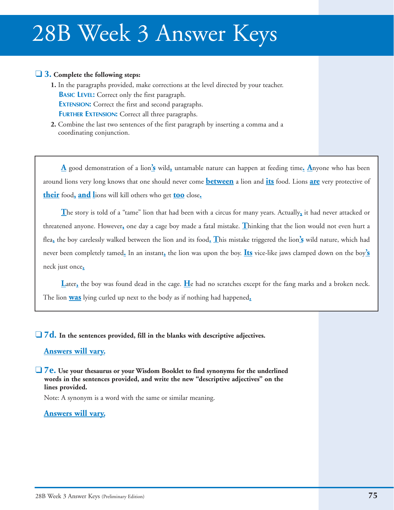# 28B Week 3 Answer Keys

## ❑ **3. Complete the following steps:**

- **1.** In the paragraphs provided, make corrections at the level directed by your teacher. **BASIC LEVEL:** Correct only the first paragraph. **EXTENSION:** Correct the first and second paragraphs. **FURTHER EXTENSION:** Correct all three paragraphs.
- **2.** Combine the last two sentences of the first paragraph by inserting a comma and a coordinating conjunction.

**A** good demonstration of a lion**'s** wild**,** untamable nature can happen at feeding time**. A**nyone who has been around lions very long knows that one should never come **between** a lion and **its** food. Lions **are** very protective of **their** food**, and l**ions will kill others who get **too** close**.**

**T**he story is told of a "tame" lion that had been with a circus for many years. Actually**,** it had never attacked or threatened anyone. However**,** one day a cage boy made a fatal mistake. **T**hinking that the lion would not even hurt a flea**,** the boy carelessly walked between the lion and its food**. T**his mistake triggered the lion**'s** wild nature, which had never been completely tamed**.** In an instant**,** the lion was upon the boy. **Its** vice-like jaws clamped down on the boy**'s** neck just once**.**

**L**ater**,** the boy was found dead in the cage. **H**e had no scratches except for the fang marks and a broken neck. The lion **was** lying curled up next to the body as if nothing had happened**.**

## ❑ **7d. In the sentences provided, fill in the blanks with descriptive adjectives.**

## **Answers will vary.**

❑ **7e. Use your thesaurus or your Wisdom Booklet to find synonyms for the underlined words in the sentences provided, and write the new "descriptive adjectives" on the lines provided.**

Note: A synonym is a word with the same or similar meaning.

## **Answers will vary.**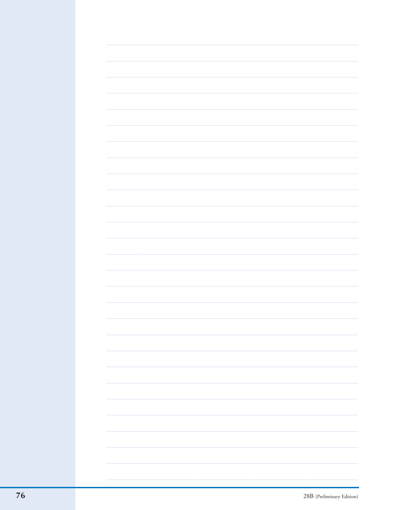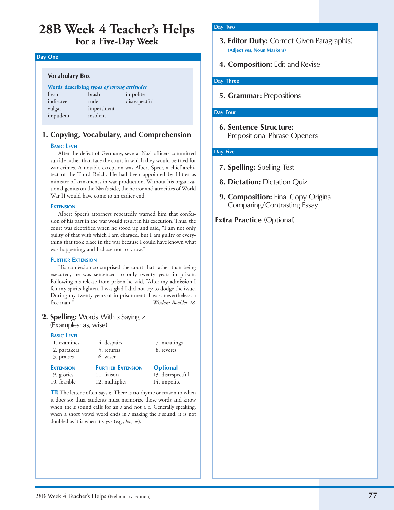## **28B Week 4 Teacher's Helps For a Five-Day Week**

#### **Day One**

#### **Vocabulary Box**

### **Words describing** *types of wrong attitudes*

| fresh      | brash       | impolite      |
|------------|-------------|---------------|
| indiscreet | rude        | disrespectful |
| vulgar     | impertinent |               |
| impudent   | insolent    |               |
|            |             |               |

## **1. Copying, Vocabulary, and Comprehension**

#### **BASIC LEVEL**

After the defeat of Germany, several Nazi officers committed suicide rather than face the court in which they would be tried for war crimes. A notable exception was Albert Speer, a chief architect of the Third Reich. He had been appointed by Hitler as minister of armaments in war production. Without his organizational genius on the Nazi's side, the horror and atrocities of World War II would have come to an earlier end.

#### **EXTENSION**

Albert Speer's attorneys repeatedly warned him that confession of his part in the war would result in his execution. Thus, the court was electrified when he stood up and said, "I am not only guilty of that with which I am charged, but I am guilty of everything that took place in the war because I could have known what was happening, and I chose not to know."

#### **FURTHER EXTENSION**

His confession so surprised the court that rather than being executed, he was sentenced to only twenty years in prison. Following his release from prison he said, "After my admission I felt my spirits lighten. I was glad I did not try to dodge the issue. During my twenty years of imprisonment, I was, nevertheless, a free man." *—Wisdom Booklet 28*

#### **2. Spelling:** Words With *s* Saying *z* (Examples: as, wise)

#### **BASIC LEVEL**

| 1. examines<br>2. partakers<br>3. praises | 4. despairs<br>5. returns<br>6. wiser | 7. meanings<br>8. reveres |
|-------------------------------------------|---------------------------------------|---------------------------|
| <b>EXTENSION</b>                          | <b>FURTHER EXTENSION</b>              | <b>Optional</b>           |
| 9. glories                                | 11. liaison                           | 13. disrespectful         |
| 10. feasible                              | 12. multiplies                        | 14. impolite              |

**TT:** The letter *s* often says *z*. There is no rhyme or reason to when it does so; thus, students must memorize these words and know when the *z* sound calls for an *s* and not a *z*. Generally speaking, when a short vowel word ends in *s* making the *z* sound, it is not doubled as it is when it says *s* (e.g., *has, as*).

#### **Day Two**

- **3. Editor Duty:** Correct Given Paragraph(s) **(Adjectives, Noun Markers)**
- **4. Composition:** Edit and Revise

#### **Day Three**

**5. Grammar:** Prepositions

#### **Day Four**

**6. Sentence Structure:**  Prepositional Phrase Openers

#### **Day Five**

- **7. Spelling:** Spelling Test
- **8. Dictation:** Dictation Quiz
- **9. Composition:** Final Copy Original Comparing/Contrasting Essay
- **Extra Practice** (Optional)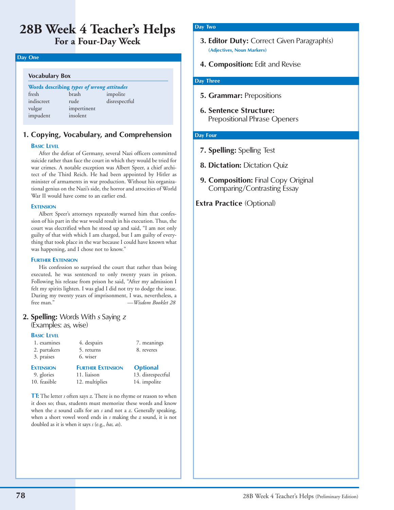## **28B Week 4 Teacher's Helps**

#### **Day One**

#### **Vocabulary Box**

#### **Words describing** *types of wrong attitudes*

| fresh      | brash       | impolite      |
|------------|-------------|---------------|
| indiscreet | rude        | disrespectful |
| vulgar     | impertinent |               |
| impudent   | insolent    |               |
|            |             |               |

## **1. Copying, Vocabulary, and Comprehension**

#### **BASIC LEVEL**

After the defeat of Germany, several Nazi officers committed suicide rather than face the court in which they would be tried for war crimes. A notable exception was Albert Speer, a chief architect of the Third Reich. He had been appointed by Hitler as minister of armaments in war production. Without his organizational genius on the Nazi's side, the horror and atrocities of World War II would have come to an earlier end.

#### **EXTENSION**

Albert Speer's attorneys repeatedly warned him that confession of his part in the war would result in his execution. Thus, the court was electrified when he stood up and said, "I am not only guilty of that with which I am charged, but I am guilty of everything that took place in the war because I could have known what was happening, and I chose not to know."

#### **FURTHER EXTENSION**

His confession so surprised the court that rather than being executed, he was sentenced to only twenty years in prison. Following his release from prison he said, "After my admission I felt my spirits lighten. I was glad I did not try to dodge the issue. During my twenty years of imprisonment, I was, nevertheless, a free man." *—Wisdom Booklet 28*

## **2. Spelling:** Words With *s* Saying *z*

(Examples: as, wise)

#### **BASIC LEVEL**

| <b>EXTENSION</b> | <b>FURTHER EXTENSION</b> | <b>Optional</b> |
|------------------|--------------------------|-----------------|
| 3. praises       | 6. wiser                 |                 |
| 2. partakers     | 5. returns               | 8. reveres      |
| 1. examines      | 4. despairs              | 7. meanings     |

9. glories 11. liaison 13. disrespectful 10. feasible 12. multiplies 14. impolite

**TT:** The letter *s* often says *z*. There is no rhyme or reason to when it does so; thus, students must memorize these words and know when the *z* sound calls for an *s* and not a *z*. Generally speaking, when a short vowel word ends in *s* making the *z* sound, it is not doubled as it is when it says *s* (e.g., *has, as*).

#### **Day Two**

- **3. Editor Duty:** Correct Given Paragraph(s) **(Adjectives, Noun Markers)**
- **4. Composition:** Edit and Revise

#### **Day Three**

- **5. Grammar:** Prepositions
- **6. Sentence Structure:**  Prepositional Phrase Openers

#### **Day Four**

- **7. Spelling:** Spelling Test
- **8. Dictation:** Dictation Quiz
- **9. Composition:** Final Copy Original Comparing/Contrasting Essay

**Extra Practice** (Optional)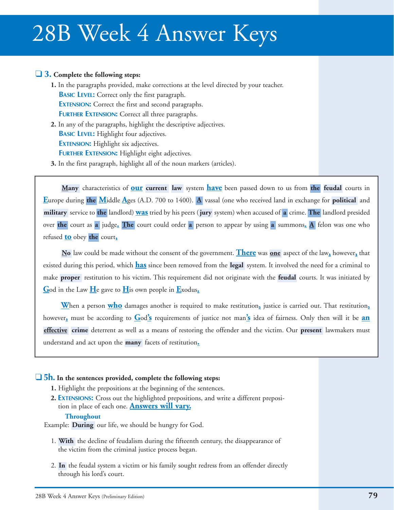## 28B Week 4 Answer Keys

## ❑ **3. Complete the following steps:**

- **1.** In the paragraphs provided, make corrections at the level directed by your teacher. **BASIC LEVEL:** Correct only the first paragraph. **EXTENSION:** Correct the first and second paragraphs. **FURTHER EXTENSION:** Correct all three paragraphs.
- **2.** In any of the paragraphs, highlight the descriptive adjectives. **BASIC LEVEL:** Highlight four adjectives. **EXTENSION:** Highlight six adjectives. **FURTHER EXTENSION:** Highlight eight adjectives.
- **3.** In the first paragraph, highlight all of the noun markers (articles).

 $\underline{\textbf{M}}$ any characteristics of  $\underline{\textbf{out}}$  current law system  $\underline{\textbf{have}}$  been passed down to us from the feudal courts in Europe during the Middle Ages (A.D. 700 to 1400). A vassal (one who received land in exchange for **political** and  $m$ ilitary service to <mark>the</mark> landlord) <u>was</u> tried by his peers (jury system) when accused of a crime. The landlord presided over the court as a judge<u>.</u> The court could order a person to appear by using a summons<u>. A</u> felon was one who refused **to** obey the court,

 $\bf{No}$  law could be made without the consent of the government.  $\bf{There}$  was  $\bf{one}$  aspect of the law, however, that existed during this period, which <mark>has</mark> since been removed from the legal system. It involved the need for a criminal to make **proper** restitution to his victim. This requirement did not originate with the feudal courts. It was initiated by **G**od in the Law **H**e gave to **H**is own people in **E**xodus**.**

**W**hen a person **who** damages another is required to make restitution**,** justice is carried out. That restitution**,** however**,** must be according to **G**od**'s** requirements of justice not man**'s** idea of fairness. Only then will it be **an effective** crime deterrent as well as a means of restoring the offender and the victim. Our present lawmakers must understand and act upon the **many** facets of restitution.

## ❑ **5h. In the sentences provided, complete the following steps:**

- **1.** Highlight the prepositions at the beginning of the sentences.
- **2. EXTENSIONS:** Cross out the highlighted prepositions, and write a different preposition in place of each one. **Answers will vary.**

#### **Throughout**

Example: During our life, we should be hungry for God.

- 1. With the decline of feudalism during the fifteenth century, the disappearance of the victim from the criminal justice process began.
- 2. In the feudal system a victim or his family sought redress from an offender directly through his lord's court.